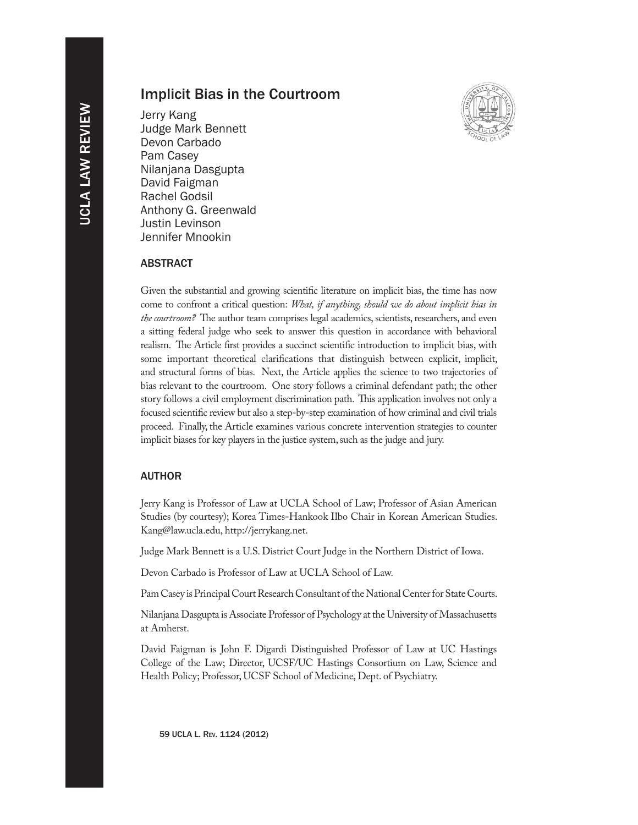# Implicit Bias in the Courtroom

Jerry Kang Judge Mark Bennett Devon Carbado Pam Casey Nilanjana Dasgupta David Faigman Rachel Godsil Anthony G. Greenwald Justin Levinson Jennifer Mnookin



# ABSTRACT

Given the substantial and growing scientific literature on implicit bias, the time has now come to confront a critical question: *What, if anything, should we do about implicit bias in the courtroom?* The author team comprises legal academics, scientists, researchers, and even a sitting federal judge who seek to answer this question in accordance with behavioral realism. The Article first provides a succinct scientific introduction to implicit bias, with some important theoretical clarifications that distinguish between explicit, implicit, and structural forms of bias. Next, the Article applies the science to two trajectories of bias relevant to the courtroom. One story follows a criminal defendant path; the other story follows a civil employment discrimination path. This application involves not only a focused scientific review but also a step-by-step examination of how criminal and civil trials proceed. Finally, the Article examines various concrete intervention strategies to counter implicit biases for key players in the justice system, such as the judge and jury.

# AUTHOR

Jerry Kang is Professor of Law at UCLA School of Law; Professor of Asian American Studies (by courtesy); Korea Times-Hankook Ilbo Chair in Korean American Studies. Kang@law.ucla.edu, http://jerrykang.net.

Judge Mark Bennett is a U.S. District Court Judge in the Northern District of Iowa.

Devon Carbado is Professor of Law at UCLA School of Law.

Pam Casey is Principal Court Research Consultant of the National Center for State Courts.

Nilanjana Dasgupta is Associate Professor of Psychology at the University of Massachusetts at Amherst.

David Faigman is John F. Digardi Distinguished Professor of Law at UC Hastings College of the Law; Director, UCSF/UC Hastings Consortium on Law, Science and Health Policy; Professor, UCSF School of Medicine, Dept. of Psychiatry.

59 UCLA L. Rev. 1124 (2012)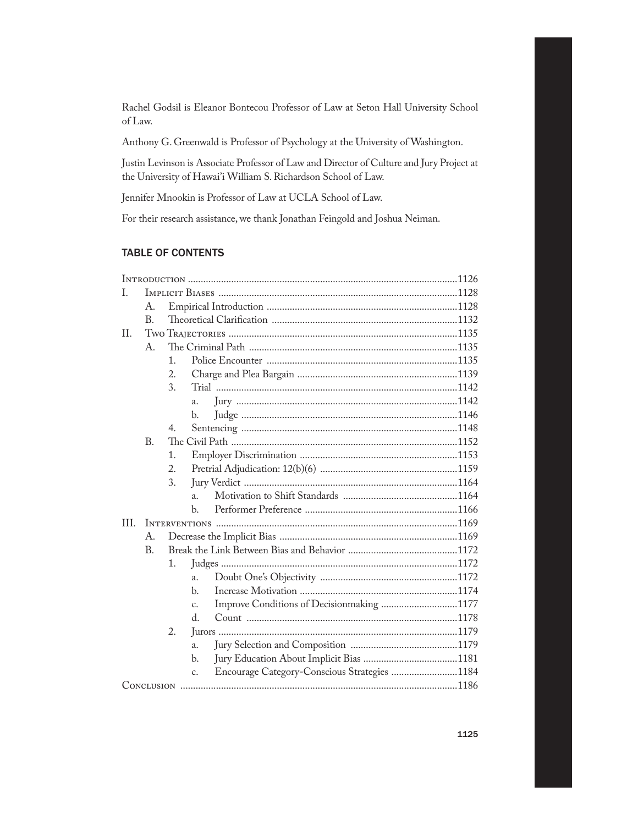Rachel Godsil is Eleanor Bontecou Professor of Law at Seton Hall University School of Law.

Anthony G. Greenwald is Professor of Psychology at the University of Washington.

Justin Levinson is Associate Professor of Law and Director of Culture and Jury Project at the University of Hawai'i William S. Richardson School of Law.

Jennifer Mnookin is Professor of Law at UCLA School of Law.

For their research assistance, we thank Jonathan Feingold and Joshua Neiman.

# TABLE OF CONTENTS

| T.        |                |                |                                                    |  |
|-----------|----------------|----------------|----------------------------------------------------|--|
|           | А.             |                |                                                    |  |
|           | B <sub>1</sub> |                |                                                    |  |
| $\prod$ . |                |                |                                                    |  |
|           | A.             |                |                                                    |  |
|           |                | 1 <sub>1</sub> |                                                    |  |
|           |                | 2.             |                                                    |  |
|           |                | 3.             |                                                    |  |
|           |                |                | a.                                                 |  |
|           |                |                | b.                                                 |  |
|           |                | 4.             |                                                    |  |
|           | B.             |                |                                                    |  |
|           |                | 1.             |                                                    |  |
|           |                | 2.             |                                                    |  |
|           |                | 3.             |                                                    |  |
|           |                |                | $\overline{a}$ .                                   |  |
|           |                |                | $\mathbf{b}$ .                                     |  |
| III.      |                |                |                                                    |  |
|           | А.             |                |                                                    |  |
|           | <b>B.</b>      |                |                                                    |  |
|           |                | 1.             |                                                    |  |
|           |                |                | a.                                                 |  |
|           |                |                | b.                                                 |  |
|           |                |                | Improve Conditions of Decisionmaking 1177<br>c.    |  |
|           |                |                | d.                                                 |  |
|           |                | 2.             |                                                    |  |
|           |                |                | a.                                                 |  |
|           |                |                | $\mathbf{b}$ .                                     |  |
|           |                |                | Encourage Category-Conscious Strategies 1184<br>c. |  |
|           |                |                |                                                    |  |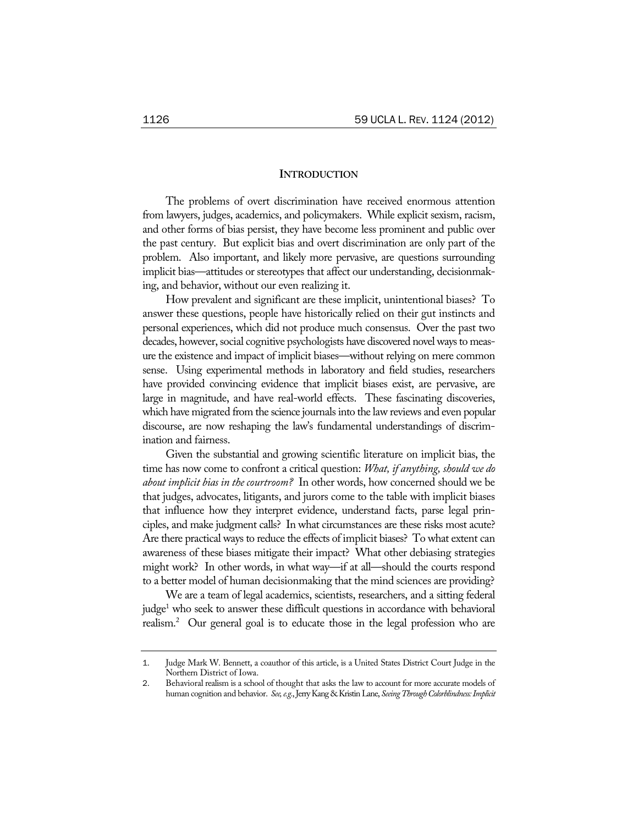# **INTRODUCTION**

The problems of overt discrimination have received enormous attention from lawyers, judges, academics, and policymakers. While explicit sexism, racism, and other forms of bias persist, they have become less prominent and public over the past century. But explicit bias and overt discrimination are only part of the problem. Also important, and likely more pervasive, are questions surrounding implicit bias—attitudes or stereotypes that affect our understanding, decisionmaking, and behavior, without our even realizing it.

How prevalent and significant are these implicit, unintentional biases? To answer these questions, people have historically relied on their gut instincts and personal experiences, which did not produce much consensus. Over the past two decades, however, social cognitive psychologists have discovered novel ways to measure the existence and impact of implicit biases—without relying on mere common sense. Using experimental methods in laboratory and field studies, researchers have provided convincing evidence that implicit biases exist, are pervasive, are large in magnitude, and have real-world effects. These fascinating discoveries, which have migrated from the science journals into the law reviews and even popular discourse, are now reshaping the law's fundamental understandings of discrimination and fairness.

Given the substantial and growing scientific literature on implicit bias, the time has now come to confront a critical question: *What, if anything, should we do about implicit bias in the courtroom?* In other words, how concerned should we be that judges, advocates, litigants, and jurors come to the table with implicit biases that influence how they interpret evidence, understand facts, parse legal principles, and make judgment calls? In what circumstances are these risks most acute? Are there practical ways to reduce the effects of implicit biases? To what extent can awareness of these biases mitigate their impact? What other debiasing strategies might work? In other words, in what way—if at all—should the courts respond to a better model of human decisionmaking that the mind sciences are providing?

We are a team of legal academics, scientists, researchers, and a sitting federal judge<sup>1</sup> who seek to answer these difficult questions in accordance with behavioral realism.<sup>2</sup> Our general goal is to educate those in the legal profession who are

<sup>1</sup>. Judge Mark W. Bennett, a coauthor of this article, is a United States District Court Judge in the Northern District of Iowa.

<sup>2</sup>. Behavioral realism is a school of thought that asks the law to account for more accurate models of human cognition and behavior. *See, e.g.*, Jerry Kang & Kristin Lane, *Seeing Through Colorblindness: Implicit*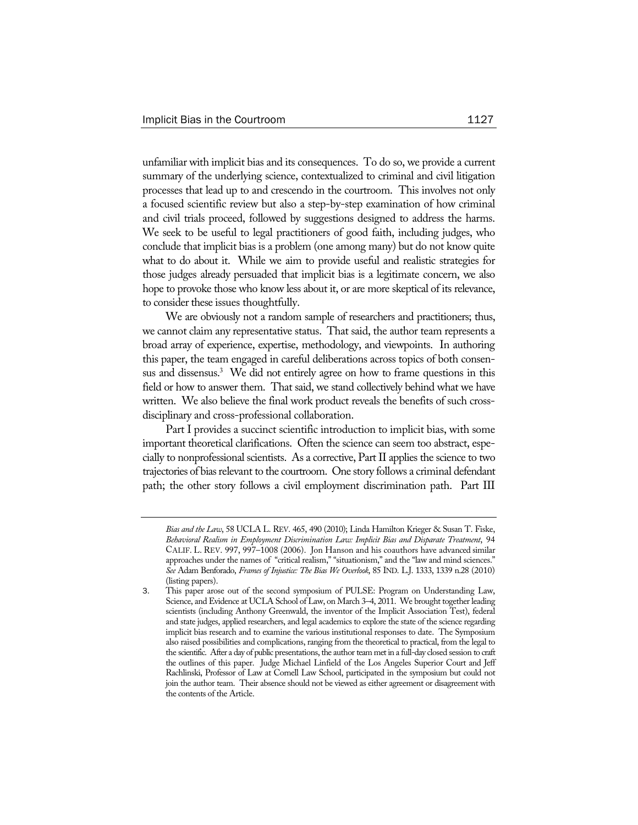unfamiliar with implicit bias and its consequences. To do so, we provide a current summary of the underlying science, contextualized to criminal and civil litigation processes that lead up to and crescendo in the courtroom. This involves not only a focused scientific review but also a step-by-step examination of how criminal and civil trials proceed, followed by suggestions designed to address the harms. We seek to be useful to legal practitioners of good faith, including judges, who conclude that implicit bias is a problem (one among many) but do not know quite what to do about it. While we aim to provide useful and realistic strategies for those judges already persuaded that implicit bias is a legitimate concern, we also hope to provoke those who know less about it, or are more skeptical of its relevance, to consider these issues thoughtfully.

We are obviously not a random sample of researchers and practitioners; thus, we cannot claim any representative status. That said, the author team represents a broad array of experience, expertise, methodology, and viewpoints. In authoring this paper, the team engaged in careful deliberations across topics of both consensus and dissensus.<sup>3</sup> We did not entirely agree on how to frame questions in this field or how to answer them. That said, we stand collectively behind what we have written. We also believe the final work product reveals the benefits of such crossdisciplinary and cross-professional collaboration.

Part I provides a succinct scientific introduction to implicit bias, with some important theoretical clarifications. Often the science can seem too abstract, especially to nonprofessional scientists. As a corrective, Part II applies the science to two trajectories of bias relevant to the courtroom. One story follows a criminal defendant path; the other story follows a civil employment discrimination path. Part III

*Bias and the Law*, 58 UCLA L. REV. 465, 490 (2010); Linda Hamilton Krieger & Susan T. Fiske, *Behavioral Realism in Employment Discrimination Law: Implicit Bias and Disparate Treatment*, 94 CALIF. L. REV. 997, 997–1008 (2006). Jon Hanson and his coauthors have advanced similar approaches under the names of "critical realism," "situationism," and the "law and mind sciences." *See* Adam Benforado, *Frames of Injustice: The Bias We Overlook*, 85 IND. L.J. 1333, 1339 n.28 (2010) (listing papers).

<sup>3</sup>. This paper arose out of the second symposium of PULSE: Program on Understanding Law, Science, and Evidence at UCLA School of Law, on March 3–4, 2011. We brought together leading scientists (including Anthony Greenwald, the inventor of the Implicit Association Test), federal and state judges, applied researchers, and legal academics to explore the state of the science regarding implicit bias research and to examine the various institutional responses to date. The Symposium also raised possibilities and complications, ranging from the theoretical to practical, from the legal to the scientific. After a day of public presentations, the author team met in a full-day closed session to craft the outlines of this paper. Judge Michael Linfield of the Los Angeles Superior Court and Jeff Rachlinski, Professor of Law at Cornell Law School, participated in the symposium but could not join the author team. Their absence should not be viewed as either agreement or disagreement with the contents of the Article.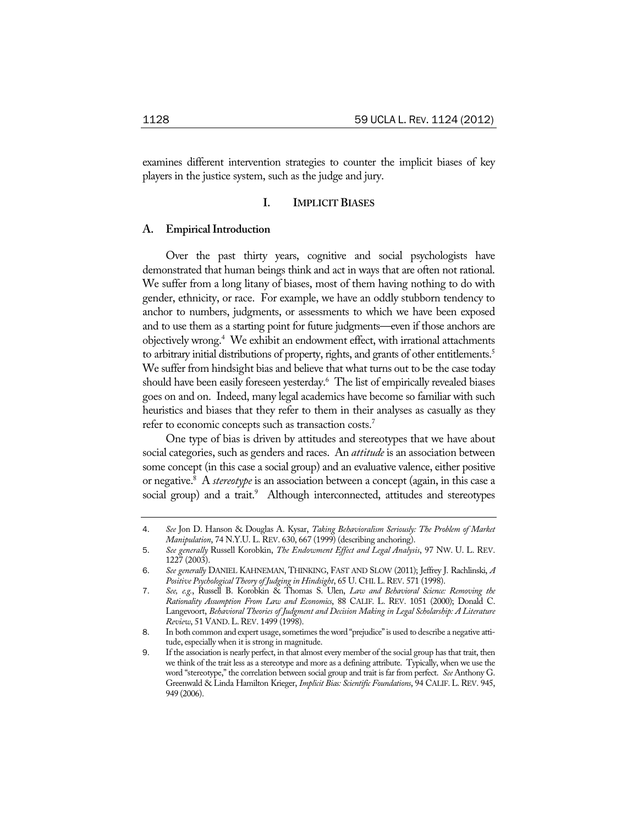examines different intervention strategies to counter the implicit biases of key players in the justice system, such as the judge and jury.

### **I. IMPLICIT BIASES**

### **A. Empirical Introduction**

Over the past thirty years, cognitive and social psychologists have demonstrated that human beings think and act in ways that are often not rational. We suffer from a long litany of biases, most of them having nothing to do with gender, ethnicity, or race. For example, we have an oddly stubborn tendency to anchor to numbers, judgments, or assessments to which we have been exposed and to use them as a starting point for future judgments—even if those anchors are objectively wrong.4 We exhibit an endowment effect, with irrational attachments to arbitrary initial distributions of property, rights, and grants of other entitlements.<sup>5</sup> We suffer from hindsight bias and believe that what turns out to be the case today should have been easily foreseen yesterday.<sup>6</sup> The list of empirically revealed biases goes on and on. Indeed, many legal academics have become so familiar with such heuristics and biases that they refer to them in their analyses as casually as they refer to economic concepts such as transaction costs.<sup>7</sup>

One type of bias is driven by attitudes and stereotypes that we have about social categories, such as genders and races. An *attitude* is an association between some concept (in this case a social group) and an evaluative valence, either positive or negative.8 A *stereotype* is an association between a concept (again, in this case a social group) and a trait.<sup>9</sup> Although interconnected, attitudes and stereotypes

<sup>4</sup>. *See* Jon D. Hanson & Douglas A. Kysar, *Taking Behavioralism Seriously: The Problem of Market Manipulation*, 74 N.Y.U. L. REV. 630, 667 (1999) (describing anchoring).

<sup>5</sup>. *See generally* Russell Korobkin, *The Endowment Effect and Legal Analysis*, 97 NW. U. L. REV. 1227 (2003).

<sup>6</sup>. *See generally* DANIEL KAHNEMAN, THINKING, FAST AND SLOW (2011); Jeffrey J. Rachlinski, *A Positive Psychological Theory of Judging in Hindsight*, 65 U. CHI.L.REV. 571 (1998).

<sup>7</sup>. *See, e.g.*, Russell B. Korobkin & Thomas S. Ulen, *Law and Behavioral Science: Removing the Rationality Assumption From Law and Economics*, 88 CALIF. L. REV. 1051 (2000); Donald C. Langevoort, *Behavioral Theories of Judgment and Decision Making in Legal Scholarship: A Literature Review*, 51 VAND.L.REV. 1499 (1998).

<sup>8</sup>. In both common and expert usage, sometimes the word "prejudice" is used to describe a negative attitude, especially when it is strong in magnitude.

<sup>9</sup>. If the association is nearly perfect, in that almost every member of the social group has that trait, then we think of the trait less as a stereotype and more as a defining attribute. Typically, when we use the word "stereotype," the correlation between social group and trait is far from perfect. *See* Anthony G. Greenwald & Linda Hamilton Krieger, *Implicit Bias: Scientific Foundations*, 94 CALIF. L. REV. 945, 949 (2006).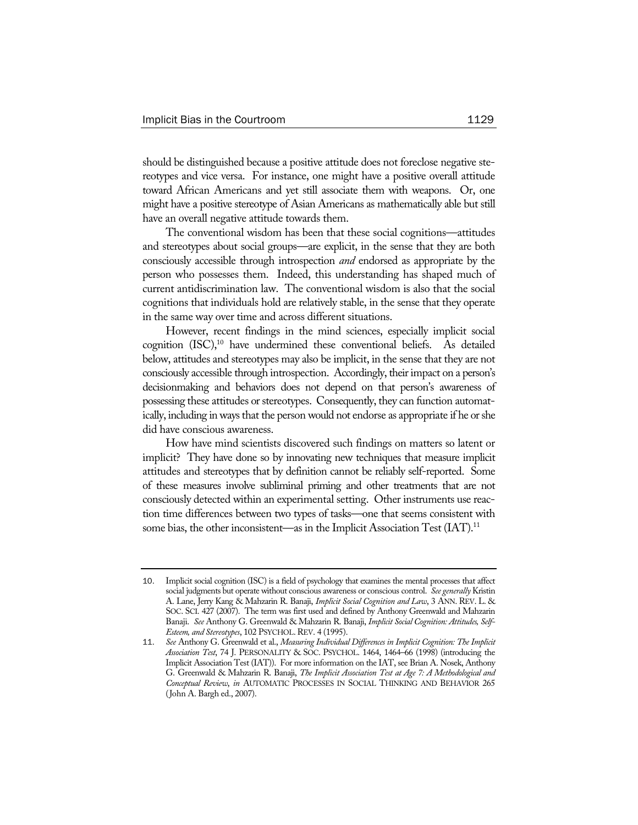should be distinguished because a positive attitude does not foreclose negative stereotypes and vice versa. For instance, one might have a positive overall attitude toward African Americans and yet still associate them with weapons. Or, one might have a positive stereotype of Asian Americans as mathematically able but still have an overall negative attitude towards them.

The conventional wisdom has been that these social cognitions—attitudes and stereotypes about social groups—are explicit, in the sense that they are both consciously accessible through introspection *and* endorsed as appropriate by the person who possesses them. Indeed, this understanding has shaped much of current antidiscrimination law. The conventional wisdom is also that the social cognitions that individuals hold are relatively stable, in the sense that they operate in the same way over time and across different situations.

However, recent findings in the mind sciences, especially implicit social cognition  $(ISC)$ ,<sup>10</sup> have undermined these conventional beliefs. As detailed below, attitudes and stereotypes may also be implicit, in the sense that they are not consciously accessible through introspection. Accordingly, their impact on a person's decisionmaking and behaviors does not depend on that person's awareness of possessing these attitudes or stereotypes. Consequently, they can function automatically, including in ways that the person would not endorse as appropriate if he or she did have conscious awareness.

How have mind scientists discovered such findings on matters so latent or implicit? They have done so by innovating new techniques that measure implicit attitudes and stereotypes that by definition cannot be reliably self-reported. Some of these measures involve subliminal priming and other treatments that are not consciously detected within an experimental setting. Other instruments use reaction time differences between two types of tasks—one that seems consistent with some bias, the other inconsistent—as in the Implicit Association Test  $(IAT)^{11}$ .

<sup>10</sup>. Implicit social cognition (ISC) is a field of psychology that examines the mental processes that affect social judgments but operate without conscious awareness or conscious control. *See generally* Kristin A. Lane, Jerry Kang & Mahzarin R. Banaji, *Implicit Social Cognition and Law*, 3 ANN. REV. L. & SOC. SCI. 427 (2007). The term was first used and defined by Anthony Greenwald and Mahzarin Banaji. *See* Anthony G. Greenwald & Mahzarin R. Banaji, *Implicit Social Cognition: Attitudes, Self-Esteem, and Stereotypes*, 102 PSYCHOL.REV. 4 (1995).

<sup>11</sup>. *See* Anthony G. Greenwald et al., *Measuring Individual Differences in Implicit Cognition: The Implicit Association Test*, 74 J. PERSONALITY & SOC. PSYCHOL. 1464, 1464–66 (1998) (introducing the Implicit Association Test (IAT)). For more information on the IAT, see Brian A. Nosek, Anthony G. Greenwald & Mahzarin R. Banaji, *The Implicit Association Test at Age 7: A Methodological and Conceptual Review*, *in* AUTOMATIC PROCESSES IN SOCIAL THINKING AND BEHAVIOR 265 (John A. Bargh ed., 2007).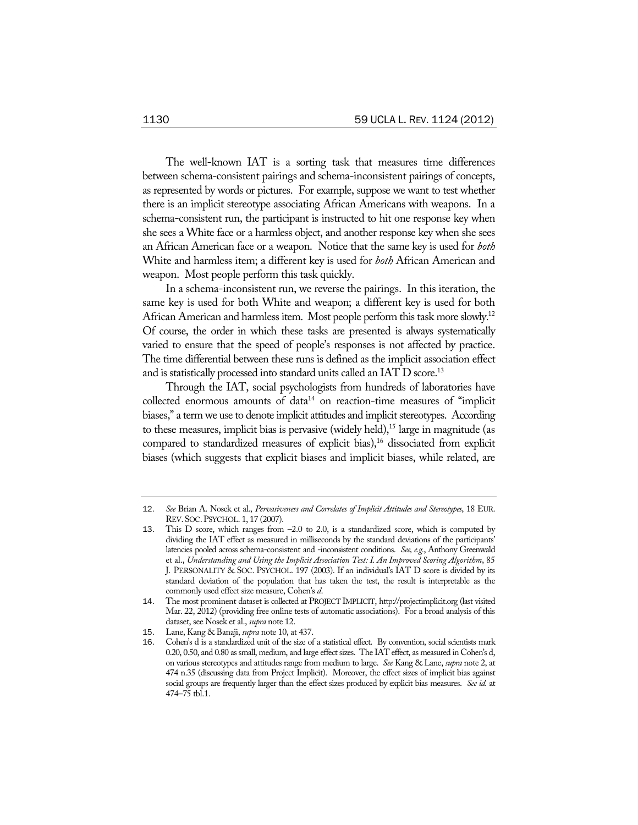The well-known IAT is a sorting task that measures time differences between schema-consistent pairings and schema-inconsistent pairings of concepts, as represented by words or pictures. For example, suppose we want to test whether there is an implicit stereotype associating African Americans with weapons. In a schema-consistent run, the participant is instructed to hit one response key when she sees a White face or a harmless object, and another response key when she sees an African American face or a weapon. Notice that the same key is used for *both* White and harmless item; a different key is used for *both* African American and weapon. Most people perform this task quickly.

In a schema-inconsistent run, we reverse the pairings. In this iteration, the same key is used for both White and weapon; a different key is used for both African American and harmless item. Most people perform this task more slowly.<sup>12</sup> Of course, the order in which these tasks are presented is always systematically varied to ensure that the speed of people's responses is not affected by practice. The time differential between these runs is defined as the implicit association effect and is statistically processed into standard units called an IAT D score.<sup>13</sup>

Through the IAT, social psychologists from hundreds of laboratories have collected enormous amounts of data<sup>14</sup> on reaction-time measures of "implicit biases," a term we use to denote implicit attitudes and implicit stereotypes. According to these measures, implicit bias is pervasive (widely held), $15$  large in magnitude (as compared to standardized measures of explicit bias),<sup>16</sup> dissociated from explicit biases (which suggests that explicit biases and implicit biases, while related, are

<sup>12</sup>. *See* Brian A. Nosek et al., *Pervasiveness and Correlates of Implicit Attitudes and Stereotypes*, 18 EUR. REV.SOC.PSYCHOL. 1, 17 (2007).

<sup>13</sup>. This D score, which ranges from –2.0 to 2.0, is a standardized score, which is computed by dividing the IAT effect as measured in milliseconds by the standard deviations of the participants' latencies pooled across schema-consistent and -inconsistent conditions. *See, e.g.*, Anthony Greenwald et al., *Understanding and Using the Implicit Association Test: I. An Improved Scoring Algorithm*, 85 J. PERSONALITY & SOC. PSYCHOL. 197 (2003). If an individual's IAT D score is divided by its standard deviation of the population that has taken the test, the result is interpretable as the commonly used effect size measure, Cohen's *d*.

<sup>14</sup>. The most prominent dataset is collected at PROJECT IMPLICIT, http://projectimplicit.org (last visited Mar. 22, 2012) (providing free online tests of automatic associations). For a broad analysis of this dataset, see Nosek et al., *supra* note 12.

<sup>15</sup>. Lane, Kang & Banaji, *supra* note 10, at 437.

<sup>16</sup>. Cohen's d is a standardized unit of the size of a statistical effect. By convention, social scientists mark 0.20, 0.50, and 0.80 as small, medium, and large effect sizes. The IAT effect, as measured in Cohen's d, on various stereotypes and attitudes range from medium to large. *See* Kang & Lane, *supra* note 2, at 474 n.35 (discussing data from Project Implicit). Moreover, the effect sizes of implicit bias against social groups are frequently larger than the effect sizes produced by explicit bias measures. *See id.* at 474–75 tbl.1.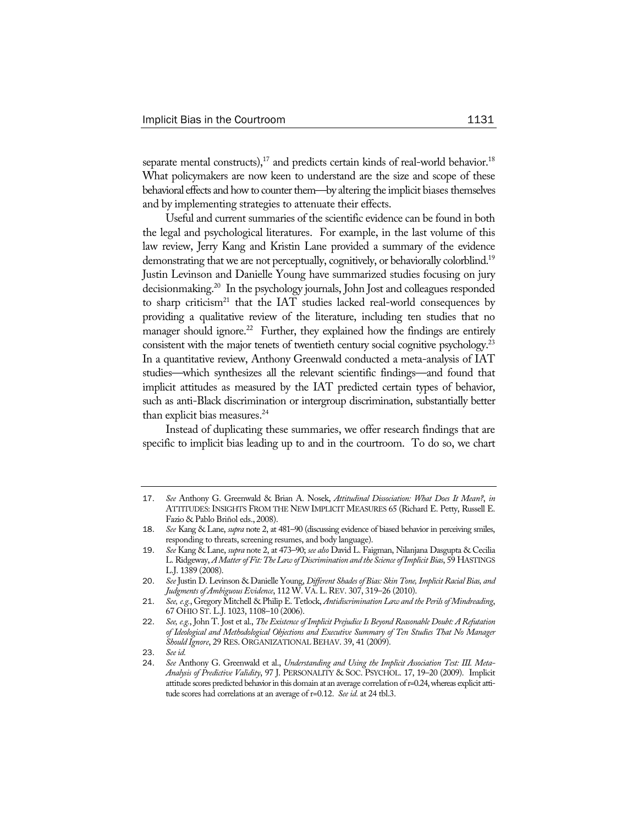separate mental constructs),<sup>17</sup> and predicts certain kinds of real-world behavior.<sup>18</sup> What policymakers are now keen to understand are the size and scope of these behavioral effects and how to counter them—by altering the implicit biases themselves and by implementing strategies to attenuate their effects.

Useful and current summaries of the scientific evidence can be found in both the legal and psychological literatures. For example, in the last volume of this law review, Jerry Kang and Kristin Lane provided a summary of the evidence demonstrating that we are not perceptually, cognitively, or behaviorally colorblind.<sup>19</sup> Justin Levinson and Danielle Young have summarized studies focusing on jury decisionmaking.20 In the psychology journals, John Jost and colleagues responded to sharp criticism<sup>21</sup> that the IAT studies lacked real-world consequences by providing a qualitative review of the literature, including ten studies that no manager should ignore.<sup>22</sup> Further, they explained how the findings are entirely consistent with the major tenets of twentieth century social cognitive psychology.<sup>23</sup> In a quantitative review, Anthony Greenwald conducted a meta-analysis of IAT studies—which synthesizes all the relevant scientific findings—and found that implicit attitudes as measured by the IAT predicted certain types of behavior, such as anti-Black discrimination or intergroup discrimination, substantially better than explicit bias measures.<sup>24</sup>

Instead of duplicating these summaries, we offer research findings that are specific to implicit bias leading up to and in the courtroom. To do so, we chart

23. *See id.*

<sup>17</sup>. *See* Anthony G. Greenwald & Brian A. Nosek, *Attitudinal Dissociation: What Does It Mean?*, *in* ATTITUDES: INSIGHTS FROM THE NEW IMPLICIT MEASURES 65 (Richard E. Petty, Russell E. Fazio & Pablo Briñol eds., 2008).

<sup>18</sup>. *See* Kang & Lane, *supra* note 2, at 481–90 (discussing evidence of biased behavior in perceiving smiles, responding to threats, screening resumes, and body language).

<sup>19</sup>. *See* Kang & Lane, *supra* note 2, at 473–90; *see also* David L. Faigman, Nilanjana Dasgupta & Cecilia L. Ridgeway, *A Matter of Fit: The Law of Discrimination and the Science of Implicit Bias*, 59 HASTINGS L.J. 1389 (2008).

<sup>20</sup>. *See* Justin D. Levinson & Danielle Young, *Different Shades of Bias: Skin Tone, Implicit Racial Bias, and Judgments of Ambiguous Evidence*, 112 W. VA.L.REV. 307, 319–26 (2010).

<sup>21</sup>. *See, e.g.*, Gregory Mitchell & Philip E. Tetlock, *Antidiscrimination Law and the Perils of Mindreading*, 67 OHIO ST. L.J. 1023, 1108–10 (2006).

<sup>22</sup>. *See, e.g.*, John T. Jost et al., *The Existence of Implicit Prejudice Is Beyond Reasonable Doubt: A Refutation of Ideological and Methodological Objections and Executive Summary of Ten Studies That No Manager Should Ignore*, 29 RES. ORGANIZATIONAL BEHAV. 39, 41 (2009).

<sup>24</sup>. *See* Anthony G. Greenwald et al., *Understanding and Using the Implicit Association Test: III. Meta-Analysis of Predictive Validity*, 97 J. PERSONALITY & SOC. PSYCHOL. 17, 19–20 (2009). Implicit attitude scores predicted behavior in this domain at an average correlation of r=0.24, whereas explicit attitude scores had correlations at an average of r=0.12. *See id.* at 24 tbl.3.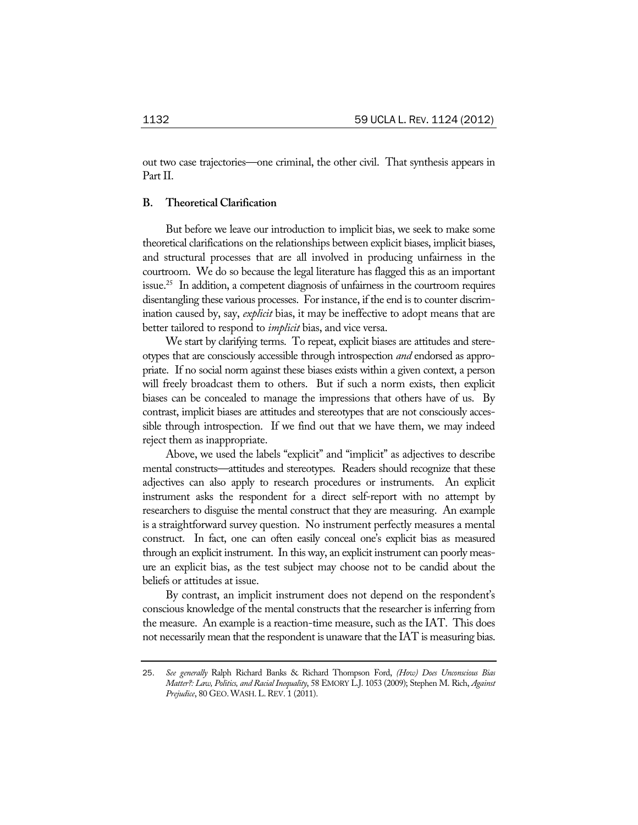out two case trajectories—one criminal, the other civil. That synthesis appears in Part II.

# **B. Theoretical Clarification**

But before we leave our introduction to implicit bias, we seek to make some theoretical clarifications on the relationships between explicit biases, implicit biases, and structural processes that are all involved in producing unfairness in the courtroom. We do so because the legal literature has flagged this as an important issue.<sup>25</sup> In addition, a competent diagnosis of unfairness in the courtroom requires disentangling these various processes. For instance, if the end is to counter discrimination caused by, say, *explicit* bias, it may be ineffective to adopt means that are better tailored to respond to *implicit* bias, and vice versa.

We start by clarifying terms. To repeat, explicit biases are attitudes and stereotypes that are consciously accessible through introspection *and* endorsed as appropriate. If no social norm against these biases exists within a given context, a person will freely broadcast them to others. But if such a norm exists, then explicit biases can be concealed to manage the impressions that others have of us. By contrast, implicit biases are attitudes and stereotypes that are not consciously accessible through introspection. If we find out that we have them, we may indeed reject them as inappropriate.

Above, we used the labels "explicit" and "implicit" as adjectives to describe mental constructs—attitudes and stereotypes. Readers should recognize that these adjectives can also apply to research procedures or instruments. An explicit instrument asks the respondent for a direct self-report with no attempt by researchers to disguise the mental construct that they are measuring. An example is a straightforward survey question. No instrument perfectly measures a mental construct. In fact, one can often easily conceal one's explicit bias as measured through an explicit instrument. In this way, an explicit instrument can poorly measure an explicit bias, as the test subject may choose not to be candid about the beliefs or attitudes at issue.

By contrast, an implicit instrument does not depend on the respondent's conscious knowledge of the mental constructs that the researcher is inferring from the measure. An example is a reaction-time measure, such as the IAT. This does not necessarily mean that the respondent is unaware that the IAT is measuring bias.

<sup>25</sup>. *See generally* Ralph Richard Banks & Richard Thompson Ford, *(How) Does Unconscious Bias Matter?: Law, Politics, and Racial Inequality*, 58 EMORY L.J. 1053 (2009); Stephen M. Rich, *Against Prejudice*, 80 GEO.WASH.L.REV. 1 (2011).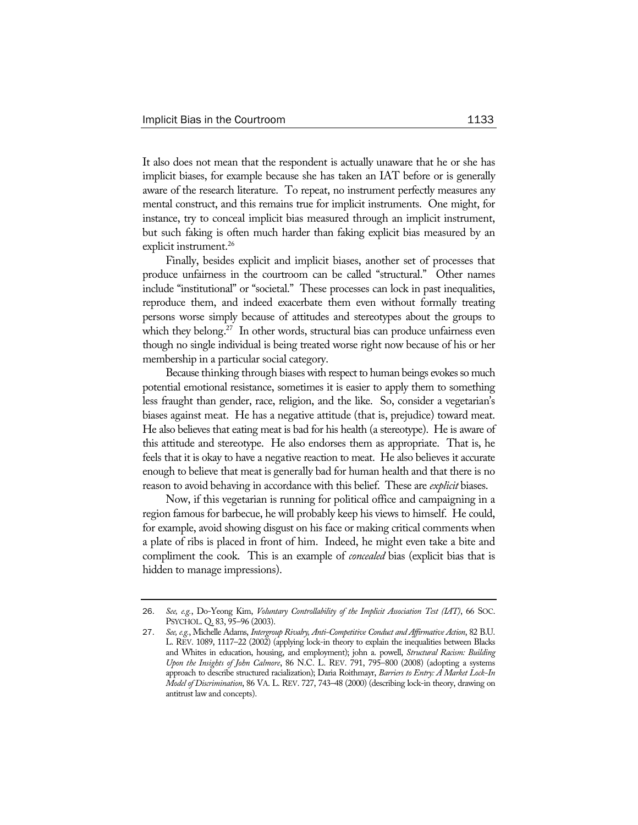It also does not mean that the respondent is actually unaware that he or she has implicit biases, for example because she has taken an IAT before or is generally aware of the research literature. To repeat, no instrument perfectly measures any mental construct, and this remains true for implicit instruments. One might, for instance, try to conceal implicit bias measured through an implicit instrument, but such faking is often much harder than faking explicit bias measured by an explicit instrument.<sup>26</sup>

Finally, besides explicit and implicit biases, another set of processes that produce unfairness in the courtroom can be called "structural." Other names include "institutional" or "societal." These processes can lock in past inequalities, reproduce them, and indeed exacerbate them even without formally treating persons worse simply because of attitudes and stereotypes about the groups to which they belong.<sup>27</sup> In other words, structural bias can produce unfairness even though no single individual is being treated worse right now because of his or her membership in a particular social category.

Because thinking through biases with respect to human beings evokes so much potential emotional resistance, sometimes it is easier to apply them to something less fraught than gender, race, religion, and the like. So, consider a vegetarian's biases against meat. He has a negative attitude (that is, prejudice) toward meat. He also believes that eating meat is bad for his health (a stereotype). He is aware of this attitude and stereotype. He also endorses them as appropriate. That is, he feels that it is okay to have a negative reaction to meat. He also believes it accurate enough to believe that meat is generally bad for human health and that there is no reason to avoid behaving in accordance with this belief. These are *explicit* biases.

Now, if this vegetarian is running for political office and campaigning in a region famous for barbecue, he will probably keep his views to himself. He could, for example, avoid showing disgust on his face or making critical comments when a plate of ribs is placed in front of him. Indeed, he might even take a bite and compliment the cook. This is an example of *concealed* bias (explicit bias that is hidden to manage impressions).

<sup>26</sup>. *See, e.g.*, Do-Yeong Kim, *Voluntary Controllability of the Implicit Association Test (IAT)*, 66 SOC. PSYCHOL. Q. 83, 95–96 (2003).

<sup>27</sup>. *See, e.g.*, Michelle Adams, *Intergroup Rivalry, Anti-Competitive Conduct and Affirmative Action*, 82 B.U. L. REV. 1089, 1117–22 (2002) (applying lock-in theory to explain the inequalities between Blacks and Whites in education, housing, and employment); john a. powell, *Structural Racism: Building Upon the Insights of John Calmore*, 86 N.C. L. REV. 791, 795–800 (2008) (adopting a systems approach to describe structured racialization); Daria Roithmayr, *Barriers to Entry: A Market Lock-In Model of Discrimination*, 86 VA. L. REV. 727, 743–48 (2000) (describing lock-in theory, drawing on antitrust law and concepts).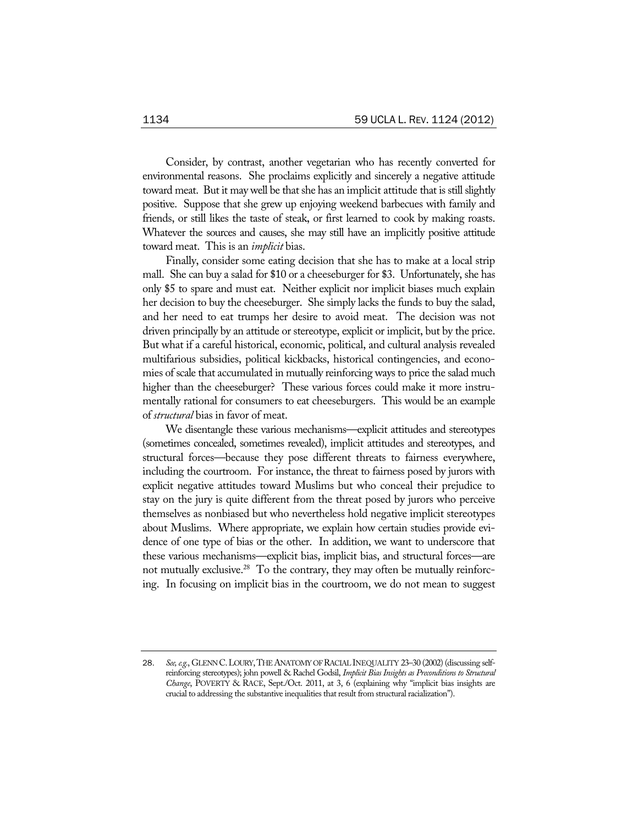Consider, by contrast, another vegetarian who has recently converted for environmental reasons. She proclaims explicitly and sincerely a negative attitude toward meat. But it may well be that she has an implicit attitude that is still slightly positive. Suppose that she grew up enjoying weekend barbecues with family and friends, or still likes the taste of steak, or first learned to cook by making roasts. Whatever the sources and causes, she may still have an implicitly positive attitude toward meat. This is an *implicit* bias.

Finally, consider some eating decision that she has to make at a local strip mall. She can buy a salad for \$10 or a cheeseburger for \$3. Unfortunately, she has only \$5 to spare and must eat. Neither explicit nor implicit biases much explain her decision to buy the cheeseburger. She simply lacks the funds to buy the salad, and her need to eat trumps her desire to avoid meat. The decision was not driven principally by an attitude or stereotype, explicit or implicit, but by the price. But what if a careful historical, economic, political, and cultural analysis revealed multifarious subsidies, political kickbacks, historical contingencies, and economies of scale that accumulated in mutually reinforcing ways to price the salad much higher than the cheeseburger? These various forces could make it more instrumentally rational for consumers to eat cheeseburgers. This would be an example of *structural* bias in favor of meat.

We disentangle these various mechanisms—explicit attitudes and stereotypes (sometimes concealed, sometimes revealed), implicit attitudes and stereotypes, and structural forces—because they pose different threats to fairness everywhere, including the courtroom. For instance, the threat to fairness posed by jurors with explicit negative attitudes toward Muslims but who conceal their prejudice to stay on the jury is quite different from the threat posed by jurors who perceive themselves as nonbiased but who nevertheless hold negative implicit stereotypes about Muslims. Where appropriate, we explain how certain studies provide evidence of one type of bias or the other. In addition, we want to underscore that these various mechanisms—explicit bias, implicit bias, and structural forces—are not mutually exclusive.<sup>28</sup> To the contrary, they may often be mutually reinforcing. In focusing on implicit bias in the courtroom, we do not mean to suggest

<sup>28</sup>. *See, e.g.*, GLENN C.LOURY,THE ANATOMY OF RACIAL INEQUALITY 23–30 (2002) (discussing selfreinforcing stereotypes); john powell & Rachel Godsil, *Implicit Bias Insights as Preconditions to Structural Change*, POVERTY & RACE, Sept./Oct. 2011, at 3, 6 (explaining why "implicit bias insights are crucial to addressing the substantive inequalities that result from structural racialization").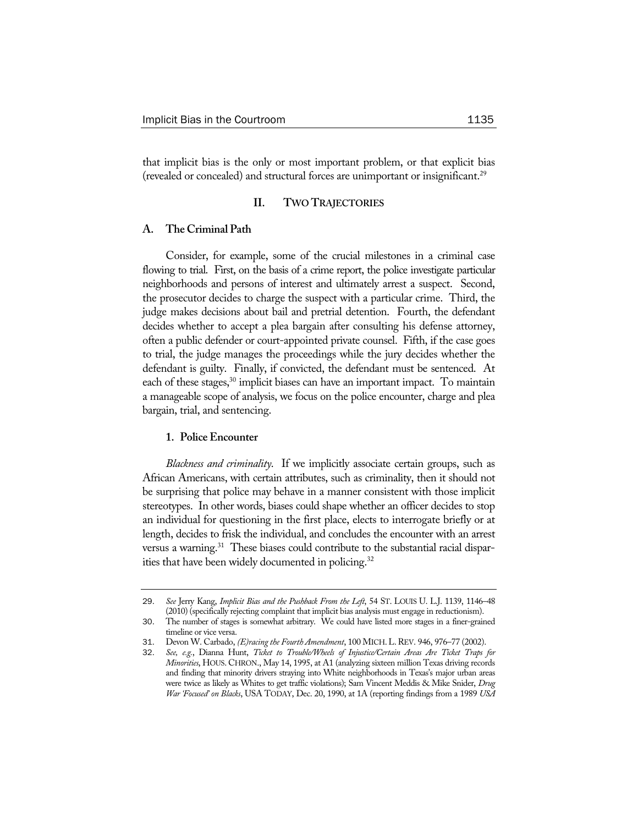that implicit bias is the only or most important problem, or that explicit bias (revealed or concealed) and structural forces are unimportant or insignificant.29

### **II. TWO TRAJECTORIES**

# **A. The Criminal Path**

Consider, for example, some of the crucial milestones in a criminal case flowing to trial. First, on the basis of a crime report, the police investigate particular neighborhoods and persons of interest and ultimately arrest a suspect. Second, the prosecutor decides to charge the suspect with a particular crime. Third, the judge makes decisions about bail and pretrial detention. Fourth, the defendant decides whether to accept a plea bargain after consulting his defense attorney, often a public defender or court-appointed private counsel. Fifth, if the case goes to trial, the judge manages the proceedings while the jury decides whether the defendant is guilty. Finally, if convicted, the defendant must be sentenced. At each of these stages,<sup>30</sup> implicit biases can have an important impact. To maintain a manageable scope of analysis, we focus on the police encounter, charge and plea bargain, trial, and sentencing.

# **1. Police Encounter**

*Blackness and criminality*. If we implicitly associate certain groups, such as African Americans, with certain attributes, such as criminality, then it should not be surprising that police may behave in a manner consistent with those implicit stereotypes. In other words, biases could shape whether an officer decides to stop an individual for questioning in the first place, elects to interrogate briefly or at length, decides to frisk the individual, and concludes the encounter with an arrest versus a warning.<sup>31</sup> These biases could contribute to the substantial racial disparities that have been widely documented in policing.<sup>32</sup>

<sup>29</sup>. *See* Jerry Kang, *Implicit Bias and the Pushback From the Left*, 54 ST. LOUIS U. L.J. 1139, 1146–48 (2010) (specifically rejecting complaint that implicit bias analysis must engage in reductionism).

<sup>30</sup>. The number of stages is somewhat arbitrary. We could have listed more stages in a finer-grained timeline or vice versa.

<sup>31</sup>. Devon W. Carbado, *(E)racing the Fourth Amendment*, 100 MICH.L.REV. 946, 976–77 (2002).

<sup>32</sup>. *See, e.g.*, Dianna Hunt, *Ticket to Trouble/Wheels of Injustice/Certain Areas Are Ticket Traps for Minorities*, HOUS. CHRON., May 14, 1995, at A1 (analyzing sixteen million Texas driving records and finding that minority drivers straying into White neighborhoods in Texas's major urban areas were twice as likely as Whites to get traffic violations); Sam Vincent Meddis & Mike Snider, *Drug War 'Focused' on Blacks*, USA TODAY, Dec. 20, 1990, at 1A (reporting findings from a 1989 *USA*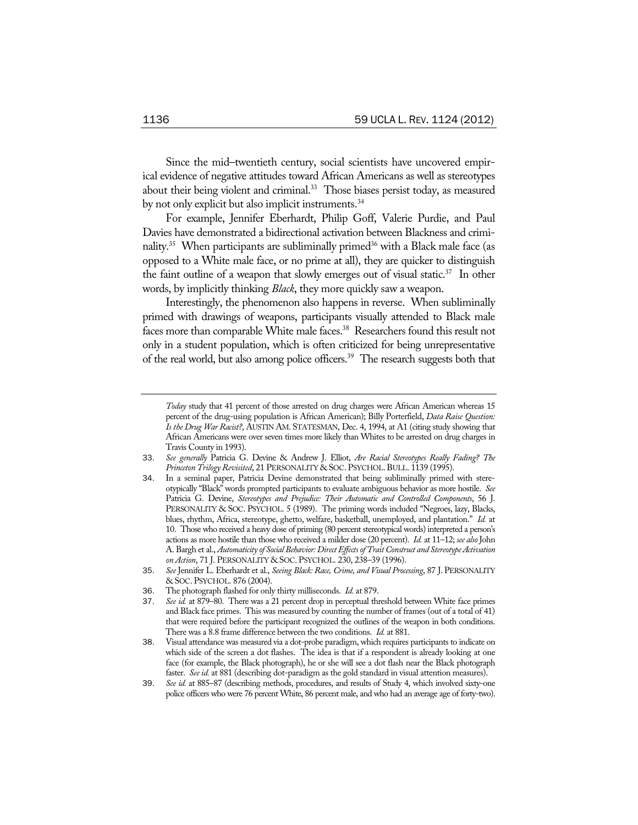Since the mid–twentieth century, social scientists have uncovered empirical evidence of negative attitudes toward African Americans as well as stereotypes about their being violent and criminal.<sup>33</sup> Those biases persist today, as measured by not only explicit but also implicit instruments.<sup>34</sup>

For example, Jennifer Eberhardt, Philip Goff, Valerie Purdie, and Paul Davies have demonstrated a bidirectional activation between Blackness and criminality.<sup>35</sup> When participants are subliminally primed<sup>36</sup> with a Black male face (as opposed to a White male face, or no prime at all), they are quicker to distinguish the faint outline of a weapon that slowly emerges out of visual static.<sup>37</sup> In other words, by implicitly thinking *Black*, they more quickly saw a weapon.

Interestingly, the phenomenon also happens in reverse. When subliminally primed with drawings of weapons, participants visually attended to Black male faces more than comparable White male faces.<sup>38</sup> Researchers found this result not only in a student population, which is often criticized for being unrepresentative of the real world, but also among police officers.39 The research suggests both that

*Today* study that 41 percent of those arrested on drug charges were African American whereas 15 percent of the drug-using population is African American); Billy Porterfield, *Data Raise Question: Is the Drug War Racist?*, AUSTIN AM. STATESMAN, Dec. 4, 1994, at A1 (citing study showing that African Americans were over seven times more likely than Whites to be arrested on drug charges in Travis County in 1993).

<sup>33</sup>. *See generally* Patricia G. Devine & Andrew J. Elliot, *Are Racial Stereotypes Really Fading? The Princeton Trilogy Revisited*, 21 PERSONALITY & SOC. PSYCHOL.BULL. 1139 (1995).

<sup>34</sup>. In a seminal paper, Patricia Devine demonstrated that being subliminally primed with stereotypically "Black" words prompted participants to evaluate ambiguous behavior as more hostile. *See* Patricia G. Devine, *Stereotypes and Prejudice: Their Automatic and Controlled Components*, 56 J. PERSONALITY & SOC. PSYCHOL. 5 (1989). The priming words included "Negroes, lazy, Blacks, blues, rhythm, Africa, stereotype, ghetto, welfare, basketball, unemployed, and plantation." *Id.* at 10. Those who received a heavy dose of priming (80 percent stereotypical words) interpreted a person's actions as more hostile than those who received a milder dose (20 percent). *Id.* at 11–12; *see also* John A. Bargh et al., *Automaticity of Social Behavior: Direct Effects of Trait Construct and Stereotype Activation on Action*, 71 J. PERSONALITY & SOC. PSYCHOL. 230, 238–39 (1996).

<sup>35</sup>. *See* Jennifer L. Eberhardt et al., *Seeing Black: Race, Crime, and Visual Processing*, 87 J. PERSONALITY & SOC. PSYCHOL. 876 (2004).

<sup>36</sup>. The photograph flashed for only thirty milliseconds. *Id.* at 879.

<sup>37</sup>. *See id.* at 879–80. There was a 21 percent drop in perceptual threshold between White face primes and Black face primes. This was measured by counting the number of frames (out of a total of 41) that were required before the participant recognized the outlines of the weapon in both conditions. There was a 8.8 frame difference between the two conditions. *Id.* at 881.

<sup>38</sup>. Visual attendance was measured via a dot-probe paradigm, which requires participants to indicate on which side of the screen a dot flashes. The idea is that if a respondent is already looking at one face (for example, the Black photograph), he or she will see a dot flash near the Black photograph faster. *See id.* at 881 (describing dot-paradigm as the gold standard in visual attention measures).

<sup>39</sup>. *See id.* at 885–87 (describing methods, procedures, and results of Study 4, which involved sixty-one police officers who were 76 percent White, 86 percent male, and who had an average age of forty-two).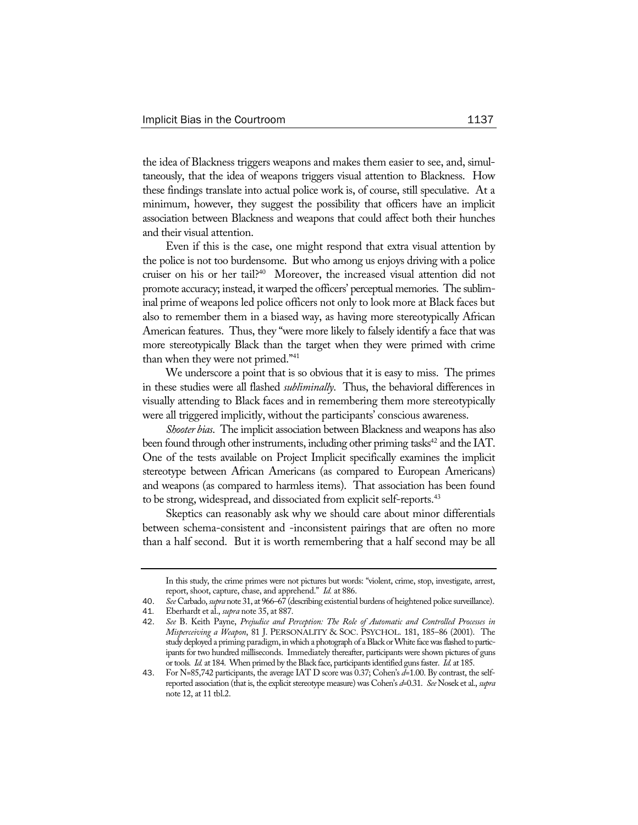the idea of Blackness triggers weapons and makes them easier to see, and, simultaneously, that the idea of weapons triggers visual attention to Blackness. How these findings translate into actual police work is, of course, still speculative. At a minimum, however, they suggest the possibility that officers have an implicit association between Blackness and weapons that could affect both their hunches and their visual attention.

Even if this is the case, one might respond that extra visual attention by the police is not too burdensome. But who among us enjoys driving with a police cruiser on his or her tail?40 Moreover, the increased visual attention did not promote accuracy; instead, it warped the officers' perceptual memories. The subliminal prime of weapons led police officers not only to look more at Black faces but also to remember them in a biased way, as having more stereotypically African American features. Thus, they "were more likely to falsely identify a face that was more stereotypically Black than the target when they were primed with crime than when they were not primed."<sup>41</sup>

We underscore a point that is so obvious that it is easy to miss. The primes in these studies were all flashed *subliminally*. Thus, the behavioral differences in visually attending to Black faces and in remembering them more stereotypically were all triggered implicitly, without the participants' conscious awareness.

*Shooter bias*. The implicit association between Blackness and weapons has also been found through other instruments, including other priming tasks<sup>42</sup> and the IAT. One of the tests available on Project Implicit specifically examines the implicit stereotype between African Americans (as compared to European Americans) and weapons (as compared to harmless items). That association has been found to be strong, widespread, and dissociated from explicit self-reports.<sup>43</sup>

Skeptics can reasonably ask why we should care about minor differentials between schema-consistent and -inconsistent pairings that are often no more than a half second. But it is worth remembering that a half second may be all

In this study, the crime primes were not pictures but words: "violent, crime, stop, investigate, arrest, report, shoot, capture, chase, and apprehend." *Id.* at 886.

<sup>40</sup>. *See* Carbado, *supra* note 31, at 966–67 (describing existential burdens of heightened police surveillance).

<sup>41</sup>*.* Eberhardt et al., *supra* note 35, at 887.

<sup>42</sup>. *See* B. Keith Payne, *Prejudice and Perception: The Role of Automatic and Controlled Processes in Misperceiving a Weapon*, 81 J. PERSONALITY & SOC. PSYCHOL. 181, 185–86 (2001). The study deployed a priming paradigm, in which a photograph of a Black or White face was flashed to participants for two hundred milliseconds. Immediately thereafter, participants were shown pictures of guns or tools*. Id.* at 184. When primed by the Black face, participants identified guns faster. *Id.* at 185.

<sup>43</sup>. For N=85,742 participants, the average IAT D score was 0.37; Cohen's *d*=1.00. By contrast, the selfreported association (that is, the explicit stereotype measure) was Cohen's *d*=0.31. *See* Nosek et al., *supra*  note 12, at 11 tbl.2.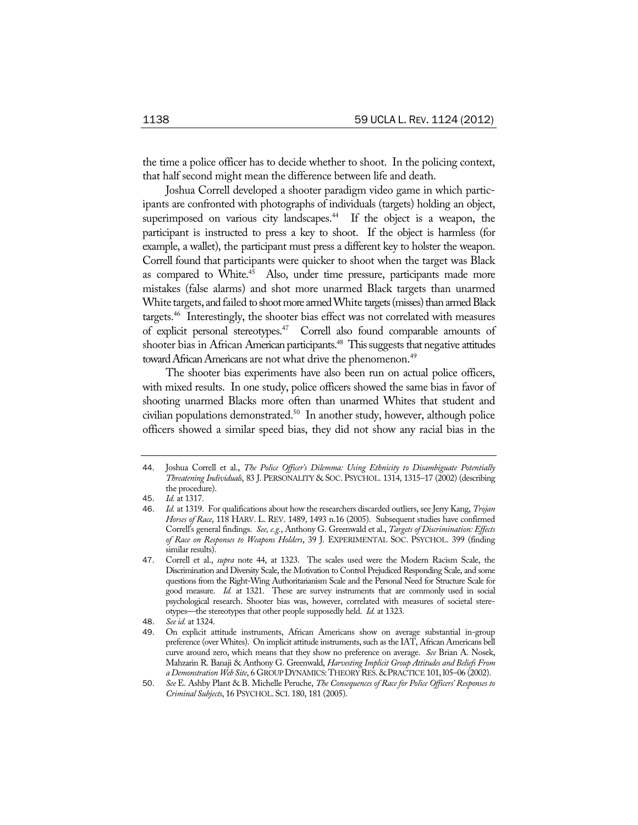the time a police officer has to decide whether to shoot. In the policing context, that half second might mean the difference between life and death.

Joshua Correll developed a shooter paradigm video game in which participants are confronted with photographs of individuals (targets) holding an object, superimposed on various city landscapes.<sup>44</sup> If the object is a weapon, the participant is instructed to press a key to shoot. If the object is harmless (for example, a wallet), the participant must press a different key to holster the weapon. Correll found that participants were quicker to shoot when the target was Black as compared to White.<sup>45</sup> Also, under time pressure, participants made more mistakes (false alarms) and shot more unarmed Black targets than unarmed White targets, and failed to shoot more armed White targets (misses) than armed Black targets.46 Interestingly, the shooter bias effect was not correlated with measures of explicit personal stereotypes.47 Correll also found comparable amounts of shooter bias in African American participants.<sup>48</sup> This suggests that negative attitudes toward African Americans are not what drive the phenomenon.<sup>49</sup>

The shooter bias experiments have also been run on actual police officers, with mixed results. In one study, police officers showed the same bias in favor of shooting unarmed Blacks more often than unarmed Whites that student and civilian populations demonstrated.<sup>50</sup> In another study, however, although police officers showed a similar speed bias, they did not show any racial bias in the

<sup>44</sup>. Joshua Correll et al., *The Police Officer's Dilemma: Using Ethnicity to Disambiguate Potentially Threatening Individuals*, 83 J. PERSONALITY & SOC. PSYCHOL. 1314, 1315–17 (2002) (describing the procedure).

<sup>45</sup>. *Id.* at 1317.

<sup>46</sup>. *Id.* at 1319. For qualifications about how the researchers discarded outliers, see Jerry Kang, *Trojan Horses of Race*, 118 HARV. L. REV. 1489, 1493 n.16 (2005). Subsequent studies have confirmed Correll's general findings. *See, e.g.*, Anthony G. Greenwald et al., *Targets of Discrimination: Effects of Race on Responses to Weapons Holders*, 39 J. EXPERIMENTAL SOC. PSYCHOL. 399 (finding similar results).

<sup>47</sup>. Correll et al., *supra* note 44, at 1323. The scales used were the Modern Racism Scale, the Discrimination and Diversity Scale, the Motivation to Control Prejudiced Responding Scale, and some questions from the Right-Wing Authoritarianism Scale and the Personal Need for Structure Scale for good measure. *Id.* at 1321. These are survey instruments that are commonly used in social psychological research. Shooter bias was, however, correlated with measures of societal stereotypes—the stereotypes that other people supposedly held. *Id.* at 1323.

<sup>48</sup>. *See id.* at 1324.

<sup>49</sup>. On explicit attitude instruments, African Americans show on average substantial in-group preference (over Whites). On implicit attitude instruments, such as the IAT, African Americans bell curve around zero, which means that they show no preference on average. *See* Brian A. Nosek, Mahzarin R. Banaji & Anthony G. Greenwald, *Harvesting Implicit Group Attitudes and Beliefs From a Demonstration Web Site*, 6 GROUP DYNAMICS:THEORY RES. &PRACTICE 101, l05–06 (2002).

<sup>50</sup>. *See* E. Ashby Plant & B. Michelle Peruche, *The Consequences of Race for Police Officers' Responses to Criminal Subjects*, 16 PSYCHOL. SCI. 180, 181 (2005).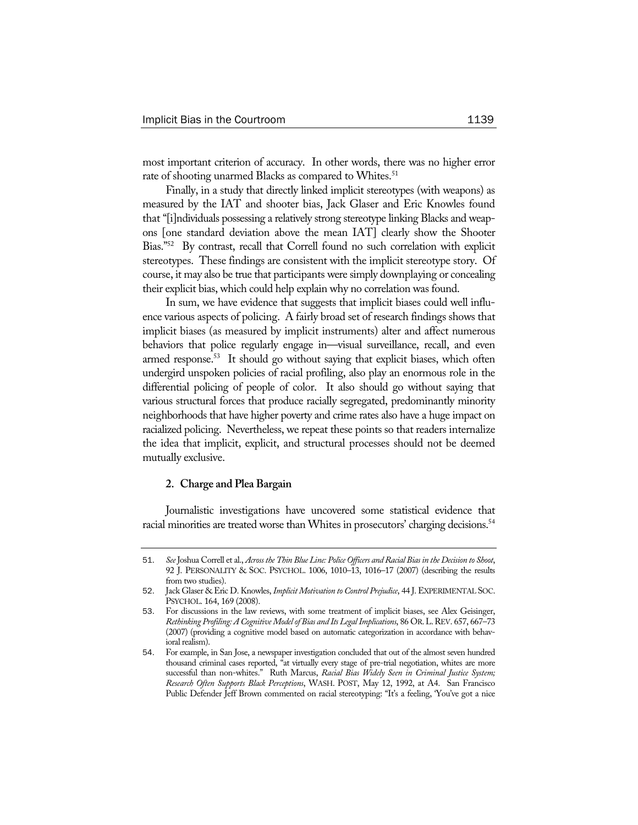most important criterion of accuracy. In other words, there was no higher error rate of shooting unarmed Blacks as compared to Whites.<sup>51</sup>

Finally, in a study that directly linked implicit stereotypes (with weapons) as measured by the IAT and shooter bias, Jack Glaser and Eric Knowles found that "[i]ndividuals possessing a relatively strong stereotype linking Blacks and weapons [one standard deviation above the mean IAT] clearly show the Shooter Bias."52 By contrast, recall that Correll found no such correlation with explicit stereotypes. These findings are consistent with the implicit stereotype story. Of course, it may also be true that participants were simply downplaying or concealing their explicit bias, which could help explain why no correlation was found.

In sum, we have evidence that suggests that implicit biases could well influence various aspects of policing. A fairly broad set of research findings shows that implicit biases (as measured by implicit instruments) alter and affect numerous behaviors that police regularly engage in—visual surveillance, recall, and even armed response.<sup>53</sup> It should go without saying that explicit biases, which often undergird unspoken policies of racial profiling, also play an enormous role in the differential policing of people of color. It also should go without saying that various structural forces that produce racially segregated, predominantly minority neighborhoods that have higher poverty and crime rates also have a huge impact on racialized policing. Nevertheless, we repeat these points so that readers internalize the idea that implicit, explicit, and structural processes should not be deemed mutually exclusive.

### **2. Charge and Plea Bargain**

Journalistic investigations have uncovered some statistical evidence that racial minorities are treated worse than Whites in prosecutors' charging decisions.<sup>54</sup>

<sup>51</sup>. *See* Joshua Correll et al., *Across the Thin Blue Line: Police Officers and Racial Bias in the Decision to Shoot*, 92 J. PERSONALITY & SOC. PSYCHOL. 1006, 1010–13, 1016–17 (2007) (describing the results from two studies).

<sup>52</sup>. Jack Glaser & Eric D. Knowles, *Implicit Motivation to Control Prejudice*, 44 J. EXPERIMENTAL SOC. PSYCHOL. 164, 169 (2008).

<sup>53</sup>. For discussions in the law reviews, with some treatment of implicit biases, see Alex Geisinger, *Rethinking Profiling: A Cognitive Model of Bias and Its Legal Implications*, 86 OR.L.REV. 657, 667–73 (2007) (providing a cognitive model based on automatic categorization in accordance with behavioral realism).

<sup>54</sup>. For example, in San Jose, a newspaper investigation concluded that out of the almost seven hundred thousand criminal cases reported, "at virtually every stage of pre-trial negotiation, whites are more successful than non-whites." Ruth Marcus, *Racial Bias Widely Seen in Criminal Justice System; Research Often Supports Black Perceptions*, WASH. POST, May 12, 1992, at A4. San Francisco Public Defender Jeff Brown commented on racial stereotyping: "It's a feeling, 'You've got a nice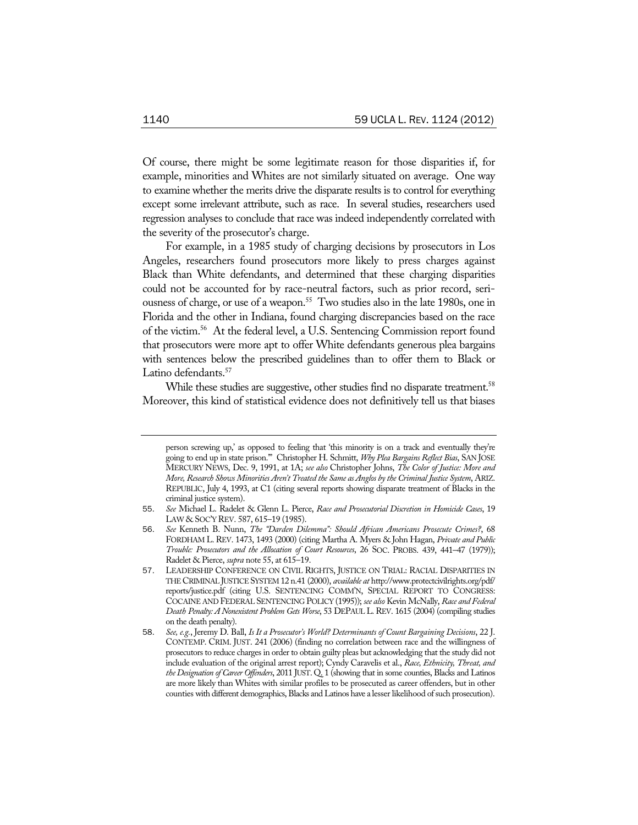Of course, there might be some legitimate reason for those disparities if, for example, minorities and Whites are not similarly situated on average. One way to examine whether the merits drive the disparate results is to control for everything except some irrelevant attribute, such as race. In several studies, researchers used regression analyses to conclude that race was indeed independently correlated with the severity of the prosecutor's charge.

For example, in a 1985 study of charging decisions by prosecutors in Los Angeles, researchers found prosecutors more likely to press charges against Black than White defendants, and determined that these charging disparities could not be accounted for by race-neutral factors, such as prior record, seriousness of charge, or use of a weapon.<sup>55</sup> Two studies also in the late 1980s, one in Florida and the other in Indiana, found charging discrepancies based on the race of the victim.56 At the federal level, a U.S. Sentencing Commission report found that prosecutors were more apt to offer White defendants generous plea bargains with sentences below the prescribed guidelines than to offer them to Black or Latino defendants.<sup>57</sup>

While these studies are suggestive, other studies find no disparate treatment.<sup>58</sup> Moreover, this kind of statistical evidence does not definitively tell us that biases

person screwing up,' as opposed to feeling that 'this minority is on a track and eventually they're going to end up in state prison.'" Christopher H. Schmitt, *Why Plea Bargains Reflect Bias*, SAN JOSE MERCURY NEWS, Dec. 9, 1991, at 1A; *see also* Christopher Johns, *The Color of Justice: More and More, Research Shows Minorities Aren't Treated the Same as Anglos by the Criminal Justice System*, ARIZ. REPUBLIC, July 4, 1993, at C1 (citing several reports showing disparate treatment of Blacks in the criminal justice system).

<sup>55</sup>. *See* Michael L. Radelet & Glenn L. Pierce, *Race and Prosecutorial Discretion in Homicide Cases*, 19 LAW & SOC'Y REV. 587, 615–19 (1985).

<sup>56</sup>. *See* Kenneth B. Nunn, *The "Darden Dilemma": Should African Americans Prosecute Crimes?*, 68 FORDHAM L.REV. 1473, 1493 (2000) (citing Martha A. Myers & John Hagan, *Private and Public Trouble: Prosecutors and the Allocation of Court Resources*, 26 SOC. PROBS. 439, 441–47 (1979)); Radelet & Pierce, *supra* note 55, at 615–19.

<sup>57</sup>. LEADERSHIP CONFERENCE ON CIVIL RIGHTS, JUSTICE ON TRIAL: RACIAL DISPARITIES IN THE CRIMINAL JUSTICE SYSTEM 12 n.41 (2000), *available at* http://www.protectcivilrights.org/pdf/ reports/justice.pdf (citing U.S. SENTENCING COMM'N, SPECIAL REPORT TO CONGRESS: COCAINE AND FEDERAL SENTENCING POLICY (1995)); *see also* Kevin McNally, *Race and Federal Death Penalty: A Nonexistent Problem Gets Worse*, 53 DEPAUL L.REV. 1615 (2004) (compiling studies on the death penalty).

<sup>58</sup>. *See, e.g.*, Jeremy D. Ball, *Is It a Prosecutor's World? Determinants of Count Bargaining Decisions*, 22 J. CONTEMP. CRIM. JUST. 241 (2006) (finding no correlation between race and the willingness of prosecutors to reduce charges in order to obtain guilty pleas but acknowledging that the study did not include evaluation of the original arrest report); Cyndy Caravelis et al., *Race, Ethnicity, Threat, and the Designation of Career Offenders*, 2011 JUST. Q. 1 (showing that in some counties, Blacks and Latinos are more likely than Whites with similar profiles to be prosecuted as career offenders, but in other counties with different demographics, Blacks and Latinos have a lesser likelihood of such prosecution).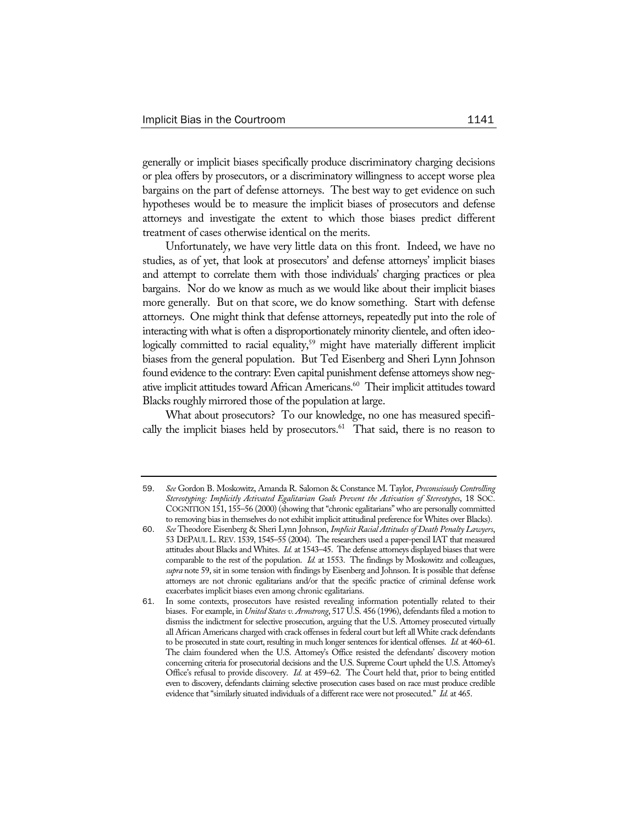generally or implicit biases specifically produce discriminatory charging decisions or plea offers by prosecutors, or a discriminatory willingness to accept worse plea bargains on the part of defense attorneys. The best way to get evidence on such hypotheses would be to measure the implicit biases of prosecutors and defense attorneys and investigate the extent to which those biases predict different treatment of cases otherwise identical on the merits.

Unfortunately, we have very little data on this front. Indeed, we have no studies, as of yet, that look at prosecutors' and defense attorneys' implicit biases and attempt to correlate them with those individuals' charging practices or plea bargains. Nor do we know as much as we would like about their implicit biases more generally. But on that score, we do know something. Start with defense attorneys. One might think that defense attorneys, repeatedly put into the role of interacting with what is often a disproportionately minority clientele, and often ideologically committed to racial equality,<sup>59</sup> might have materially different implicit biases from the general population. But Ted Eisenberg and Sheri Lynn Johnson found evidence to the contrary: Even capital punishment defense attorneys show negative implicit attitudes toward African Americans.<sup>60</sup> Their implicit attitudes toward Blacks roughly mirrored those of the population at large.

What about prosecutors? To our knowledge, no one has measured specifically the implicit biases held by prosecutors.<sup>61</sup> That said, there is no reason to

<sup>59</sup>. *See* Gordon B. Moskowitz, Amanda R. Salomon & Constance M. Taylor, *Preconsciously Controlling Stereotyping: Implicitly Activated Egalitarian Goals Prevent the Activation of Stereotypes*, 18 SOC. COGNITION 151, 155–56 (2000) (showing that "chronic egalitarians" who are personally committed to removing bias in themselves do not exhibit implicit attitudinal preference for Whites over Blacks).

<sup>60</sup>. *See* Theodore Eisenberg & Sheri Lynn Johnson, *Implicit Racial Attitudes of Death Penalty Lawyers*, 53 DEPAUL L.REV. 1539, 1545–55 (2004). The researchers used a paper-pencil IAT that measured attitudes about Blacks and Whites. *Id.* at 1543–45. The defense attorneys displayed biases that were comparable to the rest of the population. *Id.* at 1553. The findings by Moskowitz and colleagues, *supra* note 59, sit in some tension with findings by Eisenberg and Johnson. It is possible that defense attorneys are not chronic egalitarians and/or that the specific practice of criminal defense work exacerbates implicit biases even among chronic egalitarians.

<sup>61</sup>. In some contexts, prosecutors have resisted revealing information potentially related to their biases. For example, in *United States v. Armstrong*, 517 U.S. 456 (1996), defendants filed a motion to dismiss the indictment for selective prosecution, arguing that the U.S. Attorney prosecuted virtually all African Americans charged with crack offenses in federal court but left all White crack defendants to be prosecuted in state court, resulting in much longer sentences for identical offenses. *Id.* at 460–61. The claim foundered when the U.S. Attorney's Office resisted the defendants' discovery motion concerning criteria for prosecutorial decisions and the U.S. Supreme Court upheld the U.S. Attorney's Office's refusal to provide discovery. *Id.* at 459–62. The Court held that, prior to being entitled even to discovery, defendants claiming selective prosecution cases based on race must produce credible evidence that "similarly situated individuals of a different race were not prosecuted." *Id.* at 465.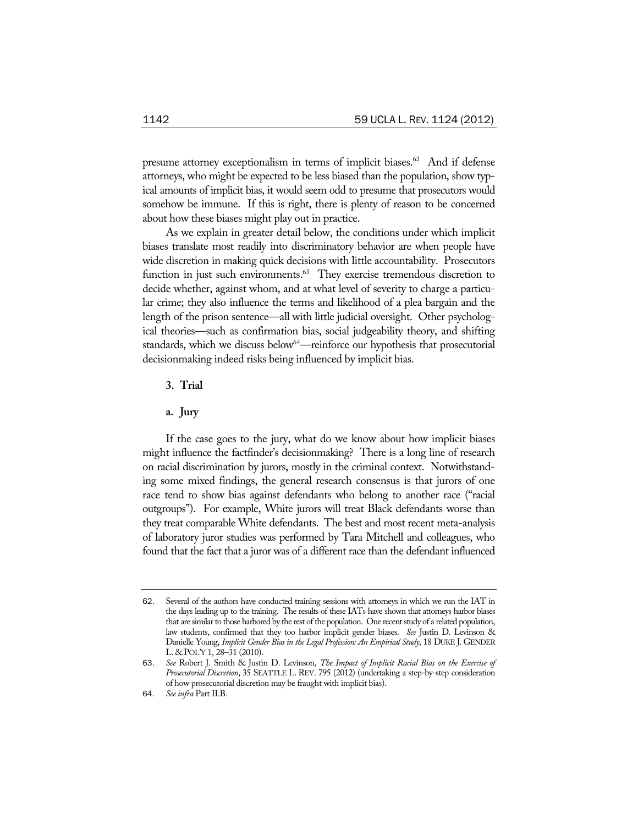presume attorney exceptionalism in terms of implicit biases.<sup>62</sup> And if defense attorneys, who might be expected to be less biased than the population, show typical amounts of implicit bias, it would seem odd to presume that prosecutors would somehow be immune. If this is right, there is plenty of reason to be concerned about how these biases might play out in practice.

As we explain in greater detail below, the conditions under which implicit biases translate most readily into discriminatory behavior are when people have wide discretion in making quick decisions with little accountability. Prosecutors function in just such environments.<sup>63</sup> They exercise tremendous discretion to decide whether, against whom, and at what level of severity to charge a particular crime; they also influence the terms and likelihood of a plea bargain and the length of the prison sentence—all with little judicial oversight. Other psychological theories—such as confirmation bias, social judgeability theory, and shifting standards, which we discuss below<sup>64</sup>—reinforce our hypothesis that prosecutorial decisionmaking indeed risks being influenced by implicit bias.

- **3. Trial**
- **a. Jury**

If the case goes to the jury, what do we know about how implicit biases might influence the factfinder's decisionmaking? There is a long line of research on racial discrimination by jurors, mostly in the criminal context. Notwithstanding some mixed findings, the general research consensus is that jurors of one race tend to show bias against defendants who belong to another race ("racial outgroups"). For example, White jurors will treat Black defendants worse than they treat comparable White defendants. The best and most recent meta-analysis of laboratory juror studies was performed by Tara Mitchell and colleagues, who found that the fact that a juror was of a different race than the defendant influenced

<sup>62</sup>. Several of the authors have conducted training sessions with attorneys in which we run the IAT in the days leading up to the training. The results of these IATs have shown that attorneys harbor biases that are similar to those harbored by the rest of the population. One recent study of a related population, law students, confirmed that they too harbor implicit gender biases. *See* Justin D. Levinson & Danielle Young, *Implicit Gender Bias in the Legal Profession: An Empirical Study*, 18 DUKE J. GENDER L. & POL'Y 1, 28–31 (2010).

<sup>63</sup>. *See* Robert J. Smith & Justin D. Levinson, *The Impact of Implicit Racial Bias on the Exercise of Prosecutorial Discretion*, 35 SEATTLE L. REV. 795 (2012) (undertaking a step-by-step consideration of how prosecutorial discretion may be fraught with implicit bias).

<sup>64</sup>. *See infra* Part II.B.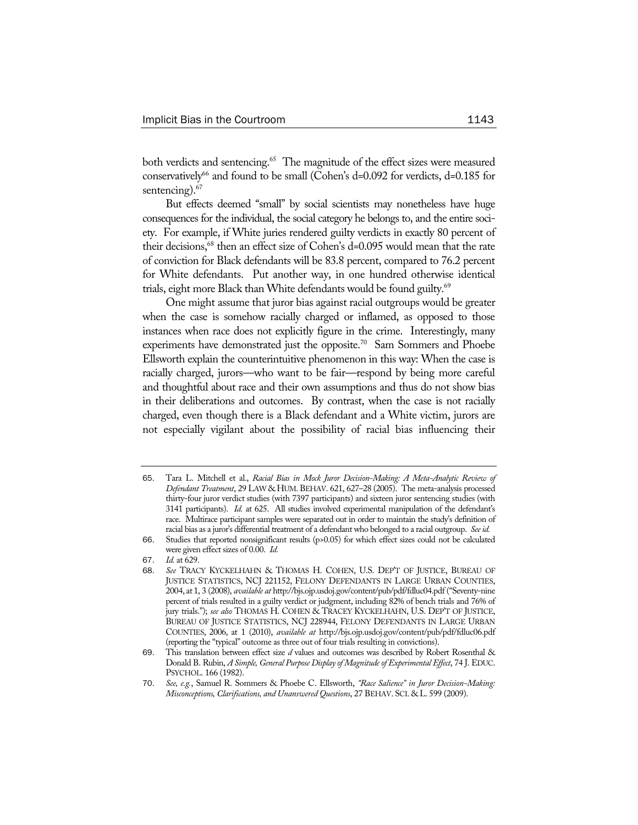both verdicts and sentencing.<sup>65</sup> The magnitude of the effect sizes were measured conservatively<sup>66</sup> and found to be small (Cohen's  $d=0.092$  for verdicts,  $d=0.185$  for sentencing).<sup>67</sup>

But effects deemed "small" by social scientists may nonetheless have huge consequences for the individual, the social category he belongs to, and the entire society. For example, if White juries rendered guilty verdicts in exactly 80 percent of their decisions,68 then an effect size of Cohen's d=0.095 would mean that the rate of conviction for Black defendants will be 83.8 percent, compared to 76.2 percent for White defendants. Put another way, in one hundred otherwise identical trials, eight more Black than White defendants would be found guilty.<sup>69</sup>

One might assume that juror bias against racial outgroups would be greater when the case is somehow racially charged or inflamed, as opposed to those instances when race does not explicitly figure in the crime. Interestingly, many experiments have demonstrated just the opposite.<sup>70</sup> Sam Sommers and Phoebe Ellsworth explain the counterintuitive phenomenon in this way: When the case is racially charged, jurors—who want to be fair—respond by being more careful and thoughtful about race and their own assumptions and thus do not show bias in their deliberations and outcomes. By contrast, when the case is not racially charged, even though there is a Black defendant and a White victim, jurors are not especially vigilant about the possibility of racial bias influencing their

<sup>65</sup>. Tara L. Mitchell et al., *Racial Bias in Mock Juror Decision-Making: A Meta-Analytic Review of Defendant Treatment*, 29 LAW & HUM. BEHAV. 621, 627–28 (2005). The meta-analysis processed thirty-four juror verdict studies (with 7397 participants) and sixteen juror sentencing studies (with 3141 participants). *Id.* at 625. All studies involved experimental manipulation of the defendant's race. Multirace participant samples were separated out in order to maintain the study's definition of racial bias as a juror's differential treatment of a defendant who belonged to a racial outgroup. *See id.*

<sup>66</sup>. Studies that reported nonsignificant results (p>0.05) for which effect sizes could not be calculated were given effect sizes of 0.00. *Id.*

<sup>67</sup>. *Id.* at 629.

<sup>68</sup>. *See* TRACY KYCKELHAHN & THOMAS H. COHEN, U.S. DEP'T OF JUSTICE, BUREAU OF JUSTICE STATISTICS, NCJ 221152, FELONY DEFENDANTS IN LARGE URBAN COUNTIES, 2004, at 1, 3 (2008), *available at* http://bjs.ojp.usdoj.gov/content/pub/pdf/fdluc04.pdf ("Seventy-nine percent of trials resulted in a guilty verdict or judgment, including 82% of bench trials and 76% of jury trials."); *see also* THOMAS H. COHEN & TRACEY KYCKELHAHN, U.S. DEP'T OF JUSTICE, BUREAU OF JUSTICE STATISTICS, NCJ 228944, FELONY DEFENDANTS IN LARGE URBAN COUNTIES, 2006, at 1 (2010), *available at* http://bjs.ojp.usdoj.gov/content/pub/pdf/fdluc06.pdf (reporting the "typical" outcome as three out of four trials resulting in convictions).

<sup>69</sup>. This translation between effect size *d* values and outcomes was described by Robert Rosenthal & Donald B. Rubin, *A Simple, General Purpose Display of Magnitude of Experimental Effect*, 74 J. EDUC. PSYCHOL. 166 (1982).

<sup>70</sup>. *See, e.g.*, Samuel R. Sommers & Phoebe C. Ellsworth, *"Race Salience" in Juror Decision-Making: Misconceptions, Clarifications, and Unanswered Questions*, 27 BEHAV. SCI. & L. 599 (2009).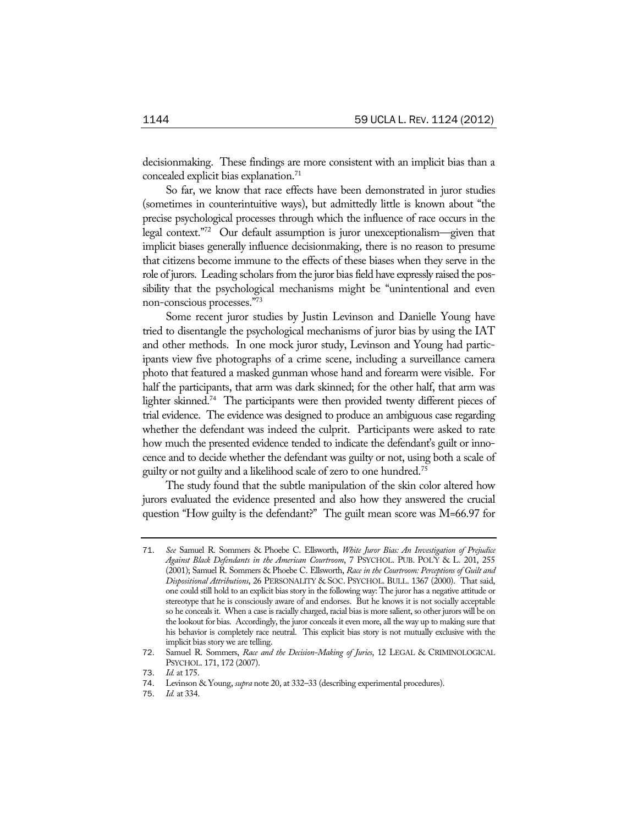decisionmaking. These findings are more consistent with an implicit bias than a concealed explicit bias explanation.<sup>71</sup>

So far, we know that race effects have been demonstrated in juror studies (sometimes in counterintuitive ways), but admittedly little is known about "the precise psychological processes through which the influence of race occurs in the legal context."72 Our default assumption is juror unexceptionalism—given that implicit biases generally influence decisionmaking, there is no reason to presume that citizens become immune to the effects of these biases when they serve in the role of jurors. Leading scholars from the juror bias field have expressly raised the possibility that the psychological mechanisms might be "unintentional and even non-conscious processes."73

Some recent juror studies by Justin Levinson and Danielle Young have tried to disentangle the psychological mechanisms of juror bias by using the IAT and other methods. In one mock juror study, Levinson and Young had participants view five photographs of a crime scene, including a surveillance camera photo that featured a masked gunman whose hand and forearm were visible. For half the participants, that arm was dark skinned; for the other half, that arm was lighter skinned.<sup>74</sup> The participants were then provided twenty different pieces of trial evidence. The evidence was designed to produce an ambiguous case regarding whether the defendant was indeed the culprit. Participants were asked to rate how much the presented evidence tended to indicate the defendant's guilt or innocence and to decide whether the defendant was guilty or not, using both a scale of guilty or not guilty and a likelihood scale of zero to one hundred.<sup>75</sup>

The study found that the subtle manipulation of the skin color altered how jurors evaluated the evidence presented and also how they answered the crucial question "How guilty is the defendant?" The guilt mean score was M=66.97 for

<sup>71</sup>. *See* Samuel R. Sommers & Phoebe C. Ellsworth, *White Juror Bias: An Investigation of Prejudice Against Black Defendants in the American Courtroom*, 7 PSYCHOL. PUB. POL'Y & L. 201, 255 (2001); Samuel R. Sommers & Phoebe C. Ellsworth, *Race in the Courtroom: Perceptions of Guilt and Dispositional Attributions*, 26 PERSONALITY & SOC. PSYCHOL. BULL. 1367 (2000). That said, one could still hold to an explicit bias story in the following way: The juror has a negative attitude or stereotype that he is consciously aware of and endorses. But he knows it is not socially acceptable so he conceals it. When a case is racially charged, racial bias is more salient, so other jurors will be on the lookout for bias. Accordingly, the juror conceals it even more, all the way up to making sure that his behavior is completely race neutral. This explicit bias story is not mutually exclusive with the implicit bias story we are telling.

<sup>72</sup>. Samuel R. Sommers, *Race and the Decision-Making of Juries*, 12 LEGAL & CRIMINOLOGICAL PSYCHOL. 171, 172 (2007).

<sup>73</sup>. *Id.* at 175.

<sup>74</sup>. Levinson & Young, *supra* note 20, at 332–33 (describing experimental procedures).

*Id.* at 334.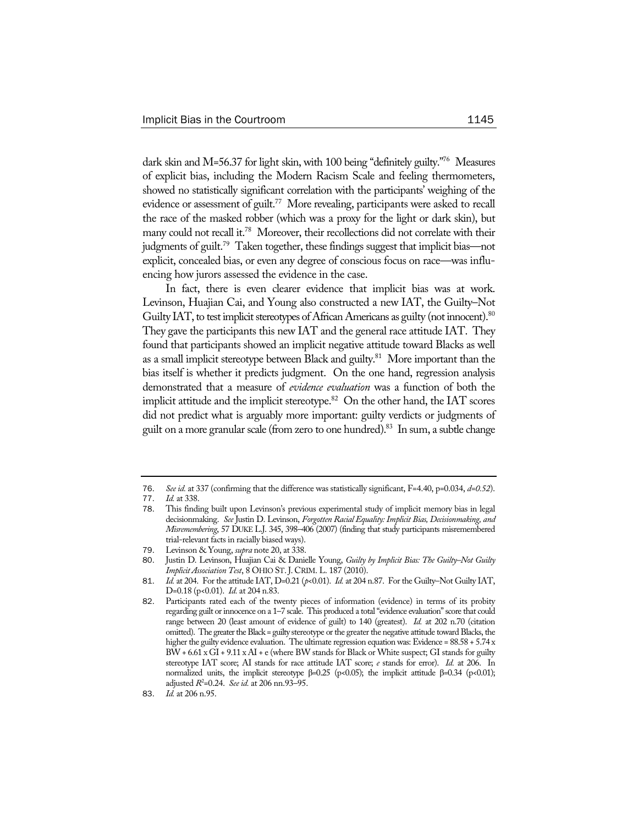dark skin and M=56.37 for light skin, with 100 being "definitely guilty."76 Measures of explicit bias, including the Modern Racism Scale and feeling thermometers, showed no statistically significant correlation with the participants' weighing of the evidence or assessment of guilt.<sup>77</sup> More revealing, participants were asked to recall the race of the masked robber (which was a proxy for the light or dark skin), but many could not recall it.<sup>78</sup> Moreover, their recollections did not correlate with their judgments of guilt.<sup>79</sup> Taken together, these findings suggest that implicit bias—not explicit, concealed bias, or even any degree of conscious focus on race—was influencing how jurors assessed the evidence in the case.

In fact, there is even clearer evidence that implicit bias was at work. Levinson, Huajian Cai, and Young also constructed a new IAT, the Guilty–Not Guilty IAT, to test implicit stereotypes of African Americans as guilty (not innocent).<sup>80</sup> They gave the participants this new IAT and the general race attitude IAT. They found that participants showed an implicit negative attitude toward Blacks as well as a small implicit stereotype between Black and guilty.<sup>81</sup> More important than the bias itself is whether it predicts judgment. On the one hand, regression analysis demonstrated that a measure of *evidence evaluation* was a function of both the implicit attitude and the implicit stereotype. $82$  On the other hand, the IAT scores did not predict what is arguably more important: guilty verdicts or judgments of guilt on a more granular scale (from zero to one hundred).<sup>83</sup> In sum, a subtle change

<sup>76</sup>. *See id.* at 337 (confirming that the difference was statistically significant, F=4.40, p=0.034, *d=0.52*).

<sup>77</sup>. *Id.* at 338.

<sup>78</sup>. This finding built upon Levinson's previous experimental study of implicit memory bias in legal decisionmaking. *See* Justin D. Levinson, *Forgotten Racial Equality: Implicit Bias, Decisionmaking, and Misremembering*, 57 DUKE L.J. 345, 398–406 (2007) (finding that study participants misremembered trial-relevant facts in racially biased ways).

<sup>79</sup>. Levinson & Young, *supra* note 20, at 338.

<sup>80</sup>. Justin D. Levinson, Huajian Cai & Danielle Young, *Guilty by Implicit Bias: The Guilty–Not Guilty Implicit Association Test*, 8 OHIO ST.J. CRIM. L. 187 (2010).

<sup>81</sup>. *Id.* at 204. For the attitude IAT, D=0.21 (*p*<0.01). *Id.* at 204 n.87. For the Guilty–Not Guilty IAT, D=0.18 (p<0.01). *Id.* at 204 n.83.

<sup>82</sup>. Participants rated each of the twenty pieces of information (evidence) in terms of its probity regarding guilt or innocence on a 1–7 scale. This produced a total "evidence evaluation" score that could range between 20 (least amount of evidence of guilt) to 140 (greatest). *Id.* at 202 n.70 (citation omitted). The greater the Black = guilty stereotype or the greater the negative attitude toward Blacks, the higher the guilty evidence evaluation. The ultimate regression equation was: Evidence =  $88.58 + 5.74 \text{ x}$ BW + 6.61 x GI + 9.11 x AI + e (where BW stands for Black or White suspect; GI stands for guilty stereotype IAT score; AI stands for race attitude IAT score; *e* stands for error). *Id.* at 206. In normalized units, the implicit stereotype β=0.25 (p<0.05); the implicit attitude β=0.34 (p<0.01); adjusted *R*<sup>2</sup> =0.24. *See id.* at 206 nn.93–95.

<sup>83</sup>. *Id.* at 206 n.95.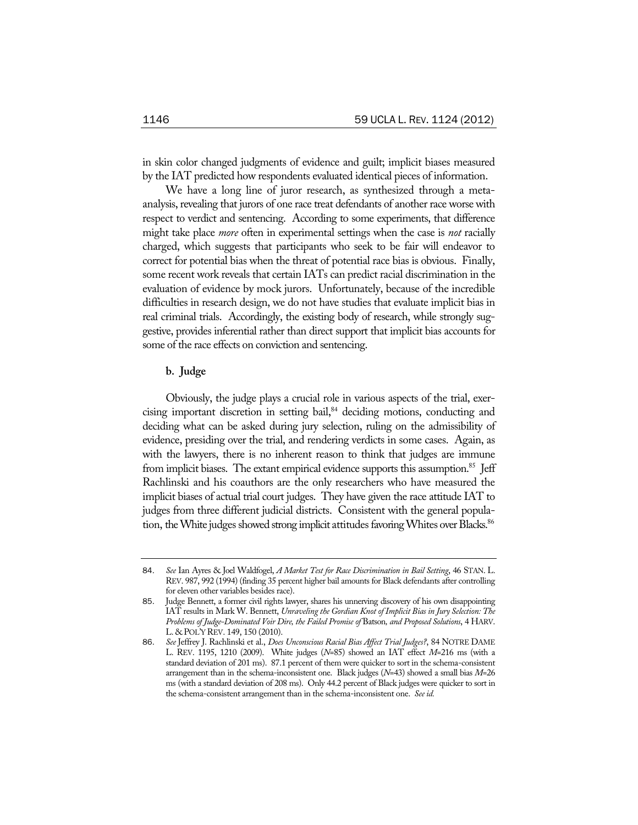in skin color changed judgments of evidence and guilt; implicit biases measured by the IAT predicted how respondents evaluated identical pieces of information.

We have a long line of juror research, as synthesized through a metaanalysis, revealing that jurors of one race treat defendants of another race worse with respect to verdict and sentencing. According to some experiments, that difference might take place *more* often in experimental settings when the case is *not* racially charged, which suggests that participants who seek to be fair will endeavor to correct for potential bias when the threat of potential race bias is obvious. Finally, some recent work reveals that certain IATs can predict racial discrimination in the evaluation of evidence by mock jurors. Unfortunately, because of the incredible difficulties in research design, we do not have studies that evaluate implicit bias in real criminal trials. Accordingly, the existing body of research, while strongly suggestive, provides inferential rather than direct support that implicit bias accounts for some of the race effects on conviction and sentencing.

# **b. Judge**

Obviously, the judge plays a crucial role in various aspects of the trial, exercising important discretion in setting bail,<sup>84</sup> deciding motions, conducting and deciding what can be asked during jury selection, ruling on the admissibility of evidence, presiding over the trial, and rendering verdicts in some cases. Again, as with the lawyers, there is no inherent reason to think that judges are immune from implicit biases. The extant empirical evidence supports this assumption.<sup>85</sup> Jeff Rachlinski and his coauthors are the only researchers who have measured the implicit biases of actual trial court judges. They have given the race attitude IAT to judges from three different judicial districts. Consistent with the general population, the White judges showed strong implicit attitudes favoring Whites over Blacks.<sup>86</sup>

<sup>84</sup>. *See* Ian Ayres & Joel Waldfogel, *A Market Test for Race Discrimination in Bail Setting*, 46 STAN. L. REV. 987, 992 (1994) (finding 35 percent higher bail amounts for Black defendants after controlling for eleven other variables besides race).

<sup>85</sup>. Judge Bennett, a former civil rights lawyer, shares his unnerving discovery of his own disappointing IAT results in Mark W. Bennett, *Unraveling the Gordian Knot of Implicit Bias in Jury Selection: The Problems of Judge-Dominated Voir Dire, the Failed Promise of* Batson*, and Proposed Solutions*, 4 HARV. L. & POL'Y REV. 149, 150 (2010).

<sup>86</sup>. *See* Jeffrey J. Rachlinski et al., *Does Unconscious Racial Bias Affect Trial Judges?*, 84 NOTRE DAME L. REV. 1195, 1210 (2009). White judges (*N*=85) showed an IAT effect *M*=216 ms (with a standard deviation of 201 ms). 87.1 percent of them were quicker to sort in the schema-consistent arrangement than in the schema-inconsistent one. Black judges (*N*=43) showed a small bias *M*=26 ms (with a standard deviation of 208 ms). Only 44.2 percent of Black judges were quicker to sort in the schema-consistent arrangement than in the schema-inconsistent one. *See id.*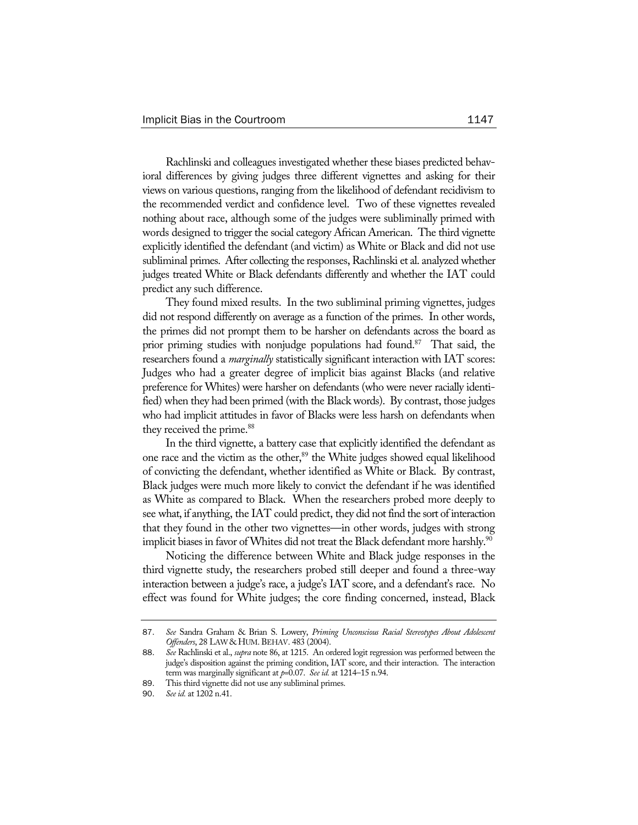Rachlinski and colleagues investigated whether these biases predicted behavioral differences by giving judges three different vignettes and asking for their views on various questions, ranging from the likelihood of defendant recidivism to the recommended verdict and confidence level. Two of these vignettes revealed nothing about race, although some of the judges were subliminally primed with words designed to trigger the social category African American. The third vignette explicitly identified the defendant (and victim) as White or Black and did not use subliminal primes. After collecting the responses, Rachlinski et al. analyzed whether judges treated White or Black defendants differently and whether the IAT could predict any such difference.

They found mixed results. In the two subliminal priming vignettes, judges did not respond differently on average as a function of the primes. In other words, the primes did not prompt them to be harsher on defendants across the board as prior priming studies with nonjudge populations had found.<sup>87</sup> That said, the researchers found a *marginally* statistically significant interaction with IAT scores: Judges who had a greater degree of implicit bias against Blacks (and relative preference for Whites) were harsher on defendants (who were never racially identified) when they had been primed (with the Black words). By contrast, those judges who had implicit attitudes in favor of Blacks were less harsh on defendants when they received the prime.<sup>88</sup>

In the third vignette, a battery case that explicitly identified the defendant as one race and the victim as the other,<sup>89</sup> the White judges showed equal likelihood of convicting the defendant, whether identified as White or Black. By contrast, Black judges were much more likely to convict the defendant if he was identified as White as compared to Black. When the researchers probed more deeply to see what, if anything, the IAT could predict, they did not find the sort of interaction that they found in the other two vignettes—in other words, judges with strong implicit biases in favor of Whites did not treat the Black defendant more harshly.<sup>90</sup>

Noticing the difference between White and Black judge responses in the third vignette study, the researchers probed still deeper and found a three-way interaction between a judge's race, a judge's IAT score, and a defendant's race. No effect was found for White judges; the core finding concerned, instead, Black

<sup>87</sup>. *See* Sandra Graham & Brian S. Lowery, *Priming Unconscious Racial Stereotypes About Adolescent Offenders*, 28 LAW & HUM.BEHAV. 483 (2004).

<sup>88</sup>. *See* Rachlinski et al., *supra* note 86, at 1215. An ordered logit regression was performed between the judge's disposition against the priming condition, IAT score, and their interaction. The interaction term was marginally significant at *p*=0.07. *See id.* at 1214–15 n.94.

<sup>89</sup>. This third vignette did not use any subliminal primes.

<sup>90</sup>. *See id.* at 1202 n.41.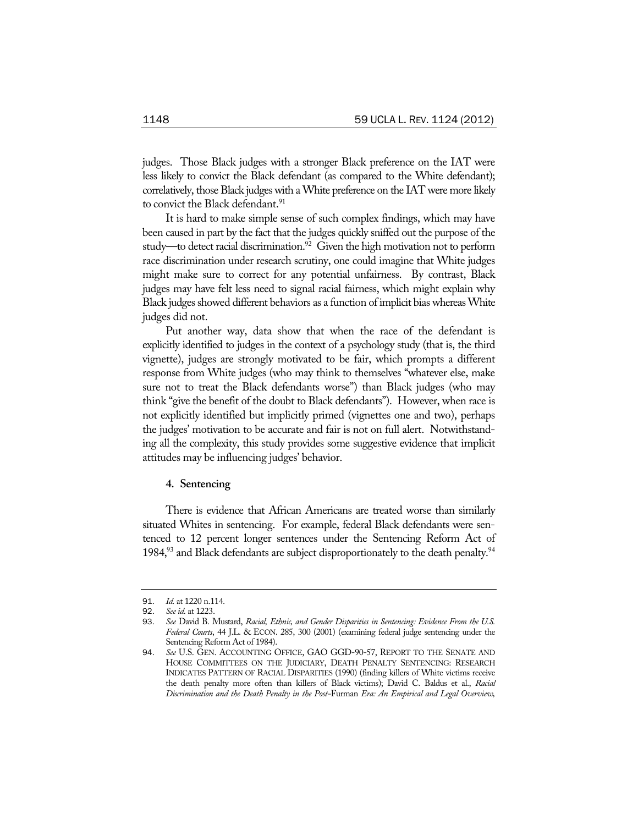judges. Those Black judges with a stronger Black preference on the IAT were less likely to convict the Black defendant (as compared to the White defendant); correlatively, those Black judges with a White preference on the IAT were more likely to convict the Black defendant.<sup>91</sup>

It is hard to make simple sense of such complex findings, which may have been caused in part by the fact that the judges quickly sniffed out the purpose of the study—to detect racial discrimination.<sup>92</sup> Given the high motivation not to perform race discrimination under research scrutiny, one could imagine that White judges might make sure to correct for any potential unfairness. By contrast, Black judges may have felt less need to signal racial fairness, which might explain why Black judges showed different behaviors as a function of implicit bias whereas White judges did not.

Put another way, data show that when the race of the defendant is explicitly identified to judges in the context of a psychology study (that is, the third vignette), judges are strongly motivated to be fair, which prompts a different response from White judges (who may think to themselves "whatever else, make sure not to treat the Black defendants worse") than Black judges (who may think "give the benefit of the doubt to Black defendants"). However, when race is not explicitly identified but implicitly primed (vignettes one and two), perhaps the judges' motivation to be accurate and fair is not on full alert. Notwithstanding all the complexity, this study provides some suggestive evidence that implicit attitudes may be influencing judges' behavior.

### **4. Sentencing**

There is evidence that African Americans are treated worse than similarly situated Whites in sentencing. For example, federal Black defendants were sentenced to 12 percent longer sentences under the Sentencing Reform Act of 1984, $93$  and Black defendants are subject disproportionately to the death penalty.  $94$ 

<sup>91.</sup> *Id.* at 1220 n.114.<br>92 *See id.* at 1223

<sup>92</sup>. *See id.* at 1223.

<sup>93</sup>. *See* David B. Mustard, *Racial, Ethnic, and Gender Disparities in Sentencing: Evidence From the U.S. Federal Courts*, 44 J.L. & ECON. 285, 300 (2001) (examining federal judge sentencing under the Sentencing Reform Act of 1984).

<sup>94</sup>. *See* U.S. GEN. ACCOUNTING OFFICE, GAO GGD-90-57, REPORT TO THE SENATE AND HOUSE COMMITTEES ON THE JUDICIARY, DEATH PENALTY SENTENCING: RESEARCH INDICATES PATTERN OF RACIAL DISPARITIES (1990) (finding killers of White victims receive the death penalty more often than killers of Black victims); David C. Baldus et al., *Racial Discrimination and the Death Penalty in the Post-*Furman *Era: An Empirical and Legal Overview,*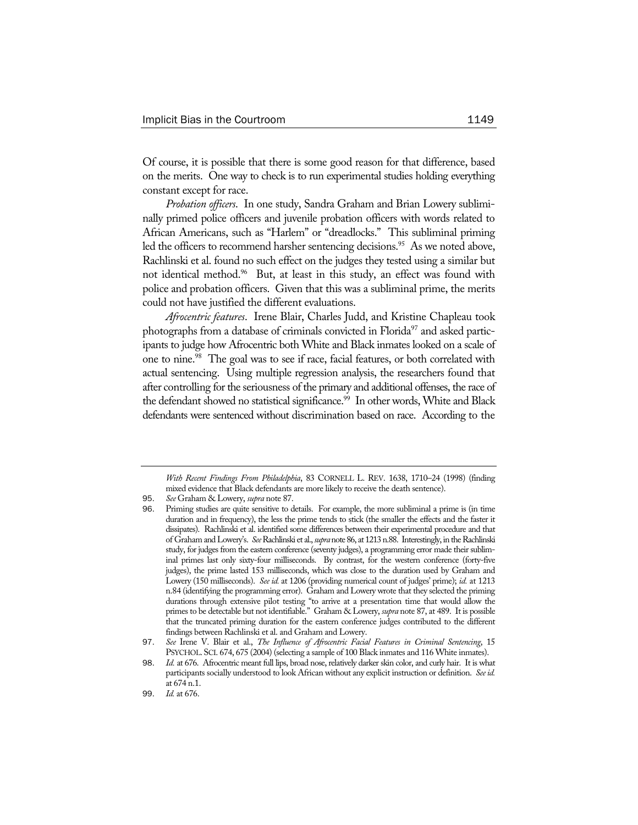Of course, it is possible that there is some good reason for that difference, based on the merits. One way to check is to run experimental studies holding everything constant except for race.

*Probation officers*. In one study, Sandra Graham and Brian Lowery subliminally primed police officers and juvenile probation officers with words related to African Americans, such as "Harlem" or "dreadlocks." This subliminal priming led the officers to recommend harsher sentencing decisions.<sup>95</sup> As we noted above, Rachlinski et al. found no such effect on the judges they tested using a similar but not identical method.<sup>96</sup> But, at least in this study, an effect was found with police and probation officers. Given that this was a subliminal prime, the merits could not have justified the different evaluations.

*Afrocentric features*. Irene Blair, Charles Judd, and Kristine Chapleau took photographs from a database of criminals convicted in Florida<sup>97</sup> and asked participants to judge how Afrocentric both White and Black inmates looked on a scale of one to nine.<sup>98</sup> The goal was to see if race, facial features, or both correlated with actual sentencing. Using multiple regression analysis, the researchers found that after controlling for the seriousness of the primary and additional offenses, the race of the defendant showed no statistical significance.<sup>99</sup> In other words, White and Black defendants were sentenced without discrimination based on race. According to the

*With Recent Findings From Philadelphia*, 83 CORNELL L. REV. 1638, 1710–24 (1998) (finding mixed evidence that Black defendants are more likely to receive the death sentence).

<sup>95</sup>. *See* Graham & Lowery, *supra* note 87.

<sup>96</sup>. Priming studies are quite sensitive to details. For example, the more subliminal a prime is (in time duration and in frequency), the less the prime tends to stick (the smaller the effects and the faster it dissipates). Rachlinski et al. identified some differences between their experimental procedure and that of Graham and Lowery's. *See* Rachlinski et al., *supra* note 86, at 1213 n.88. Interestingly, in the Rachlinski study, for judges from the eastern conference (seventy judges), a programming error made their subliminal primes last only sixty-four milliseconds. By contrast, for the western conference (forty-five judges), the prime lasted 153 milliseconds, which was close to the duration used by Graham and Lowery (150 milliseconds). *See id.* at 1206 (providing numerical count of judges' prime); *id.* at 1213 n.84 (identifying the programming error). Graham and Lowery wrote that they selected the priming durations through extensive pilot testing "to arrive at a presentation time that would allow the primes to be detectable but not identifiable." Graham & Lowery, *supra* note 87, at 489. It is possible that the truncated priming duration for the eastern conference judges contributed to the different findings between Rachlinski et al. and Graham and Lowery.

<sup>97</sup>. *See* Irene V. Blair et al., *The Influence of Afrocentric Facial Features in Criminal Sentencing*, 15 PSYCHOL. SCI. 674, 675 (2004) (selecting a sample of 100 Black inmates and 116 White inmates).

<sup>98</sup>. *Id.* at 676. Afrocentric meant full lips, broad nose, relatively darker skin color, and curly hair. It is what participants socially understood to look African without any explicit instruction or definition. *See id.* at 674 n.1.

<sup>99</sup>. *Id.* at 676.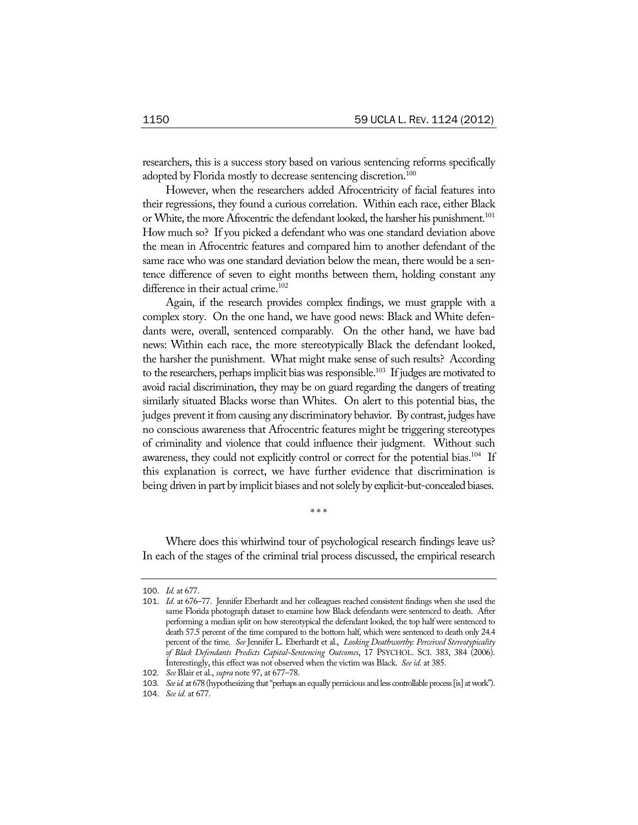researchers, this is a success story based on various sentencing reforms specifically adopted by Florida mostly to decrease sentencing discretion.<sup>100</sup>

However, when the researchers added Afrocentricity of facial features into their regressions, they found a curious correlation. Within each race, either Black or White, the more Afrocentric the defendant looked, the harsher his punishment.<sup>101</sup> How much so? If you picked a defendant who was one standard deviation above the mean in Afrocentric features and compared him to another defendant of the same race who was one standard deviation below the mean, there would be a sentence difference of seven to eight months between them, holding constant any difference in their actual crime.<sup>102</sup>

Again, if the research provides complex findings, we must grapple with a complex story. On the one hand, we have good news: Black and White defendants were, overall, sentenced comparably. On the other hand, we have bad news: Within each race, the more stereotypically Black the defendant looked, the harsher the punishment. What might make sense of such results? According to the researchers, perhaps implicit bias was responsible.<sup>103</sup> If judges are motivated to avoid racial discrimination, they may be on guard regarding the dangers of treating similarly situated Blacks worse than Whites. On alert to this potential bias, the judges prevent it from causing any discriminatory behavior. By contrast, judges have no conscious awareness that Afrocentric features might be triggering stereotypes of criminality and violence that could influence their judgment. Without such awareness, they could not explicitly control or correct for the potential bias.<sup>104</sup> If this explanation is correct, we have further evidence that discrimination is being driven in part by implicit biases and not solely by explicit-but-concealed biases.

Where does this whirlwind tour of psychological research findings leave us? In each of the stages of the criminal trial process discussed, the empirical research

\* \* \*

<sup>100</sup>. *Id.* at 677.

<sup>101</sup>. *Id.* at 676–77. Jennifer Eberhardt and her colleagues reached consistent findings when she used the same Florida photograph dataset to examine how Black defendants were sentenced to death. After performing a median split on how stereotypical the defendant looked, the top half were sentenced to death 57.5 percent of the time compared to the bottom half, which were sentenced to death only 24.4 percent of the time. *See* Jennifer L. Eberhardt et al., *Looking Deathworthy: Perceived Stereotypicality of Black Defendants Predicts Capital-Sentencing Outcomes*, 17 PSYCHOL. SCI. 383, 384 (2006). Interestingly, this effect was not observed when the victim was Black. *See id.* at 385.

<sup>102</sup>*. See* Blair et al., *supra* note 97, at 677–78.

<sup>103</sup>*. See id.* at 678 (hypothesizing that "perhaps an equally pernicious and less controllable process [is] at work").

<sup>104</sup>. *See id.* at 677.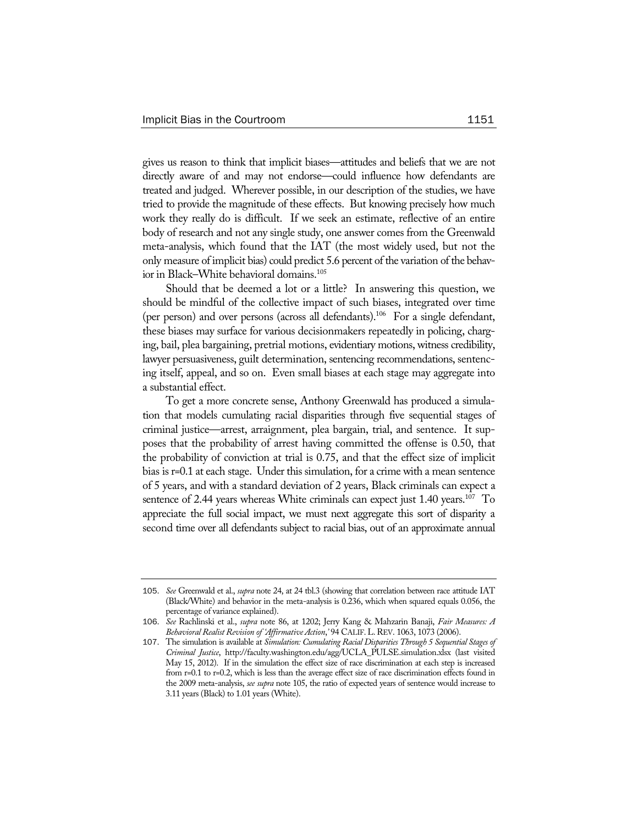gives us reason to think that implicit biases—attitudes and beliefs that we are not directly aware of and may not endorse—could influence how defendants are treated and judged. Wherever possible, in our description of the studies, we have tried to provide the magnitude of these effects. But knowing precisely how much work they really do is difficult. If we seek an estimate, reflective of an entire body of research and not any single study, one answer comes from the Greenwald meta-analysis, which found that the IAT (the most widely used, but not the only measure of implicit bias) could predict 5.6 percent of the variation of the behavior in Black–White behavioral domains.<sup>105</sup>

Should that be deemed a lot or a little? In answering this question, we should be mindful of the collective impact of such biases, integrated over time (per person) and over persons (across all defendants).<sup>106</sup> For a single defendant, these biases may surface for various decisionmakers repeatedly in policing, charging, bail, plea bargaining, pretrial motions, evidentiary motions, witness credibility, lawyer persuasiveness, guilt determination, sentencing recommendations, sentencing itself, appeal, and so on. Even small biases at each stage may aggregate into a substantial effect.

To get a more concrete sense, Anthony Greenwald has produced a simulation that models cumulating racial disparities through five sequential stages of criminal justice—arrest, arraignment, plea bargain, trial, and sentence. It supposes that the probability of arrest having committed the offense is 0.50, that the probability of conviction at trial is 0.75, and that the effect size of implicit bias is r=0.1 at each stage. Under this simulation, for a crime with a mean sentence of 5 years, and with a standard deviation of 2 years, Black criminals can expect a sentence of 2.44 years whereas White criminals can expect just  $1.40$  years.<sup>107</sup> To appreciate the full social impact, we must next aggregate this sort of disparity a second time over all defendants subject to racial bias, out of an approximate annual

<sup>105</sup>. *See* Greenwald et al., *supra* note 24, at 24 tbl.3 (showing that correlation between race attitude IAT (Black/White) and behavior in the meta-analysis is 0.236, which when squared equals 0.056, the percentage of variance explained).

<sup>106</sup>. *See* Rachlinski et al., *supra* note 86, at 1202; Jerry Kang & Mahzarin Banaji, *Fair Measures: A Behavioral Realist Revision of 'Affirmative Action*,*'* 94 CALIF.L.REV. 1063, 1073 (2006).

<sup>107</sup>. The simulation is available at *Simulation: Cumulating Racial Disparities Through 5 Sequential Stages of Criminal Justice*, http://faculty.washington.edu/agg/UCLA\_PULSE.simulation.xlsx (last visited May 15, 2012). If in the simulation the effect size of race discrimination at each step is increased from r=0.1 to r=0.2, which is less than the average effect size of race discrimination effects found in the 2009 meta-analysis, *see supra* note 105, the ratio of expected years of sentence would increase to 3.11 years (Black) to 1.01 years (White).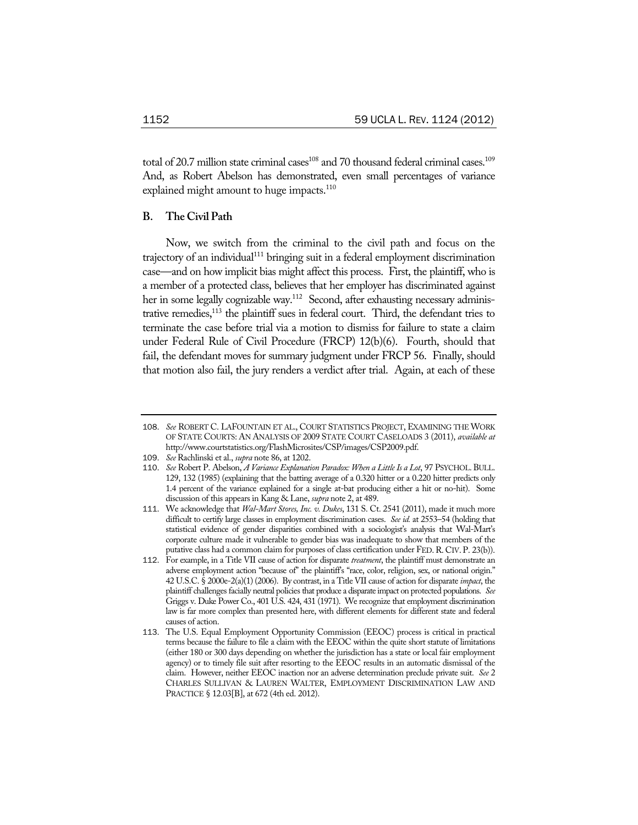total of 20.7 million state criminal cases<sup>108</sup> and 70 thousand federal criminal cases.<sup>109</sup> And, as Robert Abelson has demonstrated, even small percentages of variance explained might amount to huge impacts.<sup>110</sup>

# **B. The Civil Path**

Now, we switch from the criminal to the civil path and focus on the trajectory of an individual<sup>111</sup> bringing suit in a federal employment discrimination case—and on how implicit bias might affect this process. First, the plaintiff, who is a member of a protected class, believes that her employer has discriminated against her in some legally cognizable way.<sup>112</sup> Second, after exhausting necessary administrative remedies,113 the plaintiff sues in federal court. Third, the defendant tries to terminate the case before trial via a motion to dismiss for failure to state a claim under Federal Rule of Civil Procedure (FRCP) 12(b)(6). Fourth, should that fail, the defendant moves for summary judgment under FRCP 56. Finally, should that motion also fail, the jury renders a verdict after trial. Again, at each of these

<sup>108</sup>. *See* ROBERT C. LAFOUNTAIN ET AL., COURT STATISTICS PROJECT, EXAMINING THE WORK OF STATE COURTS: AN ANALYSIS OF 2009 STATE COURT CASELOADS 3 (2011), *available at* http://www.courtstatistics.org/FlashMicrosites/CSP/images/CSP2009.pdf.

<sup>109</sup>. *See* Rachlinski et al., *supra* note 86, at 1202.

<sup>110</sup>. *See* Robert P. Abelson, *A Variance Explanation Paradox: When a Little Is a Lot*, 97 PSYCHOL. BULL. 129, 132 (1985) (explaining that the batting average of a 0.320 hitter or a 0.220 hitter predicts only 1.4 percent of the variance explained for a single at-bat producing either a hit or no-hit). Some discussion of this appears in Kang & Lane, *supra* note 2, at 489.

<sup>111</sup>. We acknowledge that *Wal-Mart Stores, Inc. v. Dukes*, 131 S. Ct. 2541 (2011), made it much more difficult to certify large classes in employment discrimination cases. *See id.* at 2553–54 (holding that statistical evidence of gender disparities combined with a sociologist's analysis that Wal-Mart's corporate culture made it vulnerable to gender bias was inadequate to show that members of the putative class had a common claim for purposes of class certification under FED.R. CIV. P. 23(b)).

<sup>112</sup>. For example, in a Title VII cause of action for disparate *treatment*, the plaintiff must demonstrate an adverse employment action "because of" the plaintiff's "race, color, religion, sex, or national origin." 42 U.S.C. § 2000e-2(a)(1) (2006). By contrast, in a Title VII cause of action for disparate *impact*, the plaintiff challenges facially neutral policies that produce a disparate impact on protected populations. *See*  Griggs v. Duke Power Co., 401 U.S. 424, 431 (1971). We recognize that employment discrimination law is far more complex than presented here, with different elements for different state and federal causes of action.

<sup>113</sup>. The U.S. Equal Employment Opportunity Commission (EEOC) process is critical in practical terms because the failure to file a claim with the EEOC within the quite short statute of limitations (either 180 or 300 days depending on whether the jurisdiction has a state or local fair employment agency) or to timely file suit after resorting to the EEOC results in an automatic dismissal of the claim. However, neither EEOC inaction nor an adverse determination preclude private suit. *See* 2 CHARLES SULLIVAN & LAUREN WALTER, EMPLOYMENT DISCRIMINATION LAW AND PRACTICE § 12.03[B], at 672 (4th ed. 2012).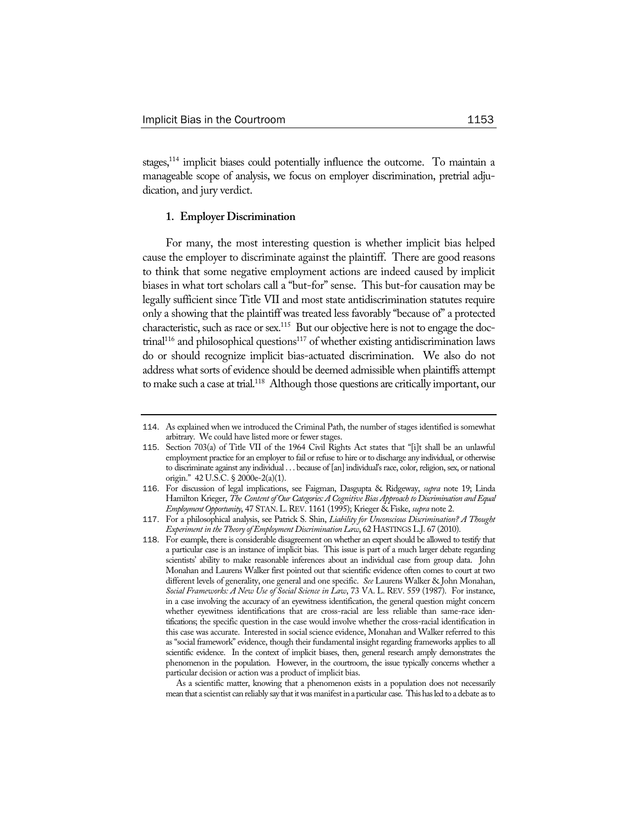stages,114 implicit biases could potentially influence the outcome. To maintain a manageable scope of analysis, we focus on employer discrimination, pretrial adjudication, and jury verdict.

### **1. Employer Discrimination**

For many, the most interesting question is whether implicit bias helped cause the employer to discriminate against the plaintiff. There are good reasons to think that some negative employment actions are indeed caused by implicit biases in what tort scholars call a "but-for" sense. This but-for causation may be legally sufficient since Title VII and most state antidiscrimination statutes require only a showing that the plaintiff was treated less favorably "because of" a protected characteristic, such as race or sex.<sup>115</sup> But our objective here is not to engage the doc- $\text{trial}^{116}$  and philosophical questions<sup>117</sup> of whether existing antidiscrimination laws do or should recognize implicit bias-actuated discrimination. We also do not address what sorts of evidence should be deemed admissible when plaintiffs attempt to make such a case at trial.<sup>118</sup> Although those questions are critically important, our

As a scientific matter, knowing that a phenomenon exists in a population does not necessarily mean that a scientist can reliably say that it was manifest in a particular case. This has led to a debate as to

<sup>114</sup>. As explained when we introduced the Criminal Path, the number of stages identified is somewhat arbitrary. We could have listed more or fewer stages.

<sup>115</sup>. Section 703(a) of Title VII of the 1964 Civil Rights Act states that "[i]t shall be an unlawful employment practice for an employer to fail or refuse to hire or to discharge any individual, or otherwise to discriminate against any individual . . . because of [an] individual's race, color, religion, sex, or national origin." 42 U.S.C. § 2000e-2(a)(1).

<sup>116</sup>. For discussion of legal implications, see Faigman, Dasgupta & Ridgeway, *supra* note 19; Linda Hamilton Krieger, *The Content of Our Categories: A Cognitive Bias Approach to Discrimination and Equal Employment Opportunity*, 47 STAN.L.REV. 1161 (1995); Krieger & Fiske, *supra* note 2.

<sup>117</sup>. For a philosophical analysis, see Patrick S. Shin, *Liability for Unconscious Discrimination? A Thought Experiment in the Theory of Employment Discrimination Law*, 62 HASTINGS L.J. 67 (2010).

<sup>118</sup>. For example, there is considerable disagreement on whether an expert should be allowed to testify that a particular case is an instance of implicit bias. This issue is part of a much larger debate regarding scientists' ability to make reasonable inferences about an individual case from group data. John Monahan and Laurens Walker first pointed out that scientific evidence often comes to court at two different levels of generality, one general and one specific. *See* Laurens Walker & John Monahan, *Social Frameworks: A New Use of Social Science in Law*, 73 VA. L. REV. 559 (1987). For instance, in a case involving the accuracy of an eyewitness identification, the general question might concern whether eyewitness identifications that are cross-racial are less reliable than same-race identifications; the specific question in the case would involve whether the cross-racial identification in this case was accurate. Interested in social science evidence, Monahan and Walker referred to this as "social framework" evidence, though their fundamental insight regarding frameworks applies to all scientific evidence. In the context of implicit biases, then, general research amply demonstrates the phenomenon in the population. However, in the courtroom, the issue typically concerns whether a particular decision or action was a product of implicit bias.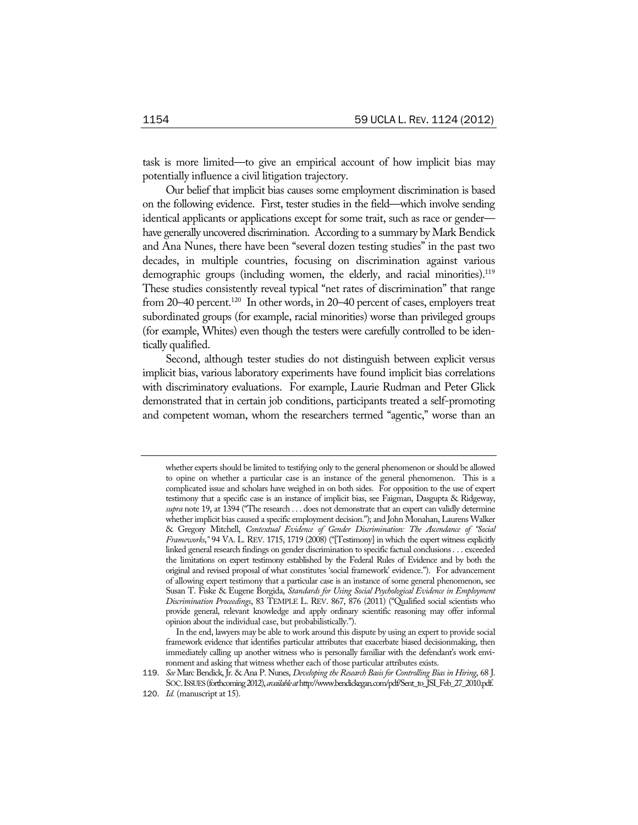task is more limited—to give an empirical account of how implicit bias may potentially influence a civil litigation trajectory.

Our belief that implicit bias causes some employment discrimination is based on the following evidence. First, tester studies in the field—which involve sending identical applicants or applications except for some trait, such as race or gender have generally uncovered discrimination. According to a summary by Mark Bendick and Ana Nunes, there have been "several dozen testing studies" in the past two decades, in multiple countries, focusing on discrimination against various demographic groups (including women, the elderly, and racial minorities).<sup>119</sup> These studies consistently reveal typical "net rates of discrimination" that range from 20–40 percent.<sup>120</sup> In other words, in 20–40 percent of cases, employers treat subordinated groups (for example, racial minorities) worse than privileged groups (for example, Whites) even though the testers were carefully controlled to be identically qualified.

Second, although tester studies do not distinguish between explicit versus implicit bias, various laboratory experiments have found implicit bias correlations with discriminatory evaluations. For example, Laurie Rudman and Peter Glick demonstrated that in certain job conditions, participants treated a self-promoting and competent woman, whom the researchers termed "agentic," worse than an

whether experts should be limited to testifying only to the general phenomenon or should be allowed to opine on whether a particular case is an instance of the general phenomenon. This is a complicated issue and scholars have weighed in on both sides. For opposition to the use of expert testimony that a specific case is an instance of implicit bias, see Faigman, Dasgupta & Ridgeway, *supra* note 19, at 1394 ("The research . . . does not demonstrate that an expert can validly determine whether implicit bias caused a specific employment decision."); and John Monahan, Laurens Walker & Gregory Mitchell, *Contextual Evidence of Gender Discrimination: The Ascendance of "Social Frameworks*,*"* 94 VA. L. REV. 1715, 1719 (2008) ("[Testimony] in which the expert witness explicitly linked general research findings on gender discrimination to specific factual conclusions . . . exceeded the limitations on expert testimony established by the Federal Rules of Evidence and by both the original and revised proposal of what constitutes 'social framework' evidence."). For advancement of allowing expert testimony that a particular case is an instance of some general phenomenon, see Susan T. Fiske & Eugene Borgida, *Standards for Using Social Psychological Evidence in Employment Discrimination Proceedings*, 83 TEMPLE L. REV. 867, 876 (2011) ("Qualified social scientists who provide general, relevant knowledge and apply ordinary scientific reasoning may offer informal opinion about the individual case, but probabilistically.").

In the end, lawyers may be able to work around this dispute by using an expert to provide social framework evidence that identifies particular attributes that exacerbate biased decisionmaking, then immediately calling up another witness who is personally familiar with the defendant's work environment and asking that witness whether each of those particular attributes exists.

<sup>119</sup>. *See* Marc Bendick, Jr. & Ana P. Nunes, *Developing the Research Basis for Controlling Bias in Hiring*, 68 J. SOC.ISSUES (forthcoming 2012), *available at* http://www.bendickegan.com/pdf/Sent\_to\_JSI\_Feb\_27\_2010.pdf.

<sup>120</sup>. *Id.* (manuscript at 15).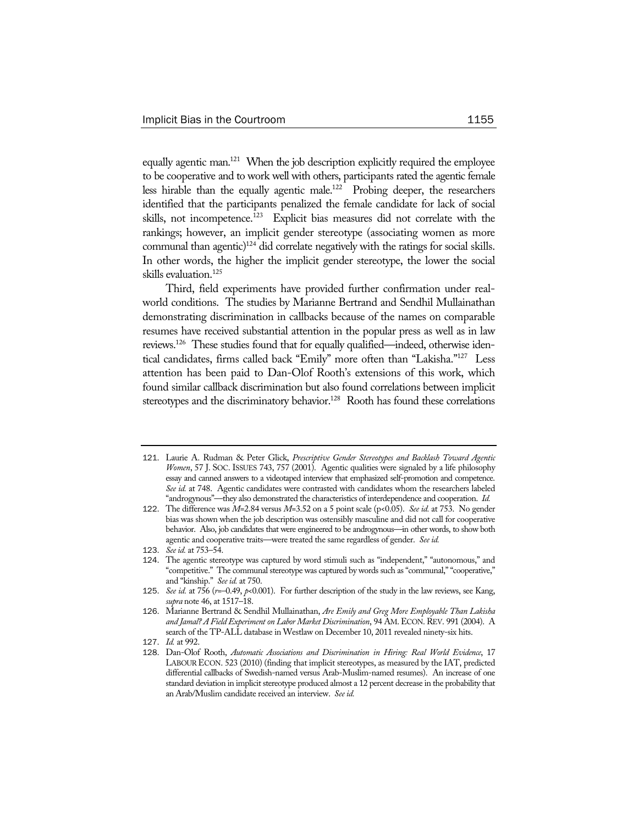equally agentic man.<sup>121</sup> When the job description explicitly required the employee to be cooperative and to work well with others, participants rated the agentic female less hirable than the equally agentic male.122 Probing deeper, the researchers identified that the participants penalized the female candidate for lack of social skills, not incompetence.<sup>123</sup> Explicit bias measures did not correlate with the rankings; however, an implicit gender stereotype (associating women as more communal than agentic)<sup>124</sup> did correlate negatively with the ratings for social skills. In other words, the higher the implicit gender stereotype, the lower the social skills evaluation.125

Third, field experiments have provided further confirmation under realworld conditions. The studies by Marianne Bertrand and Sendhil Mullainathan demonstrating discrimination in callbacks because of the names on comparable resumes have received substantial attention in the popular press as well as in law reviews.126 These studies found that for equally qualified—indeed, otherwise identical candidates, firms called back "Emily" more often than "Lakisha."127 Less attention has been paid to Dan-Olof Rooth's extensions of this work, which found similar callback discrimination but also found correlations between implicit stereotypes and the discriminatory behavior.<sup>128</sup> Rooth has found these correlations

<sup>121</sup>. Laurie A. Rudman & Peter Glick, *Prescriptive Gender Stereotypes and Backlash Toward Agentic Women*, 57 J. SOC. ISSUES 743, 757 (2001). Agentic qualities were signaled by a life philosophy essay and canned answers to a videotaped interview that emphasized self-promotion and competence. *See id.* at 748. Agentic candidates were contrasted with candidates whom the researchers labeled "androgynous"—they also demonstrated the characteristics of interdependence and cooperation. *Id.*

<sup>122</sup>. The difference was *M*=2.84 versus *M*=3.52 on a 5 point scale (p<0.05). *See id.* at 753. No gender bias was shown when the job description was ostensibly masculine and did not call for cooperative behavior. Also, job candidates that were engineered to be androgynous—in other words, to show both agentic and cooperative traits—were treated the same regardless of gender. *See id.*

<sup>123</sup>. *See id.* at 753–54.

<sup>124</sup>. The agentic stereotype was captured by word stimuli such as "independent," "autonomous," and "competitive." The communal stereotype was captured by words such as "communal," "cooperative," and "kinship." *See id.* at 750.

<sup>125</sup>. *See id.* at 756 (*r*=–0.49, *p*<0.001). For further description of the study in the law reviews, see Kang, *supra* note 46, at 1517–18.

<sup>126</sup>. Marianne Bertrand & Sendhil Mullainathan, *Are Emily and Greg More Employable Than Lakisha and Jamal? A Field Experiment on Labor Market Discrimination*, 94 AM.ECON.REV. 991 (2004). A search of the TP-ALL database in Westlaw on December 10, 2011 revealed ninety-six hits.

<sup>127</sup>. *Id.* at 992.

<sup>128</sup>. Dan-Olof Rooth, *Automatic Associations and Discrimination in Hiring: Real World Evidence*, 17 LABOUR ECON. 523 (2010) (finding that implicit stereotypes, as measured by the IAT, predicted differential callbacks of Swedish-named versus Arab-Muslim-named resumes). An increase of one standard deviation in implicit stereotype produced almost a 12 percent decrease in the probability that an Arab/Muslim candidate received an interview. *See id.*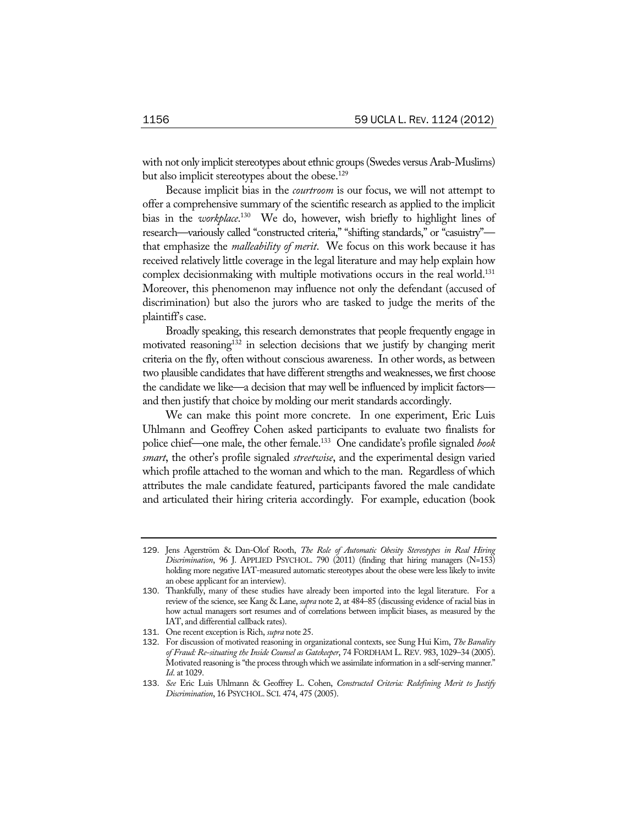with not only implicit stereotypes about ethnic groups (Swedes versus Arab-Muslims) but also implicit stereotypes about the obese.<sup>129</sup>

Because implicit bias in the *courtroom* is our focus, we will not attempt to offer a comprehensive summary of the scientific research as applied to the implicit bias in the *workplace*. 130 We do, however, wish briefly to highlight lines of research—variously called "constructed criteria," "shifting standards," or "casuistry" that emphasize the *malleability of merit*. We focus on this work because it has received relatively little coverage in the legal literature and may help explain how complex decisionmaking with multiple motivations occurs in the real world.<sup>131</sup> Moreover, this phenomenon may influence not only the defendant (accused of discrimination) but also the jurors who are tasked to judge the merits of the plaintiff's case.

Broadly speaking, this research demonstrates that people frequently engage in motivated reasoning<sup>132</sup> in selection decisions that we justify by changing merit criteria on the fly, often without conscious awareness. In other words, as between two plausible candidates that have different strengths and weaknesses, we first choose the candidate we like—a decision that may well be influenced by implicit factors and then justify that choice by molding our merit standards accordingly.

We can make this point more concrete. In one experiment, Eric Luis Uhlmann and Geoffrey Cohen asked participants to evaluate two finalists for police chief—one male, the other female.133 One candidate's profile signaled *book smart*, the other's profile signaled *streetwise*, and the experimental design varied which profile attached to the woman and which to the man. Regardless of which attributes the male candidate featured, participants favored the male candidate and articulated their hiring criteria accordingly. For example, education (book

<sup>129</sup>. Jens Agerström & Dan-Olof Rooth, *The Role of Automatic Obesity Stereotypes in Real Hiring Discrimination*, 96 J. APPLIED PSYCHOL. 790 (2011) (finding that hiring managers (N=153) holding more negative IAT-measured automatic stereotypes about the obese were less likely to invite an obese applicant for an interview).

<sup>130</sup>. Thankfully, many of these studies have already been imported into the legal literature. For a review of the science, see Kang & Lane, *supra* note 2, at 484–85 (discussing evidence of racial bias in how actual managers sort resumes and of correlations between implicit biases, as measured by the IAT, and differential callback rates).

<sup>131</sup>. One recent exception is Rich, *supra* note 25.

<sup>132</sup>. For discussion of motivated reasoning in organizational contexts, see Sung Hui Kim, *The Banality of Fraud: Re-situating the Inside Counsel as Gatekeeper*, 74 FORDHAM L. REV. 983, 1029–34 (2005). Motivated reasoning is "the process through which we assimilate information in a self-serving manner." *Id*. at 1029.

<sup>133</sup>. *See* Eric Luis Uhlmann & Geoffrey L. Cohen, *Constructed Criteria: Redefining Merit to Justify Discrimination*, 16 PSYCHOL. SCI. 474, 475 (2005).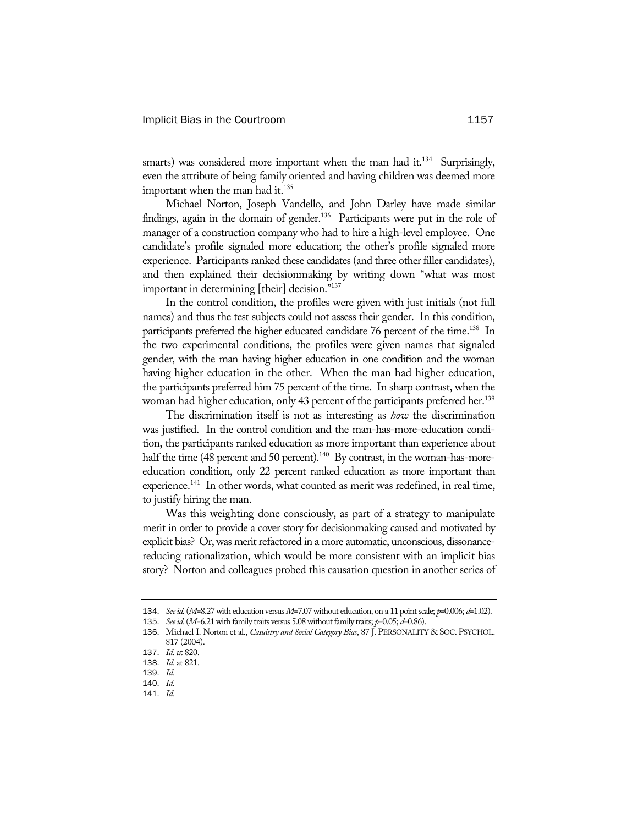smarts) was considered more important when the man had it.<sup>134</sup> Surprisingly, even the attribute of being family oriented and having children was deemed more important when the man had it.<sup>135</sup>

Michael Norton, Joseph Vandello, and John Darley have made similar findings, again in the domain of gender.<sup>136</sup> Participants were put in the role of manager of a construction company who had to hire a high-level employee. One candidate's profile signaled more education; the other's profile signaled more experience. Participants ranked these candidates (and three other filler candidates), and then explained their decisionmaking by writing down "what was most important in determining [their] decision."137

In the control condition, the profiles were given with just initials (not full names) and thus the test subjects could not assess their gender. In this condition, participants preferred the higher educated candidate 76 percent of the time.<sup>138</sup> In the two experimental conditions, the profiles were given names that signaled gender, with the man having higher education in one condition and the woman having higher education in the other. When the man had higher education, the participants preferred him 75 percent of the time. In sharp contrast, when the woman had higher education, only 43 percent of the participants preferred her.<sup>139</sup>

The discrimination itself is not as interesting as *how* the discrimination was justified. In the control condition and the man-has-more-education condition, the participants ranked education as more important than experience about half the time (48 percent and 50 percent).<sup>140</sup> By contrast, in the woman-has-moreeducation condition, only 22 percent ranked education as more important than experience.<sup>141</sup> In other words, what counted as merit was redefined, in real time, to justify hiring the man.

Was this weighting done consciously, as part of a strategy to manipulate merit in order to provide a cover story for decisionmaking caused and motivated by explicit bias? Or, was merit refactored in a more automatic, unconscious, dissonancereducing rationalization, which would be more consistent with an implicit bias story? Norton and colleagues probed this causation question in another series of

<sup>134</sup>. *See id.* (*M*=8.27 with education versus *M*=7.07 without education, on a 11 point scale; *p*=0.006; *d*=1.02).

<sup>135</sup>. *See id.* (*M*=6.21 with family traits versus 5.08 without family traits; *p*=0.05; *d*=0.86).

<sup>136</sup>. Michael I. Norton et al., *Casuistry and Social Category Bias*, 87 J. PERSONALITY & SOC. PSYCHOL. 817 (2004).

<sup>137</sup>. *Id.* at 820.

<sup>138</sup>. *Id.* at 821.

<sup>139</sup>. *Id.*

<sup>140</sup>. *Id.*

<sup>141</sup>. *Id.*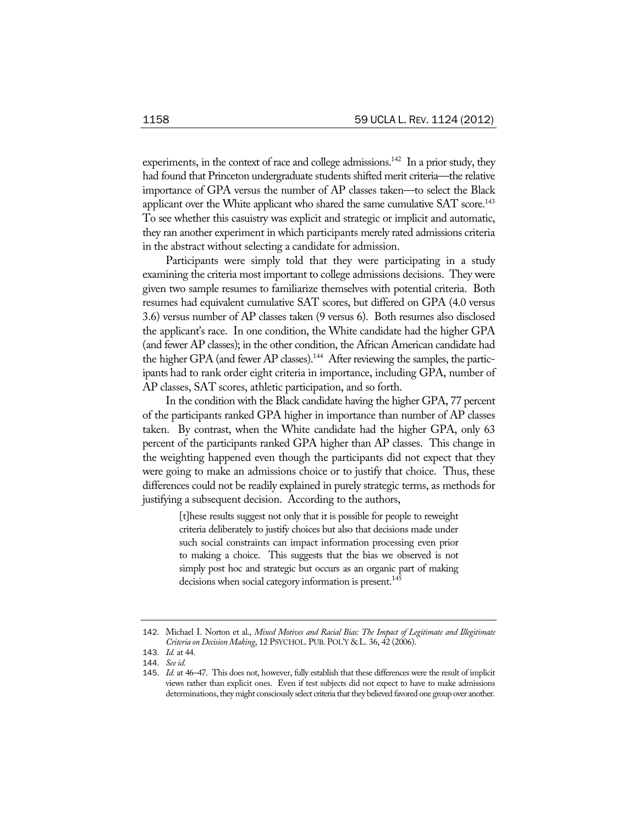experiments, in the context of race and college admissions.<sup>142</sup> In a prior study, they had found that Princeton undergraduate students shifted merit criteria—the relative importance of GPA versus the number of AP classes taken—to select the Black applicant over the White applicant who shared the same cumulative  $SAT$  score.<sup>143</sup> To see whether this casuistry was explicit and strategic or implicit and automatic, they ran another experiment in which participants merely rated admissions criteria in the abstract without selecting a candidate for admission.

Participants were simply told that they were participating in a study examining the criteria most important to college admissions decisions. They were given two sample resumes to familiarize themselves with potential criteria. Both resumes had equivalent cumulative SAT scores, but differed on GPA (4.0 versus 3.6) versus number of AP classes taken (9 versus 6). Both resumes also disclosed the applicant's race. In one condition, the White candidate had the higher GPA (and fewer AP classes); in the other condition, the African American candidate had the higher GPA (and fewer AP classes).<sup>144</sup> After reviewing the samples, the participants had to rank order eight criteria in importance, including GPA, number of AP classes, SAT scores, athletic participation, and so forth.

In the condition with the Black candidate having the higher GPA, 77 percent of the participants ranked GPA higher in importance than number of AP classes taken. By contrast, when the White candidate had the higher GPA, only 63 percent of the participants ranked GPA higher than AP classes. This change in the weighting happened even though the participants did not expect that they were going to make an admissions choice or to justify that choice. Thus, these differences could not be readily explained in purely strategic terms, as methods for justifying a subsequent decision. According to the authors,

> [t]hese results suggest not only that it is possible for people to reweight criteria deliberately to justify choices but also that decisions made under such social constraints can impact information processing even prior to making a choice. This suggests that the bias we observed is not simply post hoc and strategic but occurs as an organic part of making decisions when social category information is present.<sup>145</sup>

<sup>142</sup>. Michael I. Norton et al., *Mixed Motives and Racial Bias: The Impact of Legitimate and Illegitimate Criteria on Decision Making*, 12 PSYCHOL. PUB. POL'Y & L. 36, 42 (2006).

<sup>143</sup>. *Id.* at 44.

<sup>144</sup>. *See id.* 

<sup>145</sup>. *Id.* at 46–47. This does not, however, fully establish that these differences were the result of implicit views rather than explicit ones. Even if test subjects did not expect to have to make admissions determinations, they might consciously select criteria that they believed favored one group over another.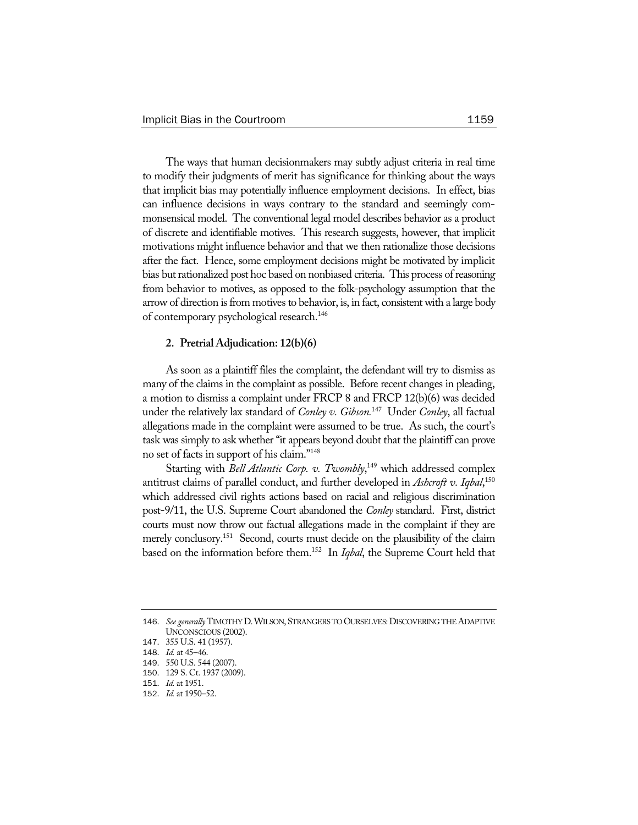The ways that human decisionmakers may subtly adjust criteria in real time to modify their judgments of merit has significance for thinking about the ways that implicit bias may potentially influence employment decisions. In effect, bias can influence decisions in ways contrary to the standard and seemingly commonsensical model. The conventional legal model describes behavior as a product of discrete and identifiable motives. This research suggests, however, that implicit motivations might influence behavior and that we then rationalize those decisions after the fact. Hence, some employment decisions might be motivated by implicit bias but rationalized post hoc based on nonbiased criteria. This process of reasoning from behavior to motives, as opposed to the folk-psychology assumption that the arrow of direction is from motives to behavior, is, in fact, consistent with a large body of contemporary psychological research.146

### **2. Pretrial Adjudication: 12(b)(6)**

As soon as a plaintiff files the complaint, the defendant will try to dismiss as many of the claims in the complaint as possible. Before recent changes in pleading, a motion to dismiss a complaint under FRCP 8 and FRCP 12(b)(6) was decided under the relatively lax standard of *Conley v. Gibson.*147 Under *Conley*, all factual allegations made in the complaint were assumed to be true. As such, the court's task was simply to ask whether "it appears beyond doubt that the plaintiff can prove no set of facts in support of his claim."148

Starting with *Bell Atlantic Corp. v. Twombly*,<sup>149</sup> which addressed complex antitrust claims of parallel conduct, and further developed in *Ashcroft v. Iqbal*, 150 which addressed civil rights actions based on racial and religious discrimination post-9/11, the U.S. Supreme Court abandoned the *Conley* standard. First, district courts must now throw out factual allegations made in the complaint if they are merely conclusory.<sup>151</sup> Second, courts must decide on the plausibility of the claim based on the information before them.152 In *Iqbal*, the Supreme Court held that

<sup>146</sup>. *See generally* TIMOTHY D.WILSON, STRANGERS TO OURSELVES:DISCOVERING THE ADAPTIVE UNCONSCIOUS (2002).

<sup>147</sup>. 355 U.S. 41 (1957).

<sup>148</sup>. *Id.* at 45–46.

<sup>149</sup>. 550 U.S. 544 (2007).

<sup>150</sup>. 129 S. Ct. 1937 (2009).

<sup>151</sup>. *Id.* at 1951.

<sup>152</sup>. *Id.* at 1950–52.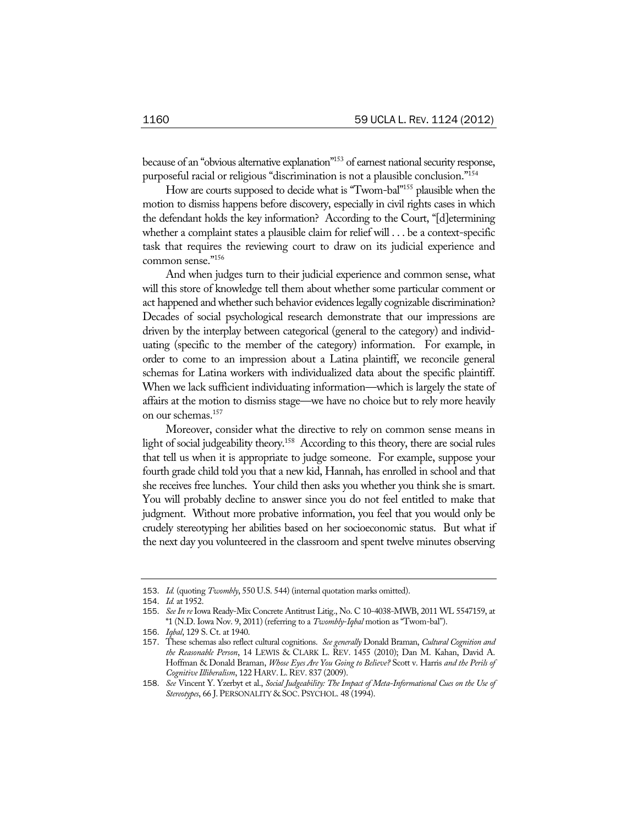because of an "obvious alternative explanation"153 of earnest national security response, purposeful racial or religious "discrimination is not a plausible conclusion."154

How are courts supposed to decide what is "Twom-bal"155 plausible when the motion to dismiss happens before discovery, especially in civil rights cases in which the defendant holds the key information? According to the Court, "[d]etermining whether a complaint states a plausible claim for relief will . . . be a context-specific task that requires the reviewing court to draw on its judicial experience and common sense."156

And when judges turn to their judicial experience and common sense, what will this store of knowledge tell them about whether some particular comment or act happened and whether such behavior evidences legally cognizable discrimination? Decades of social psychological research demonstrate that our impressions are driven by the interplay between categorical (general to the category) and individuating (specific to the member of the category) information. For example, in order to come to an impression about a Latina plaintiff, we reconcile general schemas for Latina workers with individualized data about the specific plaintiff. When we lack sufficient individuating information—which is largely the state of affairs at the motion to dismiss stage—we have no choice but to rely more heavily on our schemas.157

Moreover, consider what the directive to rely on common sense means in light of social judgeability theory.<sup>158</sup> According to this theory, there are social rules that tell us when it is appropriate to judge someone. For example, suppose your fourth grade child told you that a new kid, Hannah, has enrolled in school and that she receives free lunches. Your child then asks you whether you think she is smart. You will probably decline to answer since you do not feel entitled to make that judgment. Without more probative information, you feel that you would only be crudely stereotyping her abilities based on her socioeconomic status. But what if the next day you volunteered in the classroom and spent twelve minutes observing

<sup>153</sup>. *Id.* (quoting *Twombly*, 550 U.S. 544) (internal quotation marks omitted).

<sup>154</sup>. *Id.* at 1952.

<sup>155</sup>. *See In re* Iowa Ready-Mix Concrete Antitrust Litig., No. C 10-4038-MWB, 2011 WL 5547159, at \*1 (N.D. Iowa Nov. 9, 2011) (referring to a *Twombly*-*Iqbal* motion as "Twom-bal").

<sup>156</sup>. *Iqbal*, 129 S. Ct. at 1940.

<sup>157</sup>. These schemas also reflect cultural cognitions. *See generally* Donald Braman, *Cultural Cognition and the Reasonable Person*, 14 LEWIS & CLARK L. REV. 1455 (2010); Dan M. Kahan, David A. Hoffman & Donald Braman, *Whose Eyes Are You Going to Believe?* Scott v. Harris *and the Perils of Cognitive Illiberalism*, 122 HARV.L.REV. 837 (2009).

<sup>158</sup>. *See* Vincent Y. Yzerbyt et al., *Social Judgeability: The Impact of Meta-Informational Cues on the Use of Stereotypes*, 66 J. PERSONALITY & SOC. PSYCHOL. 48 (1994).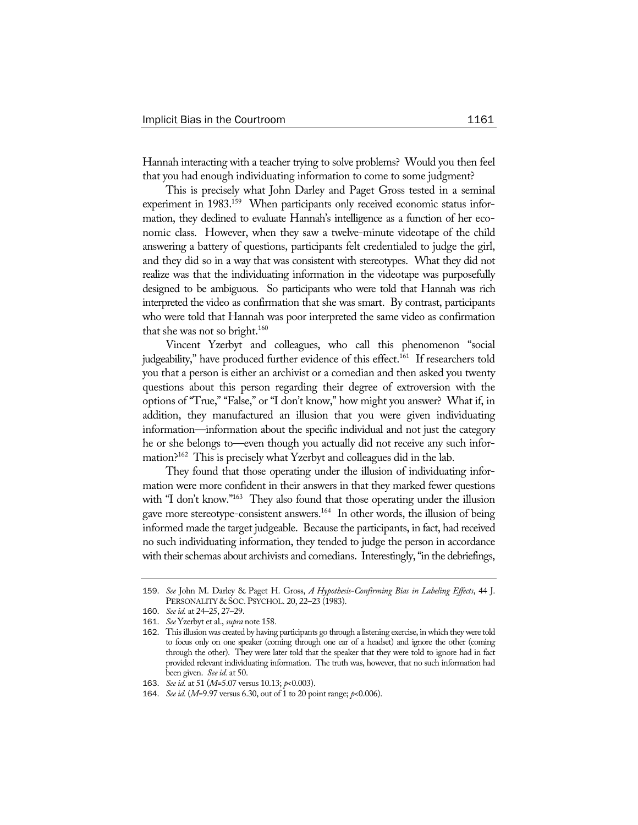Hannah interacting with a teacher trying to solve problems? Would you then feel that you had enough individuating information to come to some judgment?

This is precisely what John Darley and Paget Gross tested in a seminal experiment in 1983.<sup>159</sup> When participants only received economic status information, they declined to evaluate Hannah's intelligence as a function of her economic class. However, when they saw a twelve-minute videotape of the child answering a battery of questions, participants felt credentialed to judge the girl, and they did so in a way that was consistent with stereotypes. What they did not realize was that the individuating information in the videotape was purposefully designed to be ambiguous. So participants who were told that Hannah was rich interpreted the video as confirmation that she was smart. By contrast, participants who were told that Hannah was poor interpreted the same video as confirmation that she was not so bright.<sup>160</sup>

Vincent Yzerbyt and colleagues, who call this phenomenon "social judgeability," have produced further evidence of this effect.<sup>161</sup> If researchers told you that a person is either an archivist or a comedian and then asked you twenty questions about this person regarding their degree of extroversion with the options of "True," "False," or "I don't know," how might you answer? What if, in addition, they manufactured an illusion that you were given individuating information—information about the specific individual and not just the category he or she belongs to—even though you actually did not receive any such information?162 This is precisely what Yzerbyt and colleagues did in the lab.

They found that those operating under the illusion of individuating information were more confident in their answers in that they marked fewer questions with "I don't know."<sup>163</sup> They also found that those operating under the illusion gave more stereotype-consistent answers.<sup>164</sup> In other words, the illusion of being informed made the target judgeable. Because the participants, in fact, had received no such individuating information, they tended to judge the person in accordance with their schemas about archivists and comedians. Interestingly, "in the debriefings,

<sup>159</sup>. *See* John M. Darley & Paget H. Gross, *A Hypothesis-Confirming Bias in Labeling Effects*, 44 J. PERSONALITY & SOC. PSYCHOL. 20, 22–23 (1983).

<sup>160</sup>. *See id.* at 24–25, 27–29.

<sup>161</sup>. *See* Yzerbyt et al., *supra* note 158.

<sup>162</sup>. This illusion was created by having participants go through a listening exercise, in which they were told to focus only on one speaker (coming through one ear of a headset) and ignore the other (coming through the other). They were later told that the speaker that they were told to ignore had in fact provided relevant individuating information. The truth was, however, that no such information had been given. *See id.* at 50.

<sup>163</sup>. *See id.* at 51 (*M*=5.07 versus 10.13; *p*<0.003).

<sup>164</sup>. *See id.* (*M*=9.97 versus 6.30, out of 1 to 20 point range; *p*<0.006).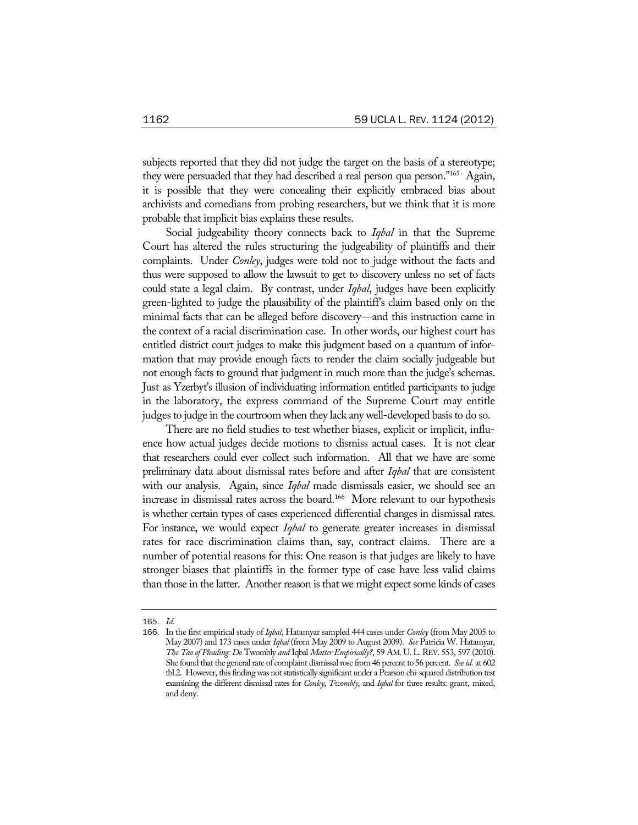subjects reported that they did not judge the target on the basis of a stereotype; they were persuaded that they had described a real person qua person."<sup>165</sup> Again, it is possible that they were concealing their explicitly embraced bias about archivists and comedians from probing researchers, but we think that it is more probable that implicit bias explains these results.

Social judgeability theory connects back to *Iqbal* in that the Supreme Court has altered the rules structuring the judgeability of plaintiffs and their complaints. Under *Conley*, judges were told not to judge without the facts and thus were supposed to allow the lawsuit to get to discovery unless no set of facts could state a legal claim. By contrast, under *Iqbal*, judges have been explicitly green-lighted to judge the plausibility of the plaintiff's claim based only on the minimal facts that can be alleged before discovery—and this instruction came in the context of a racial discrimination case. In other words, our highest court has entitled district court judges to make this judgment based on a quantum of information that may provide enough facts to render the claim socially judgeable but not enough facts to ground that judgment in much more than the judge's schemas. Just as Yzerbyt's illusion of individuating information entitled participants to judge in the laboratory, the express command of the Supreme Court may entitle judges to judge in the courtroom when they lack any well-developed basis to do so.

There are no field studies to test whether biases, explicit or implicit, influence how actual judges decide motions to dismiss actual cases. It is not clear that researchers could ever collect such information. All that we have are some preliminary data about dismissal rates before and after *Iqbal* that are consistent with our analysis. Again, since *Iqbal* made dismissals easier, we should see an increase in dismissal rates across the board.<sup>166</sup> More relevant to our hypothesis is whether certain types of cases experienced differential changes in dismissal rates. For instance, we would expect *Iqbal* to generate greater increases in dismissal rates for race discrimination claims than, say, contract claims. There are a number of potential reasons for this: One reason is that judges are likely to have stronger biases that plaintiffs in the former type of case have less valid claims than those in the latter. Another reason is that we might expect some kinds of cases

<sup>165</sup>. *Id.*

<sup>166</sup>. In the first empirical study of *Iqbal*, Hatamyar sampled 444 cases under *Conley* (from May 2005 to May 2007) and 173 cases under *Iqbal* (from May 2009 to August 2009). *See* Patricia W. Hatamyar, *The Tao of Pleading: Do* Twombly *and* Iqbal *Matter Empirically?*, 59 AM. U. L.REV. 553, 597 (2010). She found that the general rate of complaint dismissal rose from 46 percent to 56 percent. *See id.* at 602 tbl.2. However, this finding was not statistically significant under a Pearson chi-squared distribution test examining the different dismissal rates for *Conley*, *Twombly*, and *Iqbal* for three results: grant, mixed, and deny.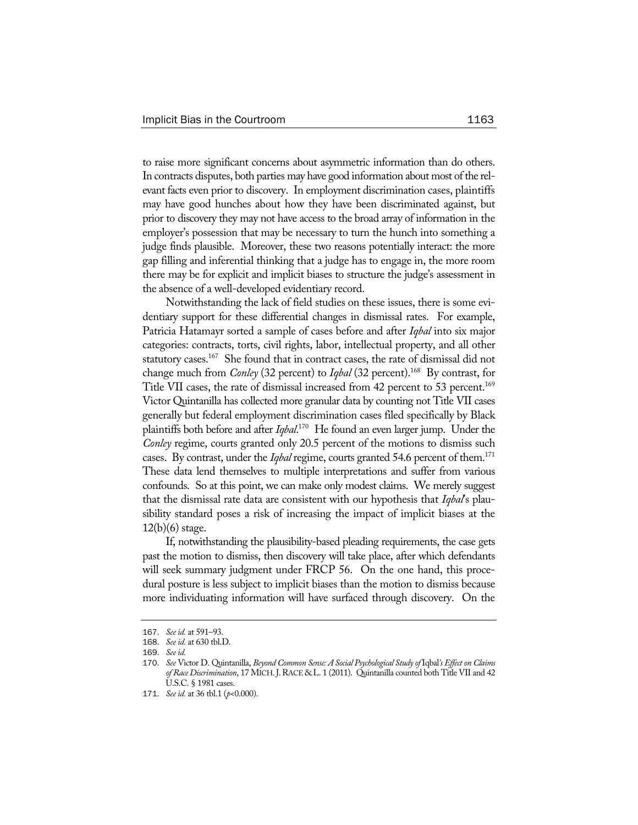to raise more significant concerns about asymmetric information than do others. In contracts disputes, both parties may have good information about most of the relevant facts even prior to discovery. In employment discrimination cases, plaintiffs may have good hunches about how they have been discriminated against, but prior to discovery they may not have access to the broad array of information in the employer's possession that may be necessary to turn the hunch into something a judge finds plausible. Moreover, these two reasons potentially interact: the more gap filling and inferential thinking that a judge has to engage in, the more room there may be for explicit and implicit biases to structure the judge's assessment in the absence of a well-developed evidentiary record.

Notwithstanding the lack of field studies on these issues, there is some evidentiary support for these differential changes in dismissal rates. For example, Patricia Hatamayr sorted a sample of cases before and after *Iqbal* into six major categories: contracts, torts, civil rights, labor, intellectual property, and all other statutory cases.<sup>167</sup> She found that in contract cases, the rate of dismissal did not change much from *Conley* (32 percent) to *Iqbal* (32 percent).168 By contrast, for Title VII cases, the rate of dismissal increased from 42 percent to 53 percent.<sup>169</sup> Victor Quintanilla has collected more granular data by counting not Title VII cases generally but federal employment discrimination cases filed specifically by Black plaintiffs both before and after *Iqbal*. 170 He found an even larger jump. Under the *Conley* regime, courts granted only 20.5 percent of the motions to dismiss such cases. By contrast, under the *Iqbal* regime, courts granted 54.6 percent of them.<sup>171</sup> These data lend themselves to multiple interpretations and suffer from various confounds. So at this point, we can make only modest claims. We merely suggest that the dismissal rate data are consistent with our hypothesis that *Iqbal*'s plausibility standard poses a risk of increasing the impact of implicit biases at the 12(b)(6) stage.

If, notwithstanding the plausibility-based pleading requirements, the case gets past the motion to dismiss, then discovery will take place, after which defendants will seek summary judgment under FRCP 56. On the one hand, this procedural posture is less subject to implicit biases than the motion to dismiss because more individuating information will have surfaced through discovery. On the

<sup>167</sup>. *See id.* at 591–93.

<sup>168</sup>. *See id.* at 630 tbl.D.

<sup>169</sup>. *See id.*

<sup>170</sup>. *See* Victor D. Quintanilla, *Beyond Common Sense: A Social Psychological Study of* Iqbal*'s Effect on Claims*  of Race Discrimination, 17 MICH. J. RACE & L. 1 (2011). Quintanilla counted both Title VII and 42 U.S.C. § 1981 cases.

<sup>171</sup>. *See id.* at 36 tbl.1 (*p*<0.000).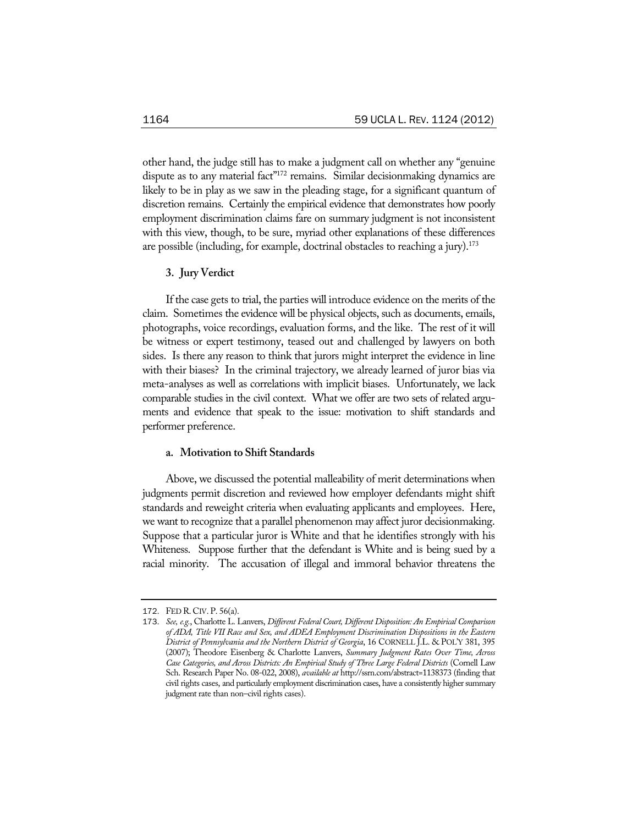other hand, the judge still has to make a judgment call on whether any "genuine dispute as to any material fact"<sup>172</sup> remains. Similar decisionmaking dynamics are likely to be in play as we saw in the pleading stage, for a significant quantum of discretion remains. Certainly the empirical evidence that demonstrates how poorly employment discrimination claims fare on summary judgment is not inconsistent with this view, though, to be sure, myriad other explanations of these differences are possible (including, for example, doctrinal obstacles to reaching a jury).<sup>173</sup>

### **3. Jury Verdict**

If the case gets to trial, the parties will introduce evidence on the merits of the claim. Sometimes the evidence will be physical objects, such as documents, emails, photographs, voice recordings, evaluation forms, and the like. The rest of it will be witness or expert testimony, teased out and challenged by lawyers on both sides. Is there any reason to think that jurors might interpret the evidence in line with their biases? In the criminal trajectory, we already learned of juror bias via meta-analyses as well as correlations with implicit biases. Unfortunately, we lack comparable studies in the civil context. What we offer are two sets of related arguments and evidence that speak to the issue: motivation to shift standards and performer preference.

# **a. Motivation to Shift Standards**

Above, we discussed the potential malleability of merit determinations when judgments permit discretion and reviewed how employer defendants might shift standards and reweight criteria when evaluating applicants and employees. Here, we want to recognize that a parallel phenomenon may affect juror decisionmaking. Suppose that a particular juror is White and that he identifies strongly with his Whiteness. Suppose further that the defendant is White and is being sued by a racial minority. The accusation of illegal and immoral behavior threatens the

<sup>172</sup>. FED R. CIV. P. 56(a).

<sup>173</sup>. *See, e.g.*, Charlotte L. Lanvers, *Different Federal Court, Different Disposition: An Empirical Comparison of ADA, Title VII Race and Sex, and ADEA Employment Discrimination Dispositions in the Eastern District of Pennsylvania and the Northern District of Georgia*, 16 CORNELL J.L. & POL'Y 381, 395 (2007); Theodore Eisenberg & Charlotte Lanvers, *Summary Judgment Rates Over Time, Across Case Categories, and Across Districts: An Empirical Study of Three Large Federal Districts* (Cornell Law Sch. Research Paper No. 08-022, 2008), *available at* http://ssrn.com/abstract=1138373 (finding that civil rights cases, and particularly employment discrimination cases, have a consistently higher summary judgment rate than non–civil rights cases).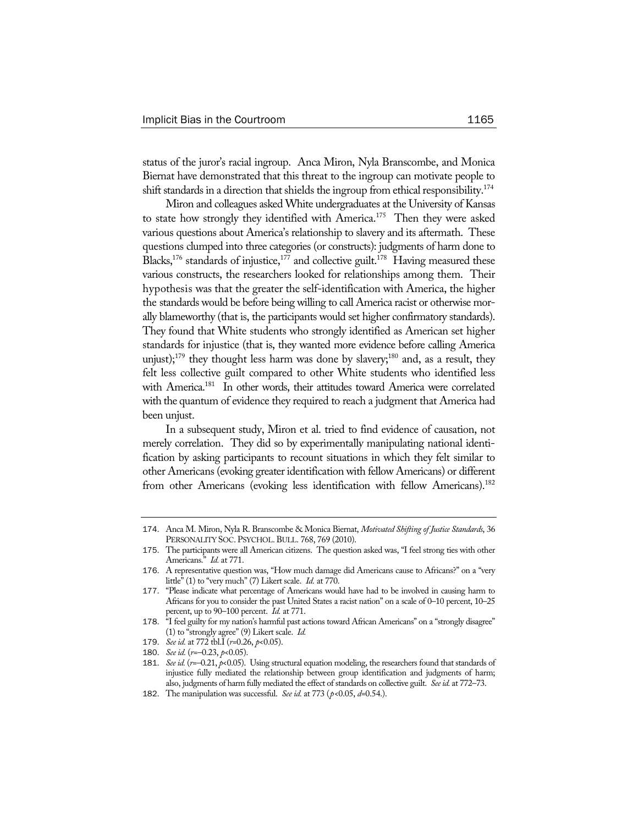status of the juror's racial ingroup. Anca Miron, Nyla Branscombe, and Monica Biernat have demonstrated that this threat to the ingroup can motivate people to shift standards in a direction that shields the ingroup from ethical responsibility.<sup>174</sup>

Miron and colleagues asked White undergraduates at the University of Kansas to state how strongly they identified with America.<sup>175</sup> Then they were asked various questions about America's relationship to slavery and its aftermath. These questions clumped into three categories (or constructs): judgments of harm done to Blacks,<sup>176</sup> standards of injustice,<sup>177</sup> and collective guilt.<sup>178</sup> Having measured these various constructs, the researchers looked for relationships among them. Their hypothesis was that the greater the self-identification with America, the higher the standards would be before being willing to call America racist or otherwise morally blameworthy (that is, the participants would set higher confirmatory standards). They found that White students who strongly identified as American set higher standards for injustice (that is, they wanted more evidence before calling America unjust);<sup>179</sup> they thought less harm was done by slavery;<sup>180</sup> and, as a result, they felt less collective guilt compared to other White students who identified less with America.<sup>181</sup> In other words, their attitudes toward America were correlated with the quantum of evidence they required to reach a judgment that America had been unjust.

In a subsequent study, Miron et al. tried to find evidence of causation, not merely correlation. They did so by experimentally manipulating national identification by asking participants to recount situations in which they felt similar to other Americans (evoking greater identification with fellow Americans) or different from other Americans (evoking less identification with fellow Americans).<sup>182</sup>

<sup>174</sup>. Anca M. Miron, Nyla R. Branscombe & Monica Biernat, *Motivated Shifting of Justice Standards*, 36 PERSONALITY SOC. PSYCHOL. BULL. 768, 769 (2010).

<sup>175</sup>. The participants were all American citizens. The question asked was, "I feel strong ties with other Americans." *Id.* at 771.

<sup>176</sup>. A representative question was, "How much damage did Americans cause to Africans?" on a "very little" (1) to "very much" (7) Likert scale. *Id.* at 770.

<sup>177</sup>. "Please indicate what percentage of Americans would have had to be involved in causing harm to Africans for you to consider the past United States a racist nation" on a scale of 0–10 percent, 10–25 percent, up to 90–100 percent. *Id.* at 771.

<sup>178</sup>. "I feel guilty for my nation's harmful past actions toward African Americans" on a "strongly disagree" (1) to "strongly agree" (9) Likert scale. *Id.*

<sup>179</sup>. *See id.* at 772 tbl.I (*r*=0.26, *p*<0.05).

<sup>180</sup>. *See id.* (*r*=–0.23, *p*<0.05).

<sup>181.</sup> *See id.* ( $r=-0.21$ ,  $p<0.05$ ). Using structural equation modeling, the researchers found that standards of injustice fully mediated the relationship between group identification and judgments of harm; also, judgments of harm fully mediated the effect of standards on collective guilt. *See id.* at 772–73.

<sup>182</sup>. The manipulation was successful. *See id.* at 773 (*p*<0.05, *d*=0.54.).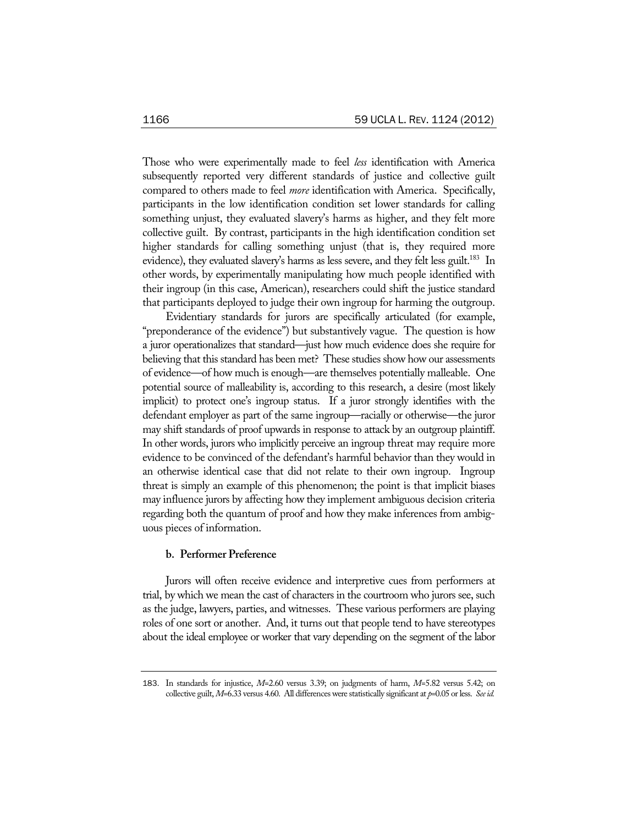Those who were experimentally made to feel *less* identification with America subsequently reported very different standards of justice and collective guilt compared to others made to feel *more* identification with America. Specifically, participants in the low identification condition set lower standards for calling something unjust, they evaluated slavery's harms as higher, and they felt more collective guilt. By contrast, participants in the high identification condition set higher standards for calling something unjust (that is, they required more evidence), they evaluated slavery's harms as less severe, and they felt less guilt.<sup>183</sup> In other words, by experimentally manipulating how much people identified with their ingroup (in this case, American), researchers could shift the justice standard that participants deployed to judge their own ingroup for harming the outgroup.

Evidentiary standards for jurors are specifically articulated (for example, "preponderance of the evidence") but substantively vague. The question is how a juror operationalizes that standard—just how much evidence does she require for believing that this standard has been met? These studies show how our assessments of evidence—of how much is enough—are themselves potentially malleable. One potential source of malleability is, according to this research, a desire (most likely implicit) to protect one's ingroup status. If a juror strongly identifies with the defendant employer as part of the same ingroup—racially or otherwise—the juror may shift standards of proof upwards in response to attack by an outgroup plaintiff. In other words, jurors who implicitly perceive an ingroup threat may require more evidence to be convinced of the defendant's harmful behavior than they would in an otherwise identical case that did not relate to their own ingroup. Ingroup threat is simply an example of this phenomenon; the point is that implicit biases may influence jurors by affecting how they implement ambiguous decision criteria regarding both the quantum of proof and how they make inferences from ambiguous pieces of information.

#### **b. Performer Preference**

Jurors will often receive evidence and interpretive cues from performers at trial, by which we mean the cast of characters in the courtroom who jurors see, such as the judge, lawyers, parties, and witnesses. These various performers are playing roles of one sort or another. And, it turns out that people tend to have stereotypes about the ideal employee or worker that vary depending on the segment of the labor

<sup>183</sup>. In standards for injustice, *M*=2.60 versus 3.39; on judgments of harm, *M*=5.82 versus 5.42; on collective guilt, *M*=6.33 versus 4.60. All differences were statistically significant at *p*=0.05 or less. *See id.*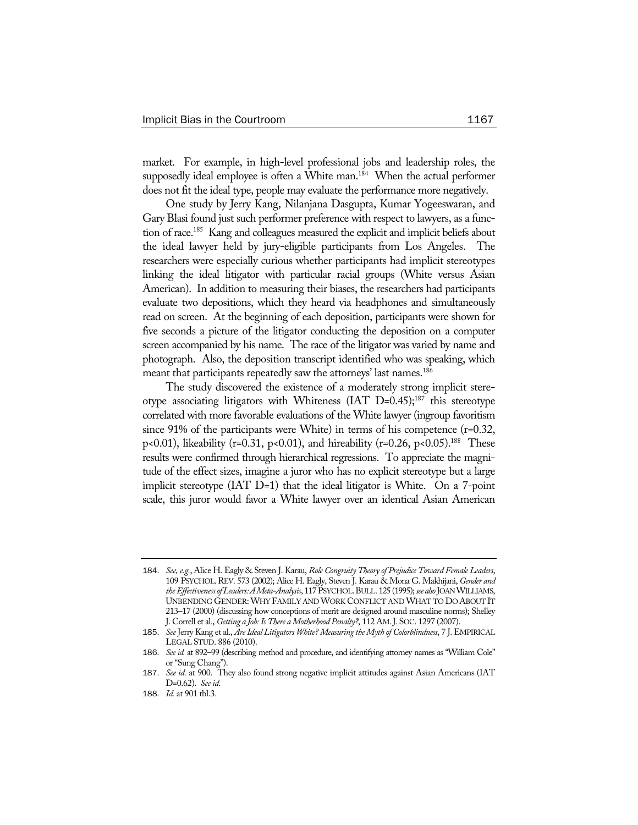market. For example, in high-level professional jobs and leadership roles, the supposedly ideal employee is often a White man.<sup>184</sup> When the actual performer does not fit the ideal type, people may evaluate the performance more negatively.

One study by Jerry Kang, Nilanjana Dasgupta, Kumar Yogeeswaran, and Gary Blasi found just such performer preference with respect to lawyers, as a function of race.185 Kang and colleagues measured the explicit and implicit beliefs about the ideal lawyer held by jury-eligible participants from Los Angeles. The researchers were especially curious whether participants had implicit stereotypes linking the ideal litigator with particular racial groups (White versus Asian American). In addition to measuring their biases, the researchers had participants evaluate two depositions, which they heard via headphones and simultaneously read on screen. At the beginning of each deposition, participants were shown for five seconds a picture of the litigator conducting the deposition on a computer screen accompanied by his name. The race of the litigator was varied by name and photograph. Also, the deposition transcript identified who was speaking, which meant that participants repeatedly saw the attorneys' last names.<sup>186</sup>

The study discovered the existence of a moderately strong implicit stereotype associating litigators with Whiteness (IAT  $D=0.45$ );<sup>187</sup> this stereotype correlated with more favorable evaluations of the White lawyer (ingroup favoritism since 91% of the participants were White) in terms of his competence (r=0.32, p<0.01), likeability (r=0.31, p<0.01), and hireability (r=0.26, p<0.05).<sup>188</sup> These results were confirmed through hierarchical regressions. To appreciate the magnitude of the effect sizes, imagine a juror who has no explicit stereotype but a large implicit stereotype (IAT D=1) that the ideal litigator is White. On a 7-point scale, this juror would favor a White lawyer over an identical Asian American

<sup>184</sup>. *See, e.g.*, Alice H. Eagly & Steven J. Karau, *Role Congruity Theory of Prejudice Toward Female Leaders*, 109 PSYCHOL.REV. 573 (2002); Alice H. Eagly, Steven J. Karau & Mona G. Makhijani, *Gender and the Effectiveness of Leaders: A Meta-Analysis*, 117 PSYCHOL.BULL. 125 (1995); *see also* JOAN WILLIAMS, UNBENDING GENDER:WHY FAMILY AND WORK CONFLICT AND WHAT TO DO ABOUT IT 213–17 (2000) (discussing how conceptions of merit are designed around masculine norms); Shelley J. Correll et al., *Getting a Job: Is There a Motherhood Penalty?*, 112 AM.J. SOC. 1297 (2007).

<sup>185</sup>. *See* Jerry Kang et al., *Are Ideal Litigators White? Measuring the Myth of Colorblindness*, 7 J. EMPIRICAL LEGAL STUD. 886 (2010).

<sup>186</sup>. *See id.* at 892–99 (describing method and procedure, and identifying attorney names as "William Cole" or "Sung Chang").

<sup>187</sup>. *See id.* at 900. They also found strong negative implicit attitudes against Asian Americans (IAT D=0.62). *See id.* 

<sup>188</sup>. *Id.* at 901 tbl.3.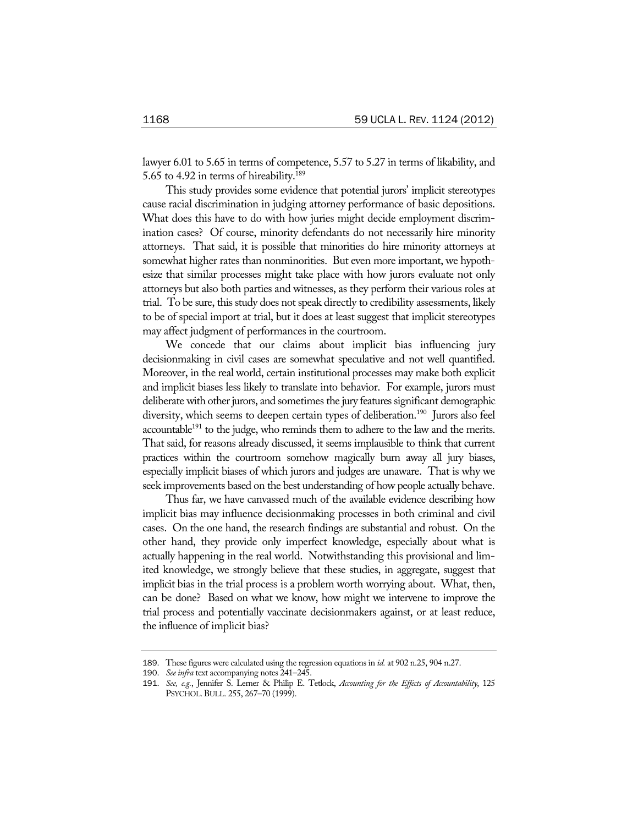lawyer 6.01 to 5.65 in terms of competence, 5.57 to 5.27 in terms of likability, and 5.65 to 4.92 in terms of hireability.189

This study provides some evidence that potential jurors' implicit stereotypes cause racial discrimination in judging attorney performance of basic depositions. What does this have to do with how juries might decide employment discrimination cases? Of course, minority defendants do not necessarily hire minority attorneys. That said, it is possible that minorities do hire minority attorneys at somewhat higher rates than nonminorities. But even more important, we hypothesize that similar processes might take place with how jurors evaluate not only attorneys but also both parties and witnesses, as they perform their various roles at trial. To be sure, this study does not speak directly to credibility assessments, likely to be of special import at trial, but it does at least suggest that implicit stereotypes may affect judgment of performances in the courtroom.

We concede that our claims about implicit bias influencing jury decisionmaking in civil cases are somewhat speculative and not well quantified. Moreover, in the real world, certain institutional processes may make both explicit and implicit biases less likely to translate into behavior. For example, jurors must deliberate with other jurors, and sometimes the jury features significant demographic diversity, which seems to deepen certain types of deliberation.<sup>190</sup> Jurors also feel accountable<sup>191</sup> to the judge, who reminds them to adhere to the law and the merits. That said, for reasons already discussed, it seems implausible to think that current practices within the courtroom somehow magically burn away all jury biases, especially implicit biases of which jurors and judges are unaware. That is why we seek improvements based on the best understanding of how people actually behave.

Thus far, we have canvassed much of the available evidence describing how implicit bias may influence decisionmaking processes in both criminal and civil cases. On the one hand, the research findings are substantial and robust. On the other hand, they provide only imperfect knowledge, especially about what is actually happening in the real world. Notwithstanding this provisional and limited knowledge, we strongly believe that these studies, in aggregate, suggest that implicit bias in the trial process is a problem worth worrying about. What, then, can be done? Based on what we know, how might we intervene to improve the trial process and potentially vaccinate decisionmakers against, or at least reduce, the influence of implicit bias?

<sup>189</sup>. These figures were calculated using the regression equations in *id.* at 902 n.25, 904 n.27.

<sup>190</sup>. *See infra* text accompanying notes 241–245.

<sup>191</sup>. *See, e.g.*, Jennifer S. Lerner & Philip E. Tetlock, *Accounting for the Effects of Accountability*, 125 PSYCHOL.BULL. 255, 267–70 (1999).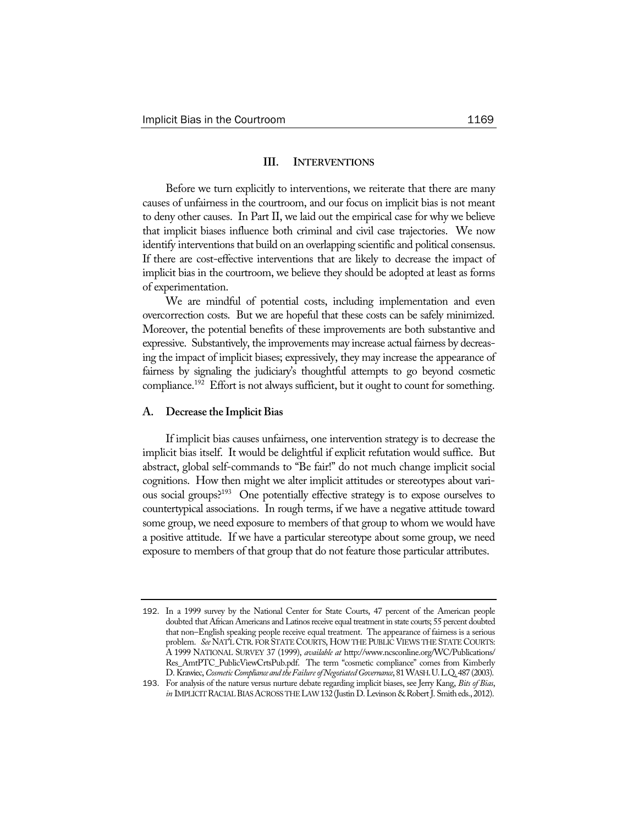### **III. INTERVENTIONS**

Before we turn explicitly to interventions, we reiterate that there are many causes of unfairness in the courtroom, and our focus on implicit bias is not meant to deny other causes. In Part II, we laid out the empirical case for why we believe that implicit biases influence both criminal and civil case trajectories. We now identify interventions that build on an overlapping scientific and political consensus. If there are cost-effective interventions that are likely to decrease the impact of implicit bias in the courtroom, we believe they should be adopted at least as forms of experimentation.

We are mindful of potential costs, including implementation and even overcorrection costs. But we are hopeful that these costs can be safely minimized. Moreover, the potential benefits of these improvements are both substantive and expressive. Substantively, the improvements may increase actual fairness by decreasing the impact of implicit biases; expressively, they may increase the appearance of fairness by signaling the judiciary's thoughtful attempts to go beyond cosmetic compliance.<sup>192</sup> Effort is not always sufficient, but it ought to count for something.

### **A. Decrease the Implicit Bias**

If implicit bias causes unfairness, one intervention strategy is to decrease the implicit bias itself. It would be delightful if explicit refutation would suffice. But abstract, global self-commands to "Be fair!" do not much change implicit social cognitions. How then might we alter implicit attitudes or stereotypes about various social groups?193 One potentially effective strategy is to expose ourselves to countertypical associations. In rough terms, if we have a negative attitude toward some group, we need exposure to members of that group to whom we would have a positive attitude. If we have a particular stereotype about some group, we need exposure to members of that group that do not feature those particular attributes.

<sup>192</sup>. In a 1999 survey by the National Center for State Courts, 47 percent of the American people doubted that African Americans and Latinos receive equal treatment in state courts; 55 percent doubted that non–English speaking people receive equal treatment. The appearance of fairness is a serious problem. *See* NAT'L CTR. FOR STATE COURTS, HOW THE PUBLIC VIEWS THE STATE COURTS: A 1999 NATIONAL SURVEY 37 (1999), *available at* http://www.ncsconline.org/WC/Publications/ Res\_AmtPTC\_PublicViewCrtsPub.pdf. The term "cosmetic compliance" comes from Kimberly D. Krawiec, *Cosmetic Compliance and the Failure of Negotiated Governance*, 81 WASH.U.L.Q. 487 (2003).

<sup>193</sup>. For analysis of the nature versus nurture debate regarding implicit biases, see Jerry Kang, *Bits of Bias*, *in* IMPLICIT RACIAL BIAS ACROSS THE LAW 132 (Justin D. Levinson & Robert J. Smitheds., 2012).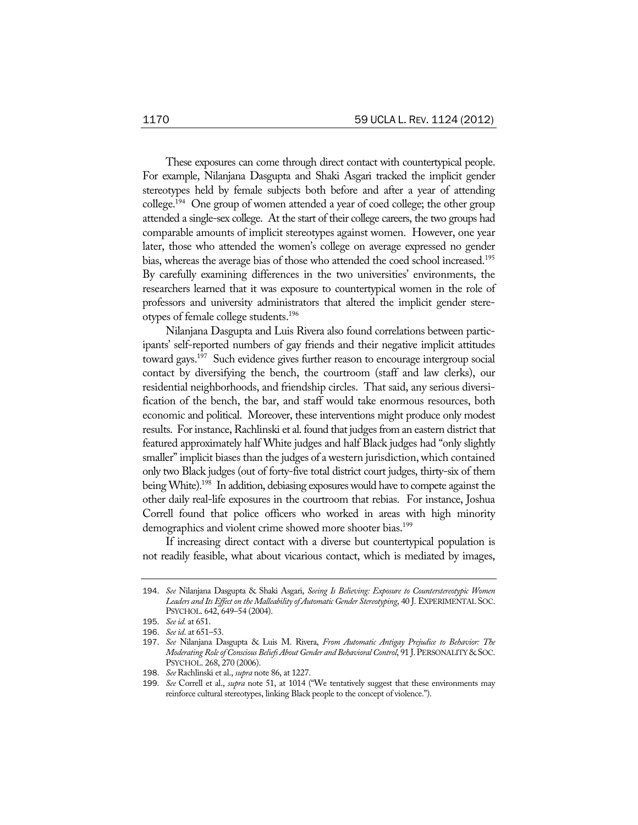These exposures can come through direct contact with countertypical people. For example, Nilanjana Dasgupta and Shaki Asgari tracked the implicit gender stereotypes held by female subjects both before and after a year of attending college.194 One group of women attended a year of coed college; the other group attended a single-sex college. At the start of their college careers, the two groups had comparable amounts of implicit stereotypes against women. However, one year later, those who attended the women's college on average expressed no gender bias, whereas the average bias of those who attended the coed school increased.<sup>195</sup> By carefully examining differences in the two universities' environments, the researchers learned that it was exposure to countertypical women in the role of professors and university administrators that altered the implicit gender stereotypes of female college students.196

Nilanjana Dasgupta and Luis Rivera also found correlations between participants' self-reported numbers of gay friends and their negative implicit attitudes toward gays.<sup>197</sup> Such evidence gives further reason to encourage intergroup social contact by diversifying the bench, the courtroom (staff and law clerks), our residential neighborhoods, and friendship circles. That said, any serious diversification of the bench, the bar, and staff would take enormous resources, both economic and political. Moreover, these interventions might produce only modest results. For instance, Rachlinski et al. found that judges from an eastern district that featured approximately half White judges and half Black judges had "only slightly smaller" implicit biases than the judges of a western jurisdiction, which contained only two Black judges (out of forty-five total district court judges, thirty-six of them being White).<sup>198</sup> In addition, debiasing exposures would have to compete against the other daily real-life exposures in the courtroom that rebias. For instance, Joshua Correll found that police officers who worked in areas with high minority demographics and violent crime showed more shooter bias.<sup>199</sup>

If increasing direct contact with a diverse but countertypical population is not readily feasible, what about vicarious contact, which is mediated by images,

<sup>194</sup>. *See* Nilanjana Dasgupta & Shaki Asgari, *Seeing Is Believing: Exposure to Counterstereotypic Women Leaders and Its Effect on the Malleability of Automatic Gender Stereotyping*, 40 J. EXPERIMENTAL SOC. PSYCHOL. 642, 649–54 (2004).

<sup>195</sup>. *See id.* at 651.

<sup>196</sup>. *See id*. at 651–53.

<sup>197</sup>. *See* Nilanjana Dasgupta & Luis M. Rivera, *From Automatic Antigay Prejudice to Behavior: The Moderating Role of Conscious Beliefs About Gender and Behavioral Control*, 91 J.PERSONALITY & SOC. PSYCHOL. 268, 270 (2006).

<sup>198</sup>. *See* Rachlinski et al., *supra* note 86, at 1227.

<sup>199</sup>. *See* Correll et al., *supra* note 51, at 1014 ("We tentatively suggest that these environments may reinforce cultural stereotypes, linking Black people to the concept of violence.").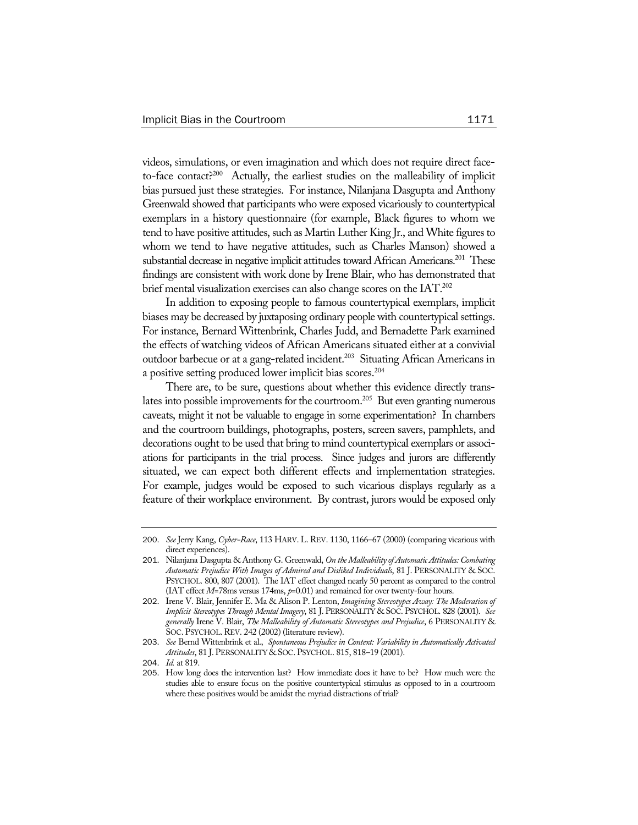videos, simulations, or even imagination and which does not require direct faceto-face contact?<sup>200</sup> Actually, the earliest studies on the malleability of implicit bias pursued just these strategies. For instance, Nilanjana Dasgupta and Anthony Greenwald showed that participants who were exposed vicariously to countertypical exemplars in a history questionnaire (for example, Black figures to whom we tend to have positive attitudes, such as Martin Luther King Jr., and White figures to whom we tend to have negative attitudes, such as Charles Manson) showed a substantial decrease in negative implicit attitudes toward African Americans.<sup>201</sup> These findings are consistent with work done by Irene Blair, who has demonstrated that brief mental visualization exercises can also change scores on the IAT.<sup>202</sup>

In addition to exposing people to famous countertypical exemplars, implicit biases may be decreased by juxtaposing ordinary people with countertypical settings. For instance, Bernard Wittenbrink, Charles Judd, and Bernadette Park examined the effects of watching videos of African Americans situated either at a convivial outdoor barbecue or at a gang-related incident.<sup>203</sup> Situating African Americans in a positive setting produced lower implicit bias scores.<sup>204</sup>

There are, to be sure, questions about whether this evidence directly translates into possible improvements for the courtroom.<sup>205</sup> But even granting numerous caveats, might it not be valuable to engage in some experimentation? In chambers and the courtroom buildings, photographs, posters, screen savers, pamphlets, and decorations ought to be used that bring to mind countertypical exemplars or associations for participants in the trial process. Since judges and jurors are differently situated, we can expect both different effects and implementation strategies. For example, judges would be exposed to such vicarious displays regularly as a feature of their workplace environment. By contrast, jurors would be exposed only

<sup>200</sup>. *See* Jerry Kang, *Cyber-Race*, 113 HARV. L. REV. 1130, 1166–67 (2000) (comparing vicarious with direct experiences).

<sup>201</sup>. Nilanjana Dasgupta & Anthony G. Greenwald, *On the Malleability of Automatic Attitudes: Combating Automatic Prejudice With Images of Admired and Disliked Individuals*, 81 J. PERSONALITY & SOC. PSYCHOL. 800, 807 (2001). The IAT effect changed nearly 50 percent as compared to the control (IAT effect *M*=78ms versus 174ms, *p*=0.01) and remained for over twenty-four hours.

<sup>202</sup>. Irene V. Blair, Jennifer E. Ma & Alison P. Lenton, *Imagining Stereotypes Away: The Moderation of Implicit Stereotypes Through Mental Imagery*, 81 J. PERSONALITY & SOC. PSYCHOL. 828 (2001). *See generally* Irene V. Blair, *The Malleability of Automatic Stereotypes and Prejudice*, 6 PERSONALITY & SOC. PSYCHOL. REV. 242 (2002) (literature review).

<sup>203</sup>. *See* Bernd Wittenbrink et al., *Spontaneous Prejudice in Context: Variability in Automatically Activated Attitudes*, 81 J. PERSONALITY & SOC. PSYCHOL. 815, 818–19 (2001).

<sup>204</sup>. *Id.* at 819.

<sup>205</sup>. How long does the intervention last? How immediate does it have to be? How much were the studies able to ensure focus on the positive countertypical stimulus as opposed to in a courtroom where these positives would be amidst the myriad distractions of trial?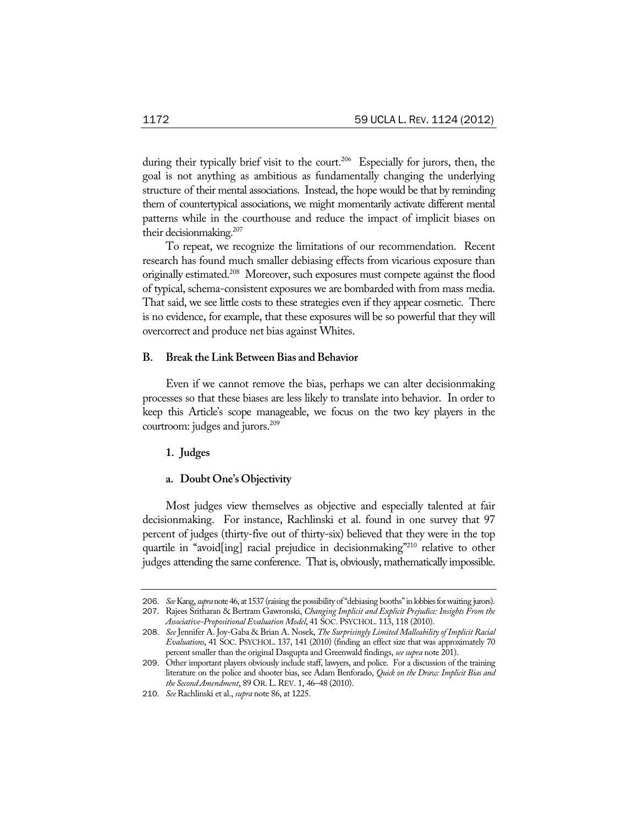during their typically brief visit to the court.<sup>206</sup> Especially for jurors, then, the goal is not anything as ambitious as fundamentally changing the underlying structure of their mental associations. Instead, the hope would be that by reminding them of countertypical associations, we might momentarily activate different mental patterns while in the courthouse and reduce the impact of implicit biases on their decisionmaking.207

To repeat, we recognize the limitations of our recommendation. Recent research has found much smaller debiasing effects from vicarious exposure than originally estimated.208 Moreover, such exposures must compete against the flood of typical, schema-consistent exposures we are bombarded with from mass media. That said, we see little costs to these strategies even if they appear cosmetic. There is no evidence, for example, that these exposures will be so powerful that they will overcorrect and produce net bias against Whites.

### **B. Break the Link Between Bias and Behavior**

Even if we cannot remove the bias, perhaps we can alter decisionmaking processes so that these biases are less likely to translate into behavior. In order to keep this Article's scope manageable, we focus on the two key players in the courtroom: judges and jurors.<sup>209</sup>

### **1. Judges**

### **a. Doubt One's Objectivity**

Most judges view themselves as objective and especially talented at fair decisionmaking. For instance, Rachlinski et al. found in one survey that 97 percent of judges (thirty-five out of thirty-six) believed that they were in the top quartile in "avoid[ing] racial prejudice in decisionmaking"<sup>210</sup> relative to other judges attending the same conference. That is, obviously, mathematically impossible.

<sup>206</sup>. *See* Kang, *supra* note 46, at 1537 (raising the possibility of "debiasing booths" in lobbies for waiting jurors). 207. Rajees Sritharan & Bertram Gawronski, *Changing Implicit and Explicit Prejudice: Insights From the* 

*Associative-Propositional Evaluation Model*, 41 SOC. PSYCHOL. 113, 118 (2010). 208. *See* Jennifer A. Joy-Gaba & Brian A. Nosek, *The Surprisingly Limited Malleability of Implicit Racial* 

*Evaluations*, 41 SOC. PSYCHOL. 137, 141 (2010) (finding an effect size that was approximately 70 percent smaller than the original Dasgupta and Greenwald findings, *see supra* note 201).

<sup>209</sup>. Other important players obviously include staff, lawyers, and police. For a discussion of the training literature on the police and shooter bias, see Adam Benforado, *Quick on the Draw: Implicit Bias and the Second Amendment*, 89 OR.L.REV. 1, 46–48 (2010).

<sup>210</sup>. *See* Rachlinski et al., *supra* note 86, at 1225.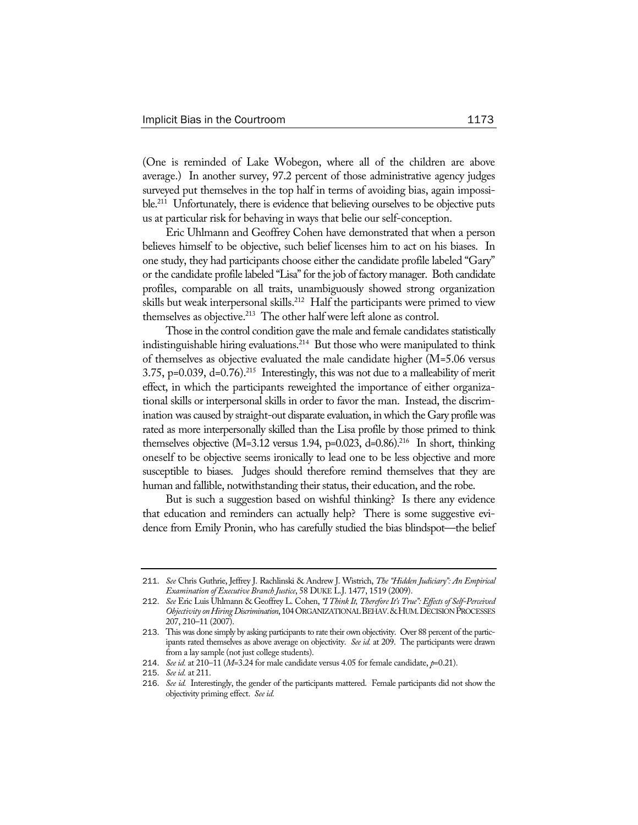(One is reminded of Lake Wobegon, where all of the children are above average.) In another survey, 97.2 percent of those administrative agency judges surveyed put themselves in the top half in terms of avoiding bias, again impossible.<sup>211</sup> Unfortunately, there is evidence that believing ourselves to be objective puts us at particular risk for behaving in ways that belie our self-conception.

Eric Uhlmann and Geoffrey Cohen have demonstrated that when a person believes himself to be objective, such belief licenses him to act on his biases. In one study, they had participants choose either the candidate profile labeled "Gary" or the candidate profile labeled "Lisa" for the job of factory manager. Both candidate profiles, comparable on all traits, unambiguously showed strong organization skills but weak interpersonal skills.<sup>212</sup> Half the participants were primed to view themselves as objective.<sup>213</sup> The other half were left alone as control.

Those in the control condition gave the male and female candidates statistically indistinguishable hiring evaluations.<sup>214</sup> But those who were manipulated to think of themselves as objective evaluated the male candidate higher (M=5.06 versus 3.75, p=0.039,  $d=0.76$ ).<sup>215</sup> Interestingly, this was not due to a malleability of merit effect, in which the participants reweighted the importance of either organizational skills or interpersonal skills in order to favor the man. Instead, the discrimination was caused by straight-out disparate evaluation, in which the Gary profile was rated as more interpersonally skilled than the Lisa profile by those primed to think themselves objective (M=3.12 versus 1.94, p=0.023, d=0.86).<sup>216</sup> In short, thinking oneself to be objective seems ironically to lead one to be less objective and more susceptible to biases. Judges should therefore remind themselves that they are human and fallible, notwithstanding their status, their education, and the robe.

But is such a suggestion based on wishful thinking? Is there any evidence that education and reminders can actually help? There is some suggestive evidence from Emily Pronin, who has carefully studied the bias blindspot—the belief

<sup>211</sup>. *See* Chris Guthrie, Jeffrey J. Rachlinski & Andrew J. Wistrich, *The "Hidden Judiciary": An Empirical Examination of Executive Branch Justice*, 58 DUKE L.J. 1477, 1519 (2009).

<sup>212</sup>. *See* Eric Luis Uhlmann & Geoffrey L. Cohen, *"I Think It, Therefore It's True": Effects of Self-Perceived Objectivity on Hiring Discrimination*, 104 ORGANIZATIONAL BEHAV.&HUM.DECISION PROCESSES 207, 210–11 (2007).

<sup>213</sup>. This was done simply by asking participants to rate their own objectivity. Over 88 percent of the participants rated themselves as above average on objectivity. *See id.* at 209. The participants were drawn from a lay sample (not just college students).

<sup>214</sup>. *See id.* at 210–11 (*M*=3.24 for male candidate versus 4.05 for female candidate, *p*=0.21).

<sup>215</sup>. *See id.* at 211.

<sup>216</sup>. *See id.* Interestingly, the gender of the participants mattered. Female participants did not show the objectivity priming effect. *See id.*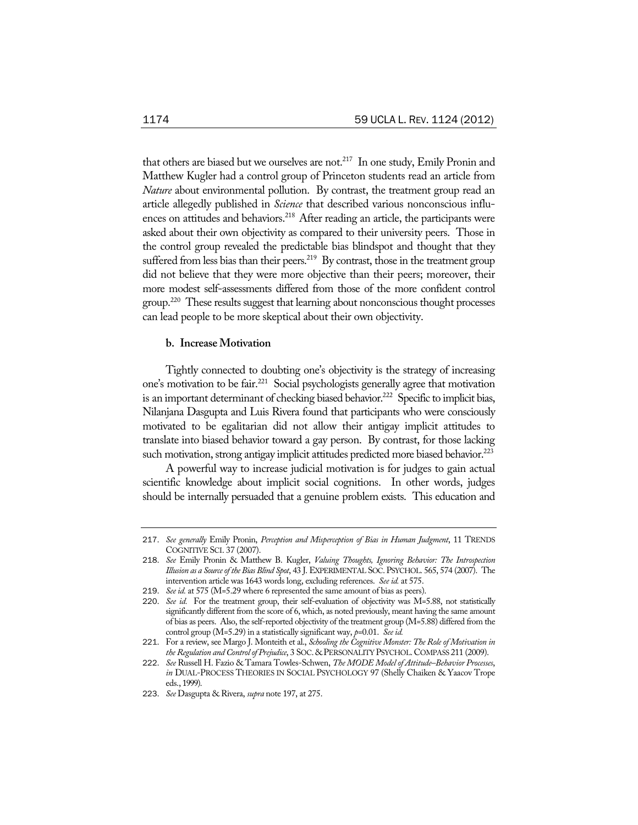that others are biased but we ourselves are not.<sup>217</sup> In one study, Emily Pronin and Matthew Kugler had a control group of Princeton students read an article from *Nature* about environmental pollution. By contrast, the treatment group read an article allegedly published in *Science* that described various nonconscious influences on attitudes and behaviors.<sup>218</sup> After reading an article, the participants were asked about their own objectivity as compared to their university peers. Those in the control group revealed the predictable bias blindspot and thought that they suffered from less bias than their peers.<sup>219</sup> By contrast, those in the treatment group did not believe that they were more objective than their peers; moreover, their more modest self-assessments differed from those of the more confident control group.220 These results suggest that learning about nonconscious thought processes can lead people to be more skeptical about their own objectivity.

### **b. Increase Motivation**

Tightly connected to doubting one's objectivity is the strategy of increasing one's motivation to be fair.221 Social psychologists generally agree that motivation is an important determinant of checking biased behavior.<sup>222</sup> Specific to implicit bias, Nilanjana Dasgupta and Luis Rivera found that participants who were consciously motivated to be egalitarian did not allow their antigay implicit attitudes to translate into biased behavior toward a gay person. By contrast, for those lacking such motivation, strong antigay implicit attitudes predicted more biased behavior.<sup>223</sup>

A powerful way to increase judicial motivation is for judges to gain actual scientific knowledge about implicit social cognitions. In other words, judges should be internally persuaded that a genuine problem exists. This education and

<sup>217</sup>. *See generally* Emily Pronin, *Perception and Misperception of Bias in Human Judgment*, 11 TRENDS COGNITIVE SCI. 37 (2007).

<sup>218</sup>. *See* Emily Pronin & Matthew B. Kugler, *Valuing Thoughts, Ignoring Behavior: The Introspection Illusion as a Source of the Bias Blind Spot*, 43 J. EXPERIMENTAL SOC.PSYCHOL. 565, 574 (2007). The intervention article was 1643 words long, excluding references. *See id.* at 575.

<sup>219</sup>. *See id.* at 575 (M=5.29 where 6 represented the same amount of bias as peers).

<sup>220.</sup> See id. For the treatment group, their self-evaluation of objectivity was M=5.88, not statistically significantly different from the score of 6, which, as noted previously, meant having the same amount of bias as peers. Also, the self-reported objectivity of the treatment group (M=5.88) differed from the control group (M=5.29) in a statistically significant way, *p=*0.01. *See id.* 

<sup>221</sup>. For a review, see Margo J. Monteith et al., *Schooling the Cognitive Monster: The Role of Motivation in the Regulation and Control of Prejudice*, 3 SOC. &PERSONALITY PSYCHOL.COMPASS 211 (2009).

<sup>222</sup>. *See* Russell H. Fazio & Tamara Towles-Schwen, *The MODE Model of Attitude–Behavior Processes*, *in* DUAL-PROCESS THEORIES IN SOCIAL PSYCHOLOGY 97 (Shelly Chaiken & Yaacov Trope eds., 1999).

<sup>223</sup>. *See* Dasgupta & Rivera, *supra* note 197, at 275.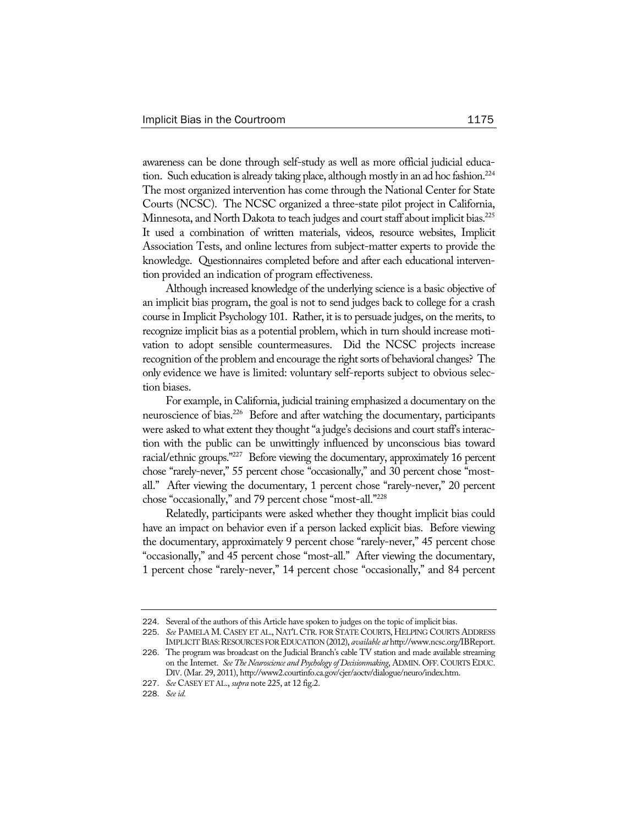awareness can be done through self-study as well as more official judicial education. Such education is already taking place, although mostly in an ad hoc fashion.<sup>224</sup> The most organized intervention has come through the National Center for State Courts (NCSC). The NCSC organized a three-state pilot project in California, Minnesota, and North Dakota to teach judges and court staff about implicit bias.<sup>225</sup> It used a combination of written materials, videos, resource websites, Implicit Association Tests, and online lectures from subject-matter experts to provide the knowledge. Questionnaires completed before and after each educational intervention provided an indication of program effectiveness.

Although increased knowledge of the underlying science is a basic objective of an implicit bias program, the goal is not to send judges back to college for a crash course in Implicit Psychology 101. Rather, it is to persuade judges, on the merits, to recognize implicit bias as a potential problem, which in turn should increase motivation to adopt sensible countermeasures. Did the NCSC projects increase recognition of the problem and encourage the right sorts of behavioral changes? The only evidence we have is limited: voluntary self-reports subject to obvious selection biases.

For example, in California, judicial training emphasized a documentary on the neuroscience of bias.<sup>226</sup> Before and after watching the documentary, participants were asked to what extent they thought "a judge's decisions and court staff's interaction with the public can be unwittingly influenced by unconscious bias toward racial/ethnic groups."<sup>227</sup> Before viewing the documentary, approximately 16 percent chose "rarely-never," 55 percent chose "occasionally," and 30 percent chose "mostall." After viewing the documentary, 1 percent chose "rarely-never," 20 percent chose "occasionally," and 79 percent chose "most-all."228

Relatedly, participants were asked whether they thought implicit bias could have an impact on behavior even if a person lacked explicit bias. Before viewing the documentary, approximately 9 percent chose "rarely-never," 45 percent chose "occasionally," and 45 percent chose "most-all." After viewing the documentary, 1 percent chose "rarely-never," 14 percent chose "occasionally," and 84 percent

<sup>224</sup>. Several of the authors of this Article have spoken to judges on the topic of implicit bias.

<sup>225</sup>. *See* PAMELA M. CASEY ET AL., NAT'L CTR. FOR STATE COURTS, HELPING COURTS ADDRESS IMPLICIT BIAS:RESOURCES FOR EDUCATION (2012), *available at* http://www.ncsc.org/IBReport. 226. The program was broadcast on the Judicial Branch's cable TV station and made available streaming

on the Internet. *See The Neuroscience and Psychology of Decisionmaking*, ADMIN. OFF. COURTS EDUC. DIV. (Mar. 29, 2011), http://www2.courtinfo.ca.gov/cjer/aoctv/dialogue/neuro/index.htm.

<sup>227</sup>. *See* CASEY ET AL., *supra* note 225, at 12 fig.2.

<sup>228</sup>. *See id.*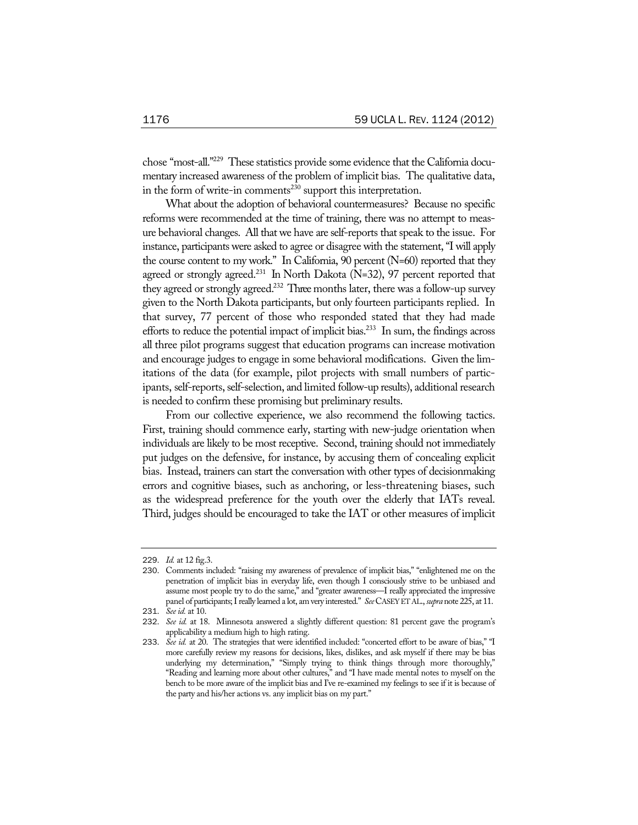chose "most-all."229 These statistics provide some evidence that the California documentary increased awareness of the problem of implicit bias. The qualitative data, in the form of write-in comments<sup>230</sup> support this interpretation.

What about the adoption of behavioral countermeasures? Because no specific reforms were recommended at the time of training, there was no attempt to measure behavioral changes. All that we have are self-reports that speak to the issue. For instance, participants were asked to agree or disagree with the statement, "I will apply the course content to my work." In California, 90 percent (N=60) reported that they agreed or strongly agreed.<sup>231</sup> In North Dakota (N=32), 97 percent reported that they agreed or strongly agreed.<sup>232</sup> Three months later, there was a follow-up survey given to the North Dakota participants, but only fourteen participants replied. In that survey, 77 percent of those who responded stated that they had made efforts to reduce the potential impact of implicit bias.<sup>233</sup> In sum, the findings across all three pilot programs suggest that education programs can increase motivation and encourage judges to engage in some behavioral modifications. Given the limitations of the data (for example, pilot projects with small numbers of participants, self-reports, self-selection, and limited follow-up results), additional research is needed to confirm these promising but preliminary results.

From our collective experience, we also recommend the following tactics. First, training should commence early, starting with new-judge orientation when individuals are likely to be most receptive. Second, training should not immediately put judges on the defensive, for instance, by accusing them of concealing explicit bias. Instead, trainers can start the conversation with other types of decisionmaking errors and cognitive biases, such as anchoring, or less-threatening biases, such as the widespread preference for the youth over the elderly that IATs reveal. Third, judges should be encouraged to take the IAT or other measures of implicit

<sup>229</sup>. *Id.* at 12 fig.3.

<sup>230</sup>. Comments included: "raising my awareness of prevalence of implicit bias," "enlightened me on the penetration of implicit bias in everyday life, even though I consciously strive to be unbiased and assume most people try to do the same," and "greater awareness—I really appreciated the impressive panel of participants; I really learned a lot, am very interested." *See* CASEY ET AL., *supra* note 225, at 11.

<sup>231</sup>. *See id.* at 10.

<sup>232</sup>. *See id.* at 18. Minnesota answered a slightly different question: 81 percent gave the program's applicability a medium high to high rating.

<sup>233.</sup> See id. at 20. The strategies that were identified included: "concerted effort to be aware of bias," "I more carefully review my reasons for decisions, likes, dislikes, and ask myself if there may be bias underlying my determination," "Simply trying to think things through more thoroughly," "Reading and learning more about other cultures," and "I have made mental notes to myself on the bench to be more aware of the implicit bias and I've re-examined my feelings to see if it is because of the party and his/her actions vs. any implicit bias on my part."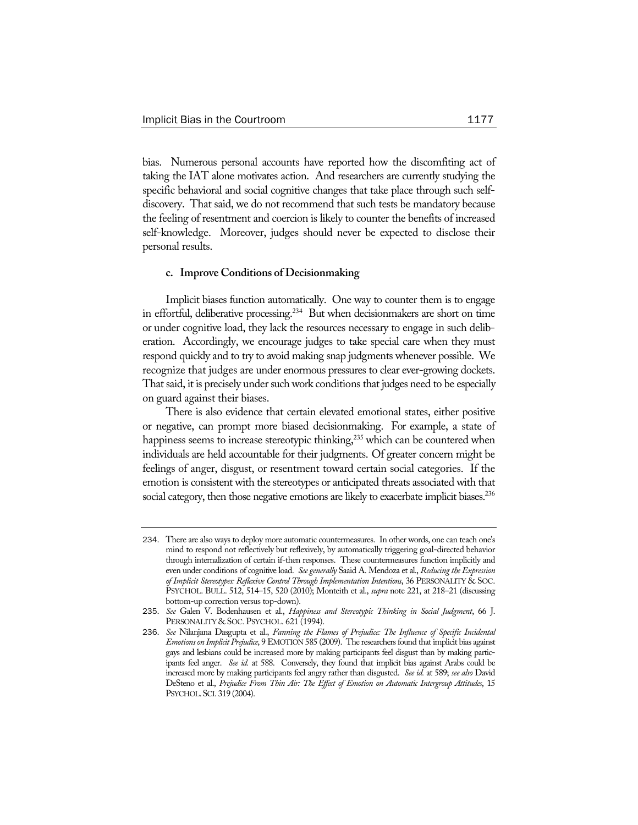bias. Numerous personal accounts have reported how the discomfiting act of taking the IAT alone motivates action. And researchers are currently studying the specific behavioral and social cognitive changes that take place through such selfdiscovery. That said, we do not recommend that such tests be mandatory because the feeling of resentment and coercion is likely to counter the benefits of increased self-knowledge. Moreover, judges should never be expected to disclose their personal results.

### **c. Improve Conditions of Decisionmaking**

Implicit biases function automatically. One way to counter them is to engage in effortful, deliberative processing.<sup>234</sup> But when decisionmakers are short on time or under cognitive load, they lack the resources necessary to engage in such deliberation. Accordingly, we encourage judges to take special care when they must respond quickly and to try to avoid making snap judgments whenever possible. We recognize that judges are under enormous pressures to clear ever-growing dockets. That said, it is precisely under such work conditions that judges need to be especially on guard against their biases.

There is also evidence that certain elevated emotional states, either positive or negative, can prompt more biased decisionmaking. For example, a state of happiness seems to increase stereotypic thinking,<sup>235</sup> which can be countered when individuals are held accountable for their judgments. Of greater concern might be feelings of anger, disgust, or resentment toward certain social categories. If the emotion is consistent with the stereotypes or anticipated threats associated with that social category, then those negative emotions are likely to exacerbate implicit biases.<sup>236</sup>

<sup>234</sup>. There are also ways to deploy more automatic countermeasures. In other words, one can teach one's mind to respond not reflectively but reflexively, by automatically triggering goal-directed behavior through internalization of certain if-then responses. These countermeasures function implicitly and even under conditions of cognitive load. *See generally* Saaid A. Mendoza et al., *Reducing the Expression of Implicit Stereotypes: Reflexive Control Through Implementation Intentions*, 36 PERSONALITY & SOC. PSYCHOL. BULL. 512, 514–15, 520 (2010); Monteith et al., *supra* note 221, at 218–21 (discussing bottom-up correction versus top-down).

<sup>235</sup>. *See* Galen V. Bodenhausen et al., *Happiness and Stereotypic Thinking in Social Judgment*, 66 J. PERSONALITY & SOC. PSYCHOL. 621 (1994).

<sup>236</sup>. *See* Nilanjana Dasgupta et al., *Fanning the Flames of Prejudice: The Influence of Specific Incidental Emotions on Implicit Prejudice*, 9 EMOTION 585 (2009). The researchers found that implicit bias against gays and lesbians could be increased more by making participants feel disgust than by making participants feel anger. *See id.* at 588. Conversely, they found that implicit bias against Arabs could be increased more by making participants feel angry rather than disgusted. *See id.* at 589; *see also* David DeSteno et al., *Prejudice From Thin Air: The Effect of Emotion on Automatic Intergroup Attitudes*, 15 PSYCHOL.SCI. 319 (2004).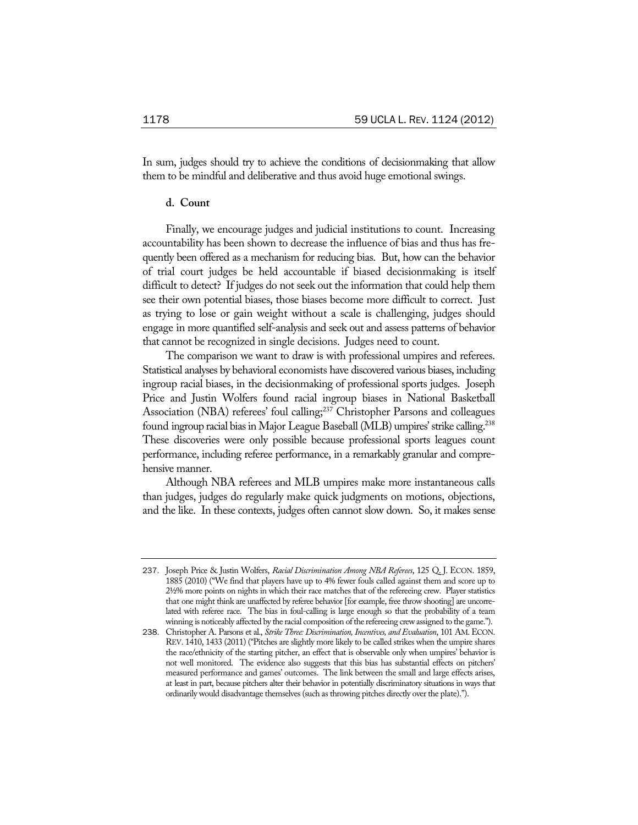In sum, judges should try to achieve the conditions of decisionmaking that allow them to be mindful and deliberative and thus avoid huge emotional swings.

### **d. Count**

Finally, we encourage judges and judicial institutions to count. Increasing accountability has been shown to decrease the influence of bias and thus has frequently been offered as a mechanism for reducing bias. But, how can the behavior of trial court judges be held accountable if biased decisionmaking is itself difficult to detect? If judges do not seek out the information that could help them see their own potential biases, those biases become more difficult to correct. Just as trying to lose or gain weight without a scale is challenging, judges should engage in more quantified self-analysis and seek out and assess patterns of behavior that cannot be recognized in single decisions. Judges need to count.

The comparison we want to draw is with professional umpires and referees. Statistical analyses by behavioral economists have discovered various biases, including ingroup racial biases, in the decisionmaking of professional sports judges. Joseph Price and Justin Wolfers found racial ingroup biases in National Basketball Association (NBA) referees' foul calling;<sup>237</sup> Christopher Parsons and colleagues found ingroup racial bias in Major League Baseball (MLB) umpires' strike calling.238 These discoveries were only possible because professional sports leagues count performance, including referee performance, in a remarkably granular and comprehensive manner.

Although NBA referees and MLB umpires make more instantaneous calls than judges, judges do regularly make quick judgments on motions, objections, and the like. In these contexts, judges often cannot slow down. So, it makes sense

<sup>237</sup>. Joseph Price & Justin Wolfers, *Racial Discrimination Among NBA Referees*, 125 Q. J. ECON. 1859, 1885 (2010) ("We find that players have up to 4% fewer fouls called against them and score up to 2½% more points on nights in which their race matches that of the refereeing crew. Player statistics that one might think are unaffected by referee behavior [for example, free throw shooting] are uncorrelated with referee race. The bias in foul-calling is large enough so that the probability of a team winning is noticeably affected by the racial composition of the refereeing crew assigned to the game.").

<sup>238</sup>. Christopher A. Parsons et al., *Strike Three: Discrimination, Incentives, and Evaluation*, 101 AM.ECON. REV. 1410, 1433 (2011) ("Pitches are slightly more likely to be called strikes when the umpire shares the race/ethnicity of the starting pitcher, an effect that is observable only when umpires' behavior is not well monitored. The evidence also suggests that this bias has substantial effects on pitchers' measured performance and games' outcomes. The link between the small and large effects arises, at least in part, because pitchers alter their behavior in potentially discriminatory situations in ways that ordinarily would disadvantage themselves (such as throwing pitches directly over the plate).").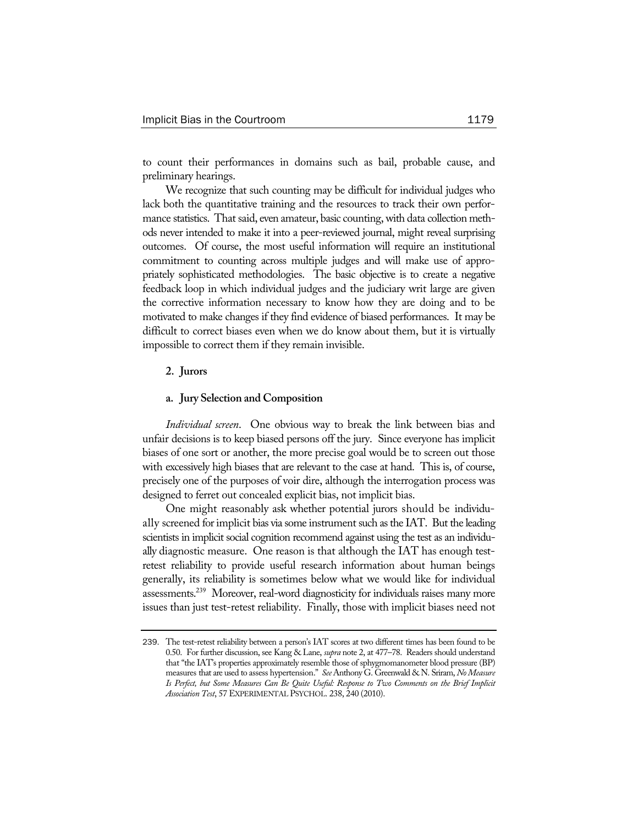to count their performances in domains such as bail, probable cause, and preliminary hearings.

We recognize that such counting may be difficult for individual judges who lack both the quantitative training and the resources to track their own performance statistics. That said, even amateur, basic counting, with data collection methods never intended to make it into a peer-reviewed journal, might reveal surprising outcomes. Of course, the most useful information will require an institutional commitment to counting across multiple judges and will make use of appropriately sophisticated methodologies. The basic objective is to create a negative feedback loop in which individual judges and the judiciary writ large are given the corrective information necessary to know how they are doing and to be motivated to make changes if they find evidence of biased performances. It may be difficult to correct biases even when we do know about them, but it is virtually impossible to correct them if they remain invisible.

# **2. Jurors**

### **a. Jury Selection and Composition**

*Individual screen*. One obvious way to break the link between bias and unfair decisions is to keep biased persons off the jury. Since everyone has implicit biases of one sort or another, the more precise goal would be to screen out those with excessively high biases that are relevant to the case at hand. This is, of course, precisely one of the purposes of voir dire, although the interrogation process was designed to ferret out concealed explicit bias, not implicit bias.

One might reasonably ask whether potential jurors should be individually screened for implicit bias via some instrument such as the IAT. But the leading scientists in implicit social cognition recommend against using the test as an individually diagnostic measure. One reason is that although the IAT has enough testretest reliability to provide useful research information about human beings generally, its reliability is sometimes below what we would like for individual assessments.<sup>239</sup> Moreover, real-word diagnosticity for individuals raises many more issues than just test-retest reliability. Finally, those with implicit biases need not

<sup>239</sup>. The test-retest reliability between a person's IAT scores at two different times has been found to be 0.50. For further discussion, see Kang & Lane, *supra* note 2, at 477–78. Readers should understand that "the IAT's properties approximately resemble those of sphygmomanometer blood pressure (BP) measures that are used to assess hypertension." *See* Anthony G. Greenwald & N. Sriram, *No Measure Is Perfect, but Some Measures Can Be Quite Useful: Response to Two Comments on the Brief Implicit Association Test*, 57 EXPERIMENTAL PSYCHOL. 238, 240 (2010).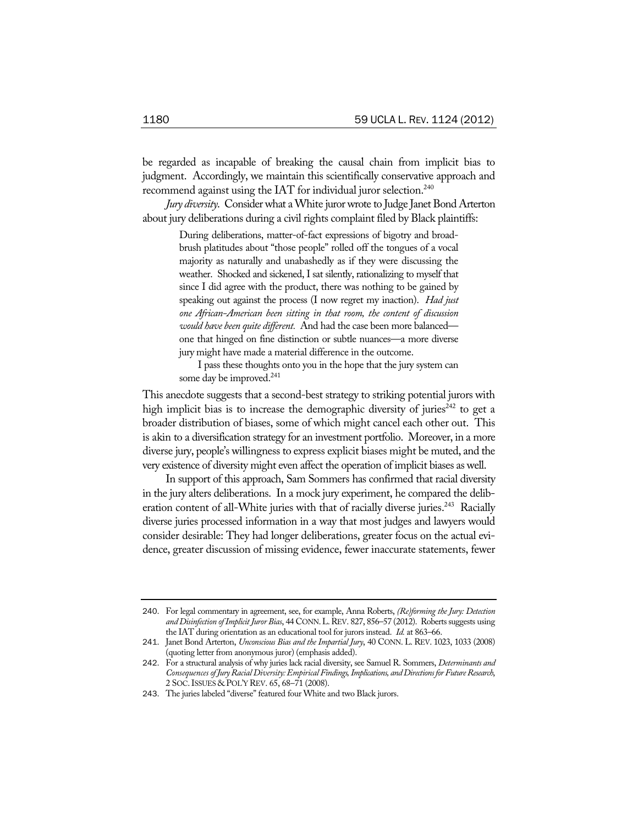be regarded as incapable of breaking the causal chain from implicit bias to judgment. Accordingly, we maintain this scientifically conservative approach and recommend against using the IAT for individual juror selection.<sup>240</sup>

*Jury diversity*. Consider what a White juror wrote to Judge Janet Bond Arterton about jury deliberations during a civil rights complaint filed by Black plaintiffs:

> During deliberations, matter-of-fact expressions of bigotry and broadbrush platitudes about "those people" rolled off the tongues of a vocal majority as naturally and unabashedly as if they were discussing the weather. Shocked and sickened, I sat silently, rationalizing to myself that since I did agree with the product, there was nothing to be gained by speaking out against the process (I now regret my inaction). *Had just one African-American been sitting in that room, the content of discussion would have been quite different.* And had the case been more balanced one that hinged on fine distinction or subtle nuances—a more diverse jury might have made a material difference in the outcome.

> I pass these thoughts onto you in the hope that the jury system can some day be improved.<sup>241</sup>

This anecdote suggests that a second-best strategy to striking potential jurors with high implicit bias is to increase the demographic diversity of juries<sup>242</sup> to get a broader distribution of biases, some of which might cancel each other out. This is akin to a diversification strategy for an investment portfolio. Moreover, in a more diverse jury, people's willingness to express explicit biases might be muted, and the very existence of diversity might even affect the operation of implicit biases as well.

In support of this approach, Sam Sommers has confirmed that racial diversity in the jury alters deliberations. In a mock jury experiment, he compared the deliberation content of all-White juries with that of racially diverse juries.<sup>243</sup> Racially diverse juries processed information in a way that most judges and lawyers would consider desirable: They had longer deliberations, greater focus on the actual evidence, greater discussion of missing evidence, fewer inaccurate statements, fewer

<sup>240</sup>. For legal commentary in agreement, see, for example, Anna Roberts, *(Re)forming the Jury: Detection and Disinfection of Implicit Juror Bias*, 44 CONN.L.REV. 827, 856–57 (2012). Roberts suggests using the IAT during orientation as an educational tool for jurors instead. *Id.* at 863–66.

<sup>241</sup>. Janet Bond Arterton, *Unconscious Bias and the Impartial Jury*, 40 CONN. L. REV. 1023, 1033 (2008) (quoting letter from anonymous juror) (emphasis added).

<sup>242</sup>. For a structural analysis of why juries lack racial diversity, see Samuel R. Sommers, *Determinants and Consequences of Jury Racial Diversity: Empirical Findings, Implications, and Directions for Future Research*, 2 SOC.ISSUES & POL'Y REV. 65, 68–71 (2008).

<sup>243</sup>. The juries labeled "diverse" featured four White and two Black jurors.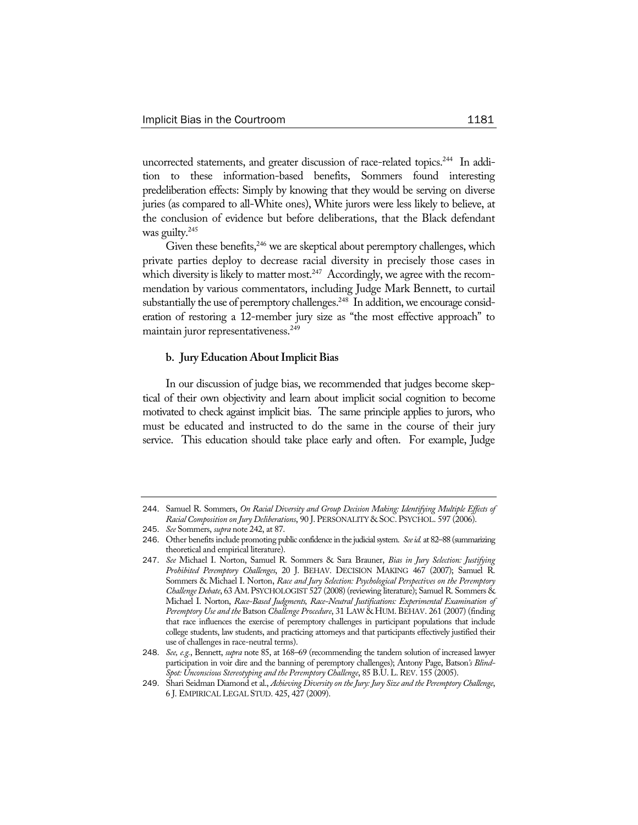uncorrected statements, and greater discussion of race-related topics.<sup>244</sup> In addition to these information-based benefits, Sommers found interesting predeliberation effects: Simply by knowing that they would be serving on diverse juries (as compared to all-White ones), White jurors were less likely to believe, at the conclusion of evidence but before deliberations, that the Black defendant was guilty.<sup>245</sup>

Given these benefits,<sup>246</sup> we are skeptical about peremptory challenges, which private parties deploy to decrease racial diversity in precisely those cases in which diversity is likely to matter most.<sup>247</sup> Accordingly, we agree with the recommendation by various commentators, including Judge Mark Bennett, to curtail substantially the use of peremptory challenges.<sup>248</sup> In addition, we encourage consideration of restoring a 12-member jury size as "the most effective approach" to maintain juror representativeness.<sup>249</sup>

### **b. Jury Education About Implicit Bias**

In our discussion of judge bias, we recommended that judges become skeptical of their own objectivity and learn about implicit social cognition to become motivated to check against implicit bias. The same principle applies to jurors, who must be educated and instructed to do the same in the course of their jury service. This education should take place early and often. For example, Judge

<sup>244</sup>. Samuel R. Sommers, *On Racial Diversity and Group Decision Making: Identifying Multiple Effects of Racial Composition on Jury Deliberations*, 90 J. PERSONALITY & SOC. PSYCHOL. 597 (2006).

<sup>245</sup>. *See* Sommers, *supra* note 242, at 87.

<sup>246</sup>. Other benefits include promoting public confidence in the judicial system. *See id.* at 82–88 (summarizing theoretical and empirical literature).

<sup>247</sup>. *See* Michael I. Norton, Samuel R. Sommers & Sara Brauner, *Bias in Jury Selection: Justifying Prohibited Peremptory Challenges*, 20 J. BEHAV. DECISION MAKING 467 (2007); Samuel R. Sommers & Michael I. Norton, *Race and Jury Selection: Psychological Perspectives on the Peremptory Challenge Debate*, 63 AM.PSYCHOLOGIST 527 (2008) (reviewing literature); Samuel R. Sommers & Michael I. Norton, *Race-Based Judgments, Race-Neutral Justifications: Experimental Examination of Peremptory Use and the* Batson *Challenge Procedure*, 31 LAW & HUM.BEHAV. 261 (2007) (finding that race influences the exercise of peremptory challenges in participant populations that include college students, law students, and practicing attorneys and that participants effectively justified their use of challenges in race-neutral terms).

<sup>248</sup>. *See, e.g.*, Bennett, *supra* note 85, at 168–69 (recommending the tandem solution of increased lawyer participation in voir dire and the banning of peremptory challenges); Antony Page, Batson*'s Blind-Spot: Unconscious Stereotyping and the Peremptory Challenge*, 85 B.U.L.REV. 155 (2005).

<sup>249</sup>. Shari Seidman Diamond et al., *Achieving Diversity on the Jury: Jury Size and the Peremptory Challenge*, 6 J. EMPIRICAL LEGAL STUD. 425, 427 (2009).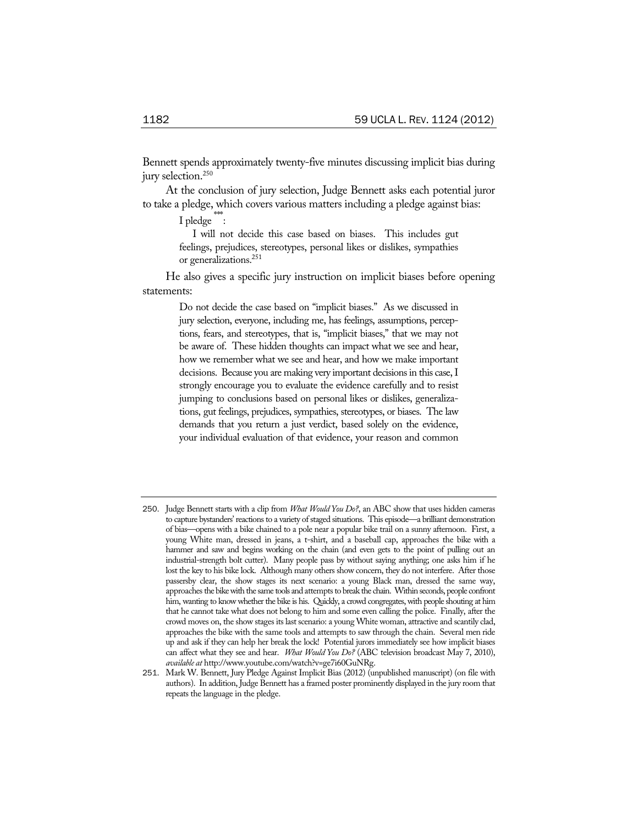Bennett spends approximately twenty-five minutes discussing implicit bias during jury selection.<sup>250</sup>

At the conclusion of jury selection, Judge Bennett asks each potential juror to take a pledge, which covers various matters including a pledge against bias:

 $I$  pledge  $\dddot{\hspace{0.1cm}}$ :

I will not decide this case based on biases. This includes gut feelings, prejudices, stereotypes, personal likes or dislikes, sympathies or generalizations.<sup>251</sup>

He also gives a specific jury instruction on implicit biases before opening statements:

> Do not decide the case based on "implicit biases." As we discussed in jury selection, everyone, including me, has feelings, assumptions, perceptions, fears, and stereotypes, that is, "implicit biases," that we may not be aware of. These hidden thoughts can impact what we see and hear, how we remember what we see and hear, and how we make important decisions. Because you are making very important decisions in this case, I strongly encourage you to evaluate the evidence carefully and to resist jumping to conclusions based on personal likes or dislikes, generalizations, gut feelings, prejudices, sympathies, stereotypes, or biases. The law demands that you return a just verdict, based solely on the evidence, your individual evaluation of that evidence, your reason and common

<sup>250</sup>. Judge Bennett starts with a clip from *What Would You Do?*, an ABC show that uses hidden cameras to capture bystanders' reactions to a variety of staged situations. This episode—a brilliant demonstration of bias—opens with a bike chained to a pole near a popular bike trail on a sunny afternoon. First, a young White man, dressed in jeans, a t-shirt, and a baseball cap, approaches the bike with a hammer and saw and begins working on the chain (and even gets to the point of pulling out an industrial-strength bolt cutter). Many people pass by without saying anything; one asks him if he lost the key to his bike lock. Although many others show concern, they do not interfere. After those passersby clear, the show stages its next scenario: a young Black man, dressed the same way, approaches the bike with the same tools and attempts to break the chain. Within seconds, people confront him, wanting to know whether the bike is his. Quickly, a crowd congregates, with people shouting at him that he cannot take what does not belong to him and some even calling the police. Finally, after the crowd moves on, the show stages its last scenario: a young White woman, attractive and scantily clad, approaches the bike with the same tools and attempts to saw through the chain. Several men ride up and ask if they can help her break the lock! Potential jurors immediately see how implicit biases can affect what they see and hear. *What Would You Do?* (ABC television broadcast May 7, 2010), *available at* http://www.youtube.com/watch?v=ge7i60GuNRg.

<sup>251</sup>. Mark W. Bennett, Jury Pledge Against Implicit Bias (2012) (unpublished manuscript) (on file with authors). In addition, Judge Bennett has a framed poster prominently displayed in the jury room that repeats the language in the pledge.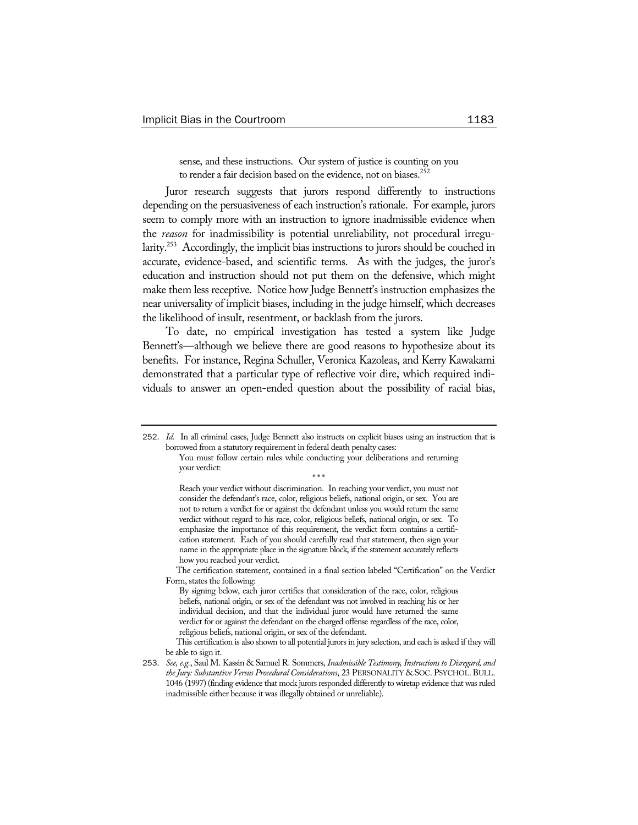sense, and these instructions. Our system of justice is counting on you to render a fair decision based on the evidence, not on biases.<sup>252</sup>

Juror research suggests that jurors respond differently to instructions depending on the persuasiveness of each instruction's rationale. For example, jurors seem to comply more with an instruction to ignore inadmissible evidence when the *reason* for inadmissibility is potential unreliability, not procedural irregularity.<sup>253</sup> Accordingly, the implicit bias instructions to jurors should be couched in accurate, evidence-based, and scientific terms. As with the judges, the juror's education and instruction should not put them on the defensive, which might make them less receptive. Notice how Judge Bennett's instruction emphasizes the near universality of implicit biases, including in the judge himself, which decreases the likelihood of insult, resentment, or backlash from the jurors.

To date, no empirical investigation has tested a system like Judge Bennett's—although we believe there are good reasons to hypothesize about its benefits. For instance, Regina Schuller, Veronica Kazoleas, and Kerry Kawakami demonstrated that a particular type of reflective voir dire, which required individuals to answer an open-ended question about the possibility of racial bias,

Reach your verdict without discrimination. In reaching your verdict, you must not consider the defendant's race, color, religious beliefs, national origin, or sex. You are not to return a verdict for or against the defendant unless you would return the same verdict without regard to his race, color, religious beliefs, national origin, or sex. To emphasize the importance of this requirement, the verdict form contains a certification statement. Each of you should carefully read that statement, then sign your name in the appropriate place in the signature block, if the statement accurately reflects how you reached your verdict.

<sup>252</sup>. *Id.* In all criminal cases, Judge Bennett also instructs on explicit biases using an instruction that is borrowed from a statutory requirement in federal death penalty cases:

You must follow certain rules while conducting your deliberations and returning your verdict: \* \* \*

The certification statement, contained in a final section labeled "Certification" on the Verdict Form, states the following:

By signing below, each juror certifies that consideration of the race, color, religious beliefs, national origin, or sex of the defendant was not involved in reaching his or her individual decision, and that the individual juror would have returned the same verdict for or against the defendant on the charged offense regardless of the race, color, religious beliefs, national origin, or sex of the defendant.

This certification is also shown to all potential jurors in jury selection, and each is asked if they will be able to sign it.

<sup>253</sup>. *See, e.g.*, Saul M. Kassin & Samuel R. Sommers, *Inadmissible Testimony, Instructions to Disregard, and the Jury: Substantive Versus Procedural Considerations*, 23 PERSONALITY & SOC. PSYCHOL. BULL. 1046 (1997) (finding evidence that mock jurors responded differently to wiretap evidence that was ruled inadmissible either because it was illegally obtained or unreliable).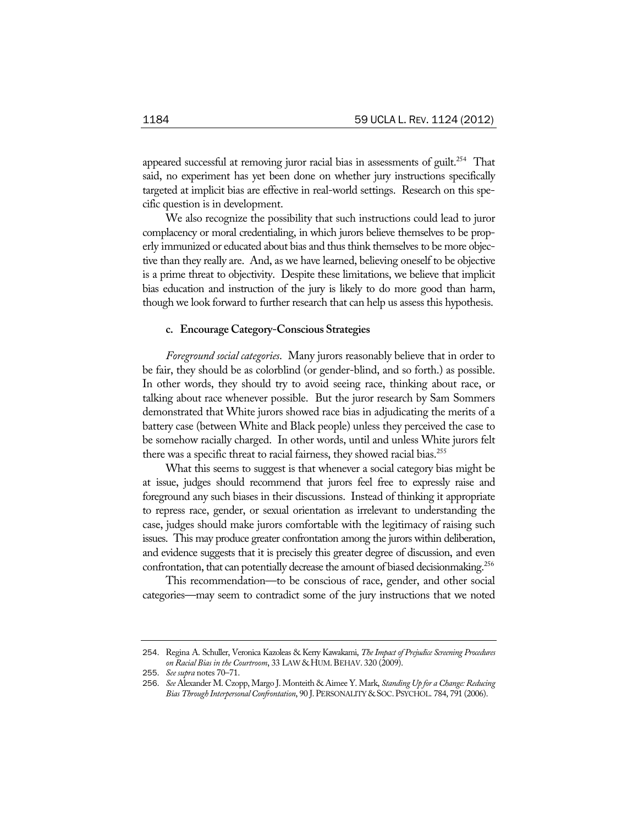appeared successful at removing juror racial bias in assessments of guilt.<sup>254</sup> That said, no experiment has yet been done on whether jury instructions specifically targeted at implicit bias are effective in real-world settings. Research on this specific question is in development.

We also recognize the possibility that such instructions could lead to juror complacency or moral credentialing, in which jurors believe themselves to be properly immunized or educated about bias and thus think themselves to be more objective than they really are. And, as we have learned, believing oneself to be objective is a prime threat to objectivity. Despite these limitations, we believe that implicit bias education and instruction of the jury is likely to do more good than harm, though we look forward to further research that can help us assess this hypothesis.

### **c. Encourage Category-Conscious Strategies**

*Foreground social categories*. Many jurors reasonably believe that in order to be fair, they should be as colorblind (or gender-blind, and so forth.) as possible. In other words, they should try to avoid seeing race, thinking about race, or talking about race whenever possible. But the juror research by Sam Sommers demonstrated that White jurors showed race bias in adjudicating the merits of a battery case (between White and Black people) unless they perceived the case to be somehow racially charged. In other words, until and unless White jurors felt there was a specific threat to racial fairness, they showed racial bias.<sup>255</sup>

What this seems to suggest is that whenever a social category bias might be at issue, judges should recommend that jurors feel free to expressly raise and foreground any such biases in their discussions. Instead of thinking it appropriate to repress race, gender, or sexual orientation as irrelevant to understanding the case, judges should make jurors comfortable with the legitimacy of raising such issues. This may produce greater confrontation among the jurors within deliberation, and evidence suggests that it is precisely this greater degree of discussion, and even confrontation, that can potentially decrease the amount of biased decisionmaking.<sup>256</sup>

This recommendation—to be conscious of race, gender, and other social categories—may seem to contradict some of the jury instructions that we noted

<sup>254</sup>. Regina A. Schuller, Veronica Kazoleas & Kerry Kawakami, *The Impact of Prejudice Screening Procedures*  on Racial Bias in the Courtroom, 33 LAW & HUM. BEHAV. 320 (2009).

<sup>255</sup>. *See supra* notes 70–71.

<sup>256</sup>. *See* Alexander M. Czopp, Margo J. Monteith & Aimee Y. Mark, *Standing Up for a Change: Reducing Bias Through Interpersonal Confrontation*, 90 J.PERSONALITY & SOC.PSYCHOL. 784, 791 (2006).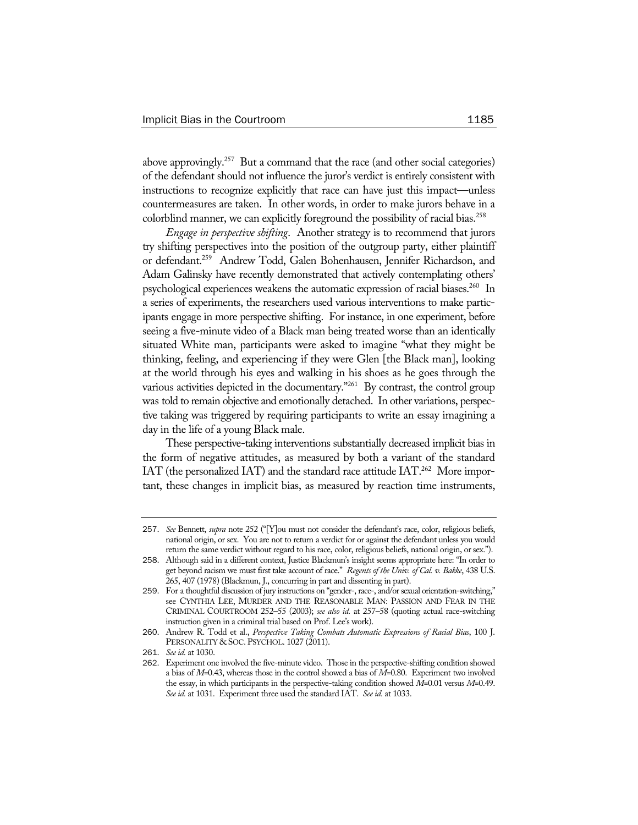above approvingly.<sup>257</sup> But a command that the race (and other social categories) of the defendant should not influence the juror's verdict is entirely consistent with instructions to recognize explicitly that race can have just this impact—unless countermeasures are taken. In other words, in order to make jurors behave in a colorblind manner, we can explicitly foreground the possibility of racial bias.<sup>258</sup>

*Engage in perspective shifting*. Another strategy is to recommend that jurors try shifting perspectives into the position of the outgroup party, either plaintiff or defendant.259 Andrew Todd, Galen Bohenhausen, Jennifer Richardson, and Adam Galinsky have recently demonstrated that actively contemplating others' psychological experiences weakens the automatic expression of racial biases.<sup>260</sup> In a series of experiments, the researchers used various interventions to make participants engage in more perspective shifting. For instance, in one experiment, before seeing a five-minute video of a Black man being treated worse than an identically situated White man, participants were asked to imagine "what they might be thinking, feeling, and experiencing if they were Glen [the Black man], looking at the world through his eyes and walking in his shoes as he goes through the various activities depicted in the documentary."<sup>261</sup> By contrast, the control group was told to remain objective and emotionally detached. In other variations, perspective taking was triggered by requiring participants to write an essay imagining a day in the life of a young Black male.

These perspective-taking interventions substantially decreased implicit bias in the form of negative attitudes, as measured by both a variant of the standard IAT (the personalized IAT) and the standard race attitude  $IAT<sup>262</sup>$  More important, these changes in implicit bias, as measured by reaction time instruments,

<sup>257</sup>. *See* Bennett, *supra* note 252 ("[Y]ou must not consider the defendant's race, color, religious beliefs, national origin, or sex. You are not to return a verdict for or against the defendant unless you would return the same verdict without regard to his race, color, religious beliefs, national origin, or sex.").

<sup>258</sup>. Although said in a different context, Justice Blackmun's insight seems appropriate here: "In order to get beyond racism we must first take account of race." *Regents of the Univ. of Cal. v. Bakke*, 438 U.S. 265, 407 (1978) (Blackmun, J., concurring in part and dissenting in part).

<sup>259</sup>. For a thoughtful discussion of jury instructions on "gender-, race-, and/or sexual orientation-switching," see CYNTHIA LEE, MURDER AND THE REASONABLE MAN: PASSION AND FEAR IN THE CRIMINAL COURTROOM 252–55 (2003); *see also id.* at 257–58 (quoting actual race-switching instruction given in a criminal trial based on Prof. Lee's work).

<sup>260</sup>. Andrew R. Todd et al., *Perspective Taking Combats Automatic Expressions of Racial Bias*, 100 J. PERSONALITY & SOC. PSYCHOL. 1027 (2011).

<sup>261</sup>. *See id.* at 1030.

<sup>262</sup>. Experiment one involved the five-minute video. Those in the perspective-shifting condition showed a bias of *M*=0.43, whereas those in the control showed a bias of *M*=0.80. Experiment two involved the essay, in which participants in the perspective-taking condition showed *M*=0.01 versus *M*=0.49. *See id.* at 1031. Experiment three used the standard IAT. *See id.* at 1033.